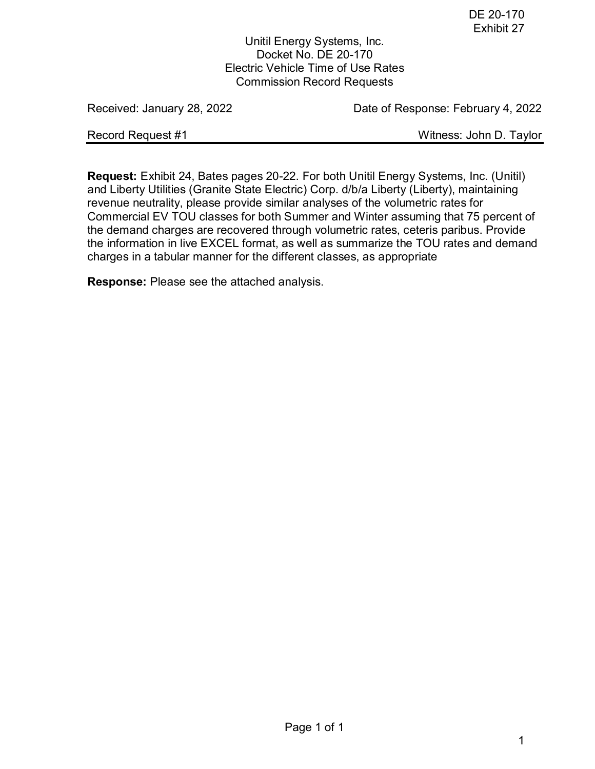Unitil Energy Systems, Inc. Docket No. DE 20-170 Electric Vehicle Time of Use Rates Commission Record Requests

Received: January 28, 2022 **Date of Response: February 4, 2022** 

Record Request #1 Necord Request #1

**Request:** Exhibit 24, Bates pages 20-22. For both Unitil Energy Systems, Inc. (Unitil) and Liberty Utilities (Granite State Electric) Corp. d/b/a Liberty (Liberty), maintaining revenue neutrality, please provide similar analyses of the volumetric rates for Commercial EV TOU classes for both Summer and Winter assuming that 75 percent of the demand charges are recovered through volumetric rates, ceteris paribus. Provide the information in live EXCEL format, as well as summarize the TOU rates and demand charges in a tabular manner for the different classes, as appropriate

**Response:** Please see the attached analysis.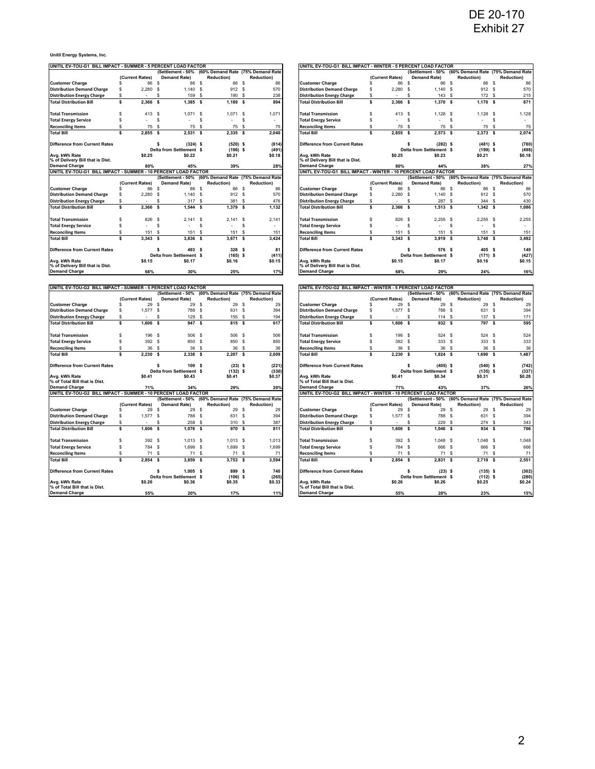**Unitil Energy Systems, Inc.**

| UNITIL EV-TOU-G1_BILL IMPACT - SUMMER - 5 PERCENT LOAD FACTOR       |                 |                                     |                                                     |                           | JNITIL EV-TOU-G1 BILL IMPACT - WINTER - 5 PERCENT LOAD FACTOR       |                       |                                                     |                                   |                         |
|---------------------------------------------------------------------|-----------------|-------------------------------------|-----------------------------------------------------|---------------------------|---------------------------------------------------------------------|-----------------------|-----------------------------------------------------|-----------------------------------|-------------------------|
|                                                                     |                 | Settlement - 50%                    | (60% Demand Rate (75% Demand Rate                   |                           |                                                                     |                       | (Settlement - 50%                                   | (60% Demand Rate (75% Demand Rate |                         |
|                                                                     | (Current Rates) | <b>Demand Rate)</b><br>$\mathbf{s}$ | <b>Reduction)</b><br>86 \$                          | <b>Reduction)</b><br>86   |                                                                     | (Current Rates)       | <b>Demand Rate)</b><br>86 S<br>-S                   | <b>Reduction)</b><br>86 S         | <b>Reduction)</b><br>86 |
| <b>Customer Charge</b>                                              | 86              | 86 \$<br>$\mathbf{s}$               |                                                     |                           | <b>Customer Charge</b>                                              | 86<br>\$              | - S<br>- S                                          |                                   | 570                     |
| <b>Distribution Demand Charge</b>                                   | 2,280<br>s      | $1,140$ \$                          | 912 \$                                              | 570                       | <b>Distribution Demand Charge</b>                                   | $\mathbb{S}$<br>2,280 | 1,140                                               | 912 \$                            |                         |
| <b>Distribution Energy Charge</b>                                   |                 | 159<br>S                            | <b>S</b><br>190                                     | 238<br>$\mathbf{s}$       | <b>Distribution Energy Charge</b>                                   | \$.                   | 143<br>S<br><b>S</b>                                | 172                               | s<br>215                |
| <b>Total Distribution Bill</b>                                      | 2,366<br>s      | <b>s</b><br>1,385                   | <b>s</b><br>1.189                                   | s<br>894                  | <b>Total Distribution Bill</b>                                      | 2.366<br>\$           | s<br>1,370<br>s                                     | 1,170                             | s<br>871                |
| <b>Total Transmission</b>                                           | 413<br>S        | \$<br>$1,071$ \$                    | $1,071$ \$                                          | 1,071                     | <b>Total Transmission</b>                                           | \$<br>413 \$          | $1,128$ \$                                          | $1,128$ \$                        | 1,128                   |
| <b>Total Energy Service</b>                                         | S               | \$                                  | \$                                                  | \$                        | <b>Total Energy Service</b>                                         | \$                    | s<br>s                                              |                                   | s                       |
| <b>Reconciling Items</b>                                            | 75<br>s         | 75<br>\$                            | 75<br>\$                                            | 75<br>\$                  | <b>Reconciling Items</b>                                            | \$<br>75              | 75<br>- S<br>్                                      | 75 S                              | 75                      |
| <b>Total Bill</b>                                                   | 2,855<br>s      | \$<br>2,531                         | - \$<br>$2,335$ \$                                  | 2,040                     | <b>Total Bill</b>                                                   | \$<br>2,855           | -S<br>$2,573$ \$                                    | $2,373$ \$                        | 2,074                   |
| <b>Difference from Current Rates</b>                                |                 | $(324)$ \$<br>s.                    | $(520)$ \$                                          | (814)                     | <b>Difference from Current Rates</b>                                |                       | $(282)$ \$<br>s                                     | $(481)$ \$                        | (780)                   |
|                                                                     |                 | Delta from Settlement \$            | $(196)$ \$                                          | (491)                     |                                                                     |                       | Delta from Settlement \$                            | $(199)$ \$                        | (498)                   |
| Ava. kWh Rate                                                       | \$0.25          | \$0.22                              | \$0.21                                              | \$0.18                    | Avg. kWh Rate                                                       | \$0.25                | \$0.23                                              | \$0.21                            | \$0.18                  |
| % of Delivery Bill that is Dist.                                    |                 |                                     |                                                     |                           | % of Delivery Bill that is Dist.                                    |                       |                                                     |                                   |                         |
| <b>Demand Charge</b>                                                | 80%             | 45%                                 | 39%                                                 | 28%                       | <b>Demand Charge</b>                                                | 80%                   | 44%                                                 | 38%                               | 27%                     |
| UNITIL EV-TOU-G1 BILL IMPACT - SUMMER - 10 PERCENT LOAD FACTOR      |                 |                                     |                                                     |                           | UNITL EV-TOU-G1 BILL IMPACT - WINTER - 10 PERCENT LOAD FACTOR       |                       |                                                     |                                   |                         |
|                                                                     |                 |                                     | (Settlement - 50% (60% Demand Rate (75% Demand Rate |                           |                                                                     |                       | (Settlement - 50% (60% Demand Rate (75% Demand Rate |                                   |                         |
|                                                                     | (Current Rates) | <b>Demand Rate)</b>                 | <b>Reduction)</b>                                   | <b>Reduction)</b>         |                                                                     | (Current Rates)       | <b>Demand Rate)</b>                                 | <b>Reduction)</b>                 | <b>Reduction)</b>       |
| <b>Customer Charge</b>                                              | 86<br>s         | 86<br>-S                            | <b>S</b><br>86                                      | 86<br>$\mathbf{s}$        | <b>Customer Charge</b>                                              | \$<br>86              | 86<br>-S<br>-S                                      | 86 S                              | 86                      |
| <b>Distribution Demand Charge</b>                                   | 2,280<br>s      | $1,140$ \$<br>$\mathbf{s}$          | 912S                                                | 570                       | <b>Distribution Demand Charge</b>                                   | \$<br>2,280           | 1,140S<br>- S                                       | 912 \$                            | 570                     |
| <b>Distribution Energy Charge</b>                                   | s               | S<br>317 \$                         | 381                                                 | \$<br>476                 | <b>Distribution Energy Charge</b>                                   | \$                    | s<br>287<br>s                                       | 344                               | - S<br>430              |
| <b>Total Distribution Bill</b>                                      | 2,366<br>s      | \$<br>1,544                         | 1,379<br>\$                                         | 1,132<br>\$.              | <b>Total Distribution Bill</b>                                      | 2,366<br>\$           | -S<br>1,513<br>s                                    | $1,342$ \$                        | 1,086                   |
| <b>Total Transmission</b>                                           | 826<br>S        | $\mathbf{s}$<br>$2,141$ \$          | $2,141$ \$                                          | 2,141                     | <b>Total Transmission</b>                                           | \$<br>826 \$          | $2,255$ \$                                          | $2,255$ \$                        | 2,255                   |
|                                                                     |                 |                                     |                                                     |                           |                                                                     |                       |                                                     |                                   |                         |
| <b>Total Energy Service</b>                                         | s               | \$                                  | \$                                                  | \$                        | <b>Total Energy Service</b>                                         | \$                    | s<br>s                                              | $\sim$                            | s                       |
| <b>Reconciling Items</b>                                            | 151<br>s        | \$<br>151                           | \$<br>151                                           | \$<br>151                 | <b>Reconciling Items</b>                                            | \$<br>151             | s<br>151                                            | s<br>151                          | 151<br>s                |
| <b>Total Bill</b>                                                   | 3,343<br>s      | 3,836<br>\$                         | 3,671<br><b>S</b>                                   | 3,424<br>- \$             | <b>Total Bill</b>                                                   | \$<br>3,343           | s<br>3,919<br>-S                                    | $3,748$ \$                        | 3,492                   |
| <b>Difference from Current Rates</b>                                |                 | 493 \$<br>\$                        | 328 \$                                              | 81                        | <b>Difference from Current Rates</b>                                |                       | 576<br>s<br>- 5                                     | 405 S                             | 149                     |
|                                                                     |                 | Delta from Settlement \$            | (165)                                               | (411)<br>\$.              |                                                                     |                       | Delta from Settlement \$                            | (171)                             | (427)<br><b>s</b>       |
| Avg. kWh Rate                                                       | \$0.15          | \$0.17                              | \$0.16                                              | \$0.15                    | Avg. kWh Rate                                                       | \$0.15                | \$0.17                                              | \$0.16                            | \$0.15                  |
| % of Delivery Bill that is Dist.                                    |                 |                                     |                                                     |                           | % of Delivery Bill that is Dist.                                    |                       |                                                     |                                   |                         |
| <b>Demand Charge</b>                                                | 68%             | 30%                                 | 25%                                                 | 17%                       | <b>Demand Charge</b>                                                | 68%                   | 29%                                                 | 24%                               | 16%                     |
|                                                                     |                 |                                     |                                                     |                           |                                                                     |                       |                                                     |                                   |                         |
|                                                                     |                 |                                     |                                                     |                           |                                                                     |                       |                                                     |                                   |                         |
|                                                                     |                 |                                     |                                                     |                           |                                                                     |                       |                                                     |                                   |                         |
| UNITIL EV-TOU-G2 BILL IMPACT - SUMMER - 5 PERCENT LOAD FACTOR       |                 |                                     | (Settlement - 50% (60% Demand Rate (75% Demand Rate |                           | UNITIL EV-TOU-G2 BILL IMPACT - WINTER - 5 PERCENT LOAD FACTOR       |                       | (Settlement - 50%                                   | (60% Demand Rate (75% Demand Rate |                         |
|                                                                     | (Current Rates) | <b>Demand Rate)</b>                 | <b>Reduction)</b>                                   | <b>Reduction)</b>         |                                                                     | (Current Rates)       | <b>Demand Rate)</b>                                 | <b>Reduction)</b>                 | <b>Reduction)</b>       |
| <b>Customer Charge</b>                                              | 29              | \$<br>29                            | 29<br>\$                                            | 25<br>-S                  | <b>Customer Charge</b>                                              | \$<br>29              | 29<br>s<br>-S                                       | 29                                | 29<br>-S                |
| <b>Distribution Demand Charge</b>                                   | 1,577<br>s      | \$<br>788                           | \$<br>631 \$                                        | 394                       | <b>Distribution Demand Charge</b>                                   | \$<br>1,577           | 788<br><b>S</b><br>s                                | 631 S                             | 394                     |
|                                                                     | s               |                                     |                                                     | 194                       |                                                                     |                       | s<br>-S                                             |                                   |                         |
| <b>Distribution Energy Charge</b><br><b>Total Distribution Bill</b> | 1.606<br>s      | 129<br>\$<br><b>s</b><br>947        | \$<br>155<br>-S<br>815S                             | \$<br>617                 | <b>Distribution Energy Charge</b><br><b>Total Distribution Bill</b> | \$<br>1.606<br>\$     | 114<br>-S<br>932 S                                  | 137<br>797 S                      | 171<br>-S<br>595        |
|                                                                     |                 |                                     |                                                     |                           |                                                                     |                       |                                                     |                                   |                         |
| <b>Total Transmission</b>                                           | Ś<br>196        | <b>S</b><br>506 \$                  | 506 \$                                              | 506                       | <b>Total Transmission</b>                                           | \$<br>196 S           | 524 S                                               | 524 S                             | 524                     |
| <b>Total Energy Service</b>                                         | 392<br>s        | 850<br>\$                           | 850<br>\$                                           | 850<br>$\mathbf{s}$       | <b>Total Energy Service</b>                                         | \$<br>392             | 333<br>$\mathsf{s}$<br><b>S</b>                     | 333                               | s<br>333                |
| <b>Reconciling Items</b>                                            | 36              | \$<br>36                            | <b>S</b><br>36                                      | 36<br>$\mathbf{s}$        | <b>Reconciling Items</b>                                            | \$<br>36              | s<br>36<br><b>S</b>                                 | 36                                | s<br>36                 |
| <b>Total Bill</b>                                                   | 2,230<br>s      | s<br>2,338                          | - S<br>2,207                                        | -S<br>2,009               | <b>Total Bill</b>                                                   | \$<br>2,230           | $\ddot{\bm{s}}$<br>$1,824$ \$                       | 1,690S                            | 1,487                   |
|                                                                     |                 |                                     |                                                     |                           |                                                                     |                       |                                                     |                                   |                         |
| <b>Difference from Current Rates</b>                                |                 | 109S<br>\$                          | $(23)$ \$                                           | (221)                     | <b>Difference from Current Rates</b>                                |                       | $(405)$ \$<br>s                                     | $(540)$ \$                        | (742)                   |
|                                                                     |                 | Delta from Settlement \$            | (132)                                               | (330)<br>s                |                                                                     |                       | Delta from Settlement \$                            | (135)                             | -S                      |
| Avg. kWh Rate<br>% of Total Bill that is Dist.                      | \$0.41          | \$0.43                              | \$0.41                                              | \$0.37                    | Avg. kWh Rate<br>% of Total Bill that is Dist.                      | \$0.41                | \$0.34                                              | \$0.31                            | (337)<br>\$0.28         |
| <b>Demand Charge</b>                                                | 71%             | 34%                                 | 29%                                                 | 20%                       | <b>Demand Charge</b>                                                | 71%                   | 43%                                                 | 37%                               | 26%                     |
| UNITIL EV-TOU-G2 BILL IMPACT - SUMMER - 10 PERCENT LOAD FACTOR      |                 |                                     |                                                     |                           | UNITIL EV-TOU-G2 BILL IMPACT - WINTER - 10 PERCENT LOAD FACTOR      |                       |                                                     |                                   |                         |
|                                                                     |                 | (Settlement - 50%                   | (60% Demand Rate (75% Demand Rate                   |                           |                                                                     |                       | (Settlement - 50%                                   | (60% Demand Rate (75% Demand Rate |                         |
|                                                                     | (Current Rates) | <b>Demand Rate)</b>                 | <b>Reduction)</b>                                   | <b>Reduction)</b>         |                                                                     | (Current Rates)       | <b>Demand Rate)</b>                                 | <b>Reduction)</b>                 | <b>Reduction)</b>       |
| <b>Customer Charge</b>                                              | 29              | 29<br>\$                            | - S<br>29                                           | 29<br>- \$                | <b>Customer Charge</b>                                              | 29<br>s               | s<br>29<br>- S                                      | 29S                               | 29                      |
| <b>Distribution Demand Charge</b>                                   | 1,577<br>s      | \$<br>788                           | \$<br>631                                           | $\mathbf{s}$<br>394       | <b>Distribution Demand Charge</b>                                   | \$<br>1,577           | s<br>788<br>$\mathsf{s}$                            | 631 S                             | 394                     |
| <b>Distribution Energy Charge</b>                                   | \$.             | $\hat{\mathbf{x}}$<br>258           | <b>S</b><br>310                                     | 387<br>$\mathbf{\hat{S}}$ | <b>Distribution Energy Charge</b>                                   | \$                    | \$.<br>229<br><b>s</b>                              | 274                               | s<br>343                |
| <b>Total Distribution Bill</b>                                      | 1,606           | \$<br>1,076                         | -S<br>970                                           | - S<br>811                | <b>Total Distribution Bill</b>                                      | \$<br>1,606           | $1,046$ \$<br><b>S</b>                              | 934                               | 766<br>-S               |
|                                                                     |                 |                                     |                                                     |                           |                                                                     |                       |                                                     |                                   |                         |
| <b>Total Transmission</b>                                           | 392<br>S        | $1,013$ \$<br>$\mathbf{s}$          | $1,013$ \$                                          | 1,013                     | <b>Total Transmission</b>                                           | \$.<br>392 S          | 1,048<br><b>S</b>                                   | 1,048                             | 1,048<br>- S            |
| <b>Total Energy Service</b>                                         | 784<br>s        | 1,699 \$<br>\$                      | 1,699 \$                                            | 1,699                     | <b>Total Energy Service</b>                                         | \$<br>784 S           | 666<br>- S                                          | 666 \$                            | 666                     |
| <b>Reconciling Items</b>                                            | 71<br>s         | \$<br>71                            | $\mathbf s$<br>71                                   | \$<br>71                  | <b>Reconciling Items</b>                                            | \$<br>71 S            | 71<br>s                                             | 71 S                              | 71                      |
| <b>Total Bill</b>                                                   | s<br>2,854      | \$<br>$3,859$ \$                    | $3,753$ \$                                          | 3,594                     | <b>Total Bill</b>                                                   | \$<br>$2,854$ \$      | $2,831$ \$                                          | 2,719 \$                          | 2,551                   |
| <b>Difference from Current Rates</b>                                |                 | \$<br>$1,005$ \$                    | 899 \$                                              | 740                       | <b>Difference from Current Rates</b>                                |                       | $(23)$ \$<br>s                                      | $(135)$ \$                        | (302)                   |
|                                                                     |                 | Delta from Settlement \$            | $(106)$ \$                                          | (265)                     |                                                                     |                       | Delta from Settlement \$                            | (112)                             | (280)<br>-S             |
| Avg. kWh Rate                                                       | \$0.26          | \$0.36                              | \$0.35                                              | \$0.33                    | Avg. kWh Rate                                                       | \$0.26                | \$0.26                                              | \$0.25                            | \$0.24                  |
| % of Total Bill that is Dist.<br><b>Demand Charge</b>               | 55%             | 20%                                 | 17%                                                 | 11%                       | % of Total Bill that is Dist.<br><b>Demand Charge</b>               | 55%                   | 28%                                                 | 23%                               | 15%                     |

| UNITIL EV-TOU-G1 BILL IMPACT - SUMMER - 5 PERCENT LOAD FACTOR  |                 |            |                                                     |               |                    |     |                    | UNITIL EV-TOU-G1 BILL IMPACT - WINTER - 5 PERCENT LOAD FACTOR  |    |                       |                                        |              |                                                     |                   |
|----------------------------------------------------------------|-----------------|------------|-----------------------------------------------------|---------------|--------------------|-----|--------------------|----------------------------------------------------------------|----|-----------------------|----------------------------------------|--------------|-----------------------------------------------------|-------------------|
|                                                                |                 |            | (Settlement - 50% (60% Demand Rate (75% Demand Rate |               |                    |     |                    |                                                                |    |                       |                                        |              | (Settlement - 50% (60% Demand Rate (75% Demand Rate |                   |
|                                                                | (Current Rates) |            | <b>Demand Rate)</b>                                 |               | <b>Reduction)</b>  |     | <b>Reduction)</b>  |                                                                |    | (Current Rates)       | <b>Demand Rate)</b>                    |              | <b>Reduction)</b>                                   | <b>Reduction)</b> |
| <b>Customer Charge</b>                                         |                 | 86         | \$<br>86                                            | -\$           | 86 \$              |     | 86                 | <b>Customer Charge</b>                                         | \$ | 86                    | 86 S<br>-S                             |              | 86 S                                                | 86                |
| <b>Distribution Demand Charge</b>                              | S               | 2.280S     | 1.140 S                                             |               | 912 \$             |     | 570                | <b>Distribution Demand Charge</b>                              | \$ | 2.280                 | $1,140$ \$<br><b>S</b>                 |              | 912 S                                               | 570               |
| <b>Distribution Energy Charge</b>                              | s               |            | 159<br>\$                                           | <b>S</b>      | 190                | s.  | 238                | <b>Distribution Energy Charge</b>                              | \$ |                       | 143<br>s                               | -S           | 172 S                                               | 215               |
| <b>Total Distribution Bill</b>                                 | s               | 2,366 \$   | 1,385                                               | -\$           | $1,189$ \$         |     | 894                | <b>Total Distribution Bill</b>                                 | \$ | 2,366                 | 1,370<br>- S                           | s            | 1,170S                                              | 871               |
| <b>Total Transmission</b>                                      |                 | 413 S      | $1,071$ \$                                          |               | $1.071$ \$         |     | 1,071              | <b>Total Transmission</b>                                      |    | 413 S                 | $1,128$ \$                             |              | $1,128$ \$                                          | 1,128             |
| <b>Total Energy Service</b>                                    | S               | $\sim$     | <b>S</b><br>$\sim$                                  | <b>S</b>      | $\sim$             | \$  | ×.                 | <b>Total Energy Service</b>                                    | \$ | $\sim$                | s<br>$\sim$                            | s            | s<br>$\sim$                                         | $\sim$            |
| <b>Reconciling Items</b>                                       | s               | 75         | 75<br>\$                                            | \$            | 75 \$              |     | 75                 | <b>Reconciling Items</b>                                       | \$ | 75 S                  | 75                                     | <b>S</b>     | 75 S                                                | 75                |
| <b>Total Bill</b>                                              |                 | $2,855$ \$ | 2,531                                               | \$            | $2,335$ \$         |     | 2,040              | <b>Total Bill</b>                                              |    | 2,855                 | s<br>$2,573$ \$                        |              | $2,373$ \$                                          | 2,074             |
| <b>Difference from Current Rates</b>                           |                 |            | $(324)$ \$<br>\$                                    |               | $(520)$ \$         |     | (814)              | <b>Difference from Current Rates</b>                           |    |                       | $(282)$ \$<br>s                        |              | $(481)$ S                                           | (780)             |
|                                                                |                 |            | Delta from Settlement \$                            |               | $(196)$ \$         |     | (491)              |                                                                |    |                       | Delta from Settlement \$               |              | $(199)$ \$                                          | (498)             |
| Avg. kWh Rate                                                  | \$0.25          |            | \$0.22                                              |               | \$0.21             |     | \$0.18             | Avg. kWh Rate                                                  |    | \$0.25                | \$0.23                                 |              | \$0.21                                              | \$0.18            |
| % of Delivery Bill that is Dist.                               |                 |            |                                                     |               |                    |     |                    | % of Delivery Bill that is Dist.                               |    |                       |                                        |              |                                                     |                   |
| <b>Demand Charge</b>                                           |                 | 80%        | 45%                                                 |               | 39%                |     | 28%                | <b>Demand Charge</b>                                           |    | 80%                   | 44%                                    |              | 38%                                                 | 27%               |
| UNITIL EV-TOU-G1_BILL IMPACT - SUMMER - 10 PERCENT LOAD FACTOR |                 |            |                                                     |               |                    |     |                    | UNITL EV-TOU-G1 BILL IMPACT - WINTER - 10 PERCENT LOAD FACTOR  |    |                       |                                        |              |                                                     |                   |
|                                                                |                 |            | (Settlement - 50% (60% Demand Rate (75% Demand Rate |               |                    |     |                    |                                                                |    |                       | (Settlement - 50%                      |              | (60% Demand Rate (75% Demand Rate                   |                   |
|                                                                | (Current Rates) |            | <b>Demand Rate)</b>                                 |               | <b>Reduction</b> ) |     | <b>Reduction</b> ) |                                                                |    | (Current Rates)       | <b>Demand Rate)</b>                    |              | <b>Reduction)</b>                                   | <b>Reduction)</b> |
| <b>Customer Charge</b>                                         |                 | 86         | <b>S</b><br>86 \$                                   |               | 86 \$              |     | 86                 | <b>Customer Charge</b>                                         | \$ | 86                    | s<br>86 S                              |              | 86 S                                                | 86                |
| <b>Distribution Demand Charge</b>                              | s               | $2,280$ \$ | $1,140$ \$                                          |               | 912 \$             |     | 570                | <b>Distribution Demand Charge</b>                              | s  | 2,280                 | <b>S</b><br>$1,140$ \$                 |              | 912 \$                                              | 570               |
| <b>Distribution Energy Charge</b>                              | S               |            | <b>S</b><br>317S                                    |               | 381 \$             |     | 476                | <b>Distribution Energy Charge</b>                              | \$ |                       | s<br>287 \$                            |              | 344 S                                               | 430               |
| <b>Total Distribution Bill</b>                                 | s               | 2,366 \$   | 1,544                                               | -S            | $1,379$ \$         |     | 1,132              | <b>Total Distribution Bill</b>                                 | \$ | $2,366$ \$            | $1,513$ \$                             |              | $1,342$ \$                                          | 1,086             |
| <b>Total Transmission</b>                                      |                 | 826 \$     | 2.141 S                                             |               | $2.141$ \$         |     | 2.141              | <b>Total Transmission</b>                                      | \$ | 826 S                 | 2.255S                                 |              | 2.255 S                                             | 2.255             |
| <b>Total Energy Service</b>                                    | s               |            | £.                                                  | £.            |                    | s.  |                    | <b>Total Energy Service</b>                                    | s  |                       | s                                      | s            | $\sim$<br>s                                         |                   |
| <b>Reconciling Items</b>                                       | s               | 151        | \$<br>151                                           | \$            | 151                | -\$ | 151                | <b>Reconciling Items</b>                                       | s  | 151                   | 151 \$<br>- S                          |              | 151<br>- S                                          | 151               |
| <b>Total Bill</b>                                              |                 | $3,343$ \$ | 3,836                                               | \$            | $3,671$ \$         |     | 3,424              | <b>Total Bill</b>                                              | Ś  | 3,343                 | s<br>$3,919$ \$                        |              | $3,748$ \$                                          | 3,492             |
| <b>Difference from Current Rates</b>                           |                 |            | 493 \$<br>ŝ.                                        |               | 328S               |     | 81                 | <b>Difference from Current Rates</b>                           |    |                       | 576 S<br>s                             |              | 405 S                                               | 149               |
|                                                                |                 |            | <b>Delta from Settlement</b>                        | - S           | (165)              | - S | (411)              |                                                                |    |                       | Delta from Settlement \$               |              | $(171)$ \$                                          | (427)             |
| Avg. kWh Rate<br>% of Delivery Bill that is Dist.              | \$0.15          |            | \$0.17                                              |               | \$0.16             |     | \$0.15             | Avg. kWh Rate<br>% of Delivery Bill that is Dist.              |    | \$0.15                | \$0.17                                 |              | \$0.16                                              | \$0.15            |
| <b>Demand Charge</b>                                           |                 | 68%        | 30%                                                 |               | 25%                |     | 17%                | <b>Demand Charge</b>                                           |    | 68%                   | 29%                                    |              | 24%                                                 | 16%               |
|                                                                |                 |            |                                                     |               |                    |     |                    |                                                                |    |                       |                                        |              |                                                     |                   |
| UNITIL EV-TOU-G2_BILL IMPACT - SUMMER - 5 PERCENT LOAD FACTOR  |                 |            |                                                     |               |                    |     |                    | UNITIL EV-TOU-G2 BILL IMPACT - WINTER - 5 PERCENT LOAD FACTOR  |    |                       |                                        |              |                                                     |                   |
|                                                                |                 |            | (Settlement - 50% (60% Demand Rate (75% Demand Rate |               |                    |     |                    |                                                                |    |                       |                                        |              | (Settlement - 50% (60% Demand Rate (75% Demand Rate |                   |
|                                                                | (Current Rates) |            | <b>Demand Rate)</b>                                 |               | <b>Reduction)</b>  |     | <b>Reduction)</b>  |                                                                |    | (Current Rates)       | <b>Demand Rate)</b>                    |              | <b>Reduction)</b>                                   | <b>Reduction)</b> |
| <b>Customer Charge</b>                                         |                 | 29         | \$<br>29S                                           |               | 29S                |     | 29                 | <b>Customer Charge</b>                                         | s  | 29                    | s<br>29S                               |              | 29S                                                 | 29                |
| <b>Distribution Demand Charge</b>                              | S               | $1,577$ \$ | 788                                                 | <b>S</b>      | 631 \$             |     | 394                | <b>Distribution Demand Charge</b>                              | \$ | $1,577$ \$            | 788 S                                  |              | 631 S                                               | 394               |
| <b>Distribution Energy Charge</b>                              | S               |            | \$<br>129                                           | -S            | 155 \$             |     | 194                | <b>Distribution Energy Charge</b>                              | \$ |                       | s<br>114S                              |              | 137 S                                               | 171               |
| <b>Total Distribution Bill</b>                                 | s               | $1,606$ \$ | 947                                                 | - S           | 815S               |     | 617                | <b>Total Distribution Bill</b>                                 | \$ | 1.606 S               | 932 S                                  |              | 797 S                                               | 595               |
| <b>Total Transmission</b>                                      |                 | 196 \$     | 506 \$                                              |               | 506 \$             |     | 506                | <b>Total Transmission</b>                                      | \$ | 196 S                 | 524 \$                                 |              | 524 \$                                              | 524               |
| <b>Total Energy Service</b>                                    | s               | 392 \$     | 850 \$                                              |               | 850 \$             |     | 850                | <b>Total Energy Service</b>                                    | \$ | 392 \$                | 333 S                                  |              | 333 S                                               | 333               |
| <b>Reconciling Items</b>                                       | s               | 36         | 36<br>- \$                                          | -\$           | 36                 | -\$ | 36                 | <b>Reconciling Items</b>                                       | s  | 36                    | 36<br>s                                | s            | 36<br>- S                                           | 36                |
| <b>Total Bill</b>                                              | 2,230           |            | <b>s</b><br>2,338                                   | <b>s</b>      | $2,207$ \$         |     | 2,009              | <b>Total Bill</b>                                              |    | 2,230                 | s<br>$1,824$ \$                        |              | 1,690S                                              | 1,487             |
| <b>Difference from Current Rates</b>                           |                 |            | 109S<br>ŝ.                                          |               | $(23)$ \$          |     | (221)              | <b>Difference from Current Rates</b>                           |    |                       | $(405)$ \$<br>s                        |              | $(540)$ \$                                          | (742)             |
|                                                                |                 |            | Delta from Settlement \$                            |               | $(132)$ \$         |     | (330)              |                                                                |    |                       | Delta from Settlement \$               |              | $(135)$ \$                                          | (337)             |
| Avg. kWh Rate                                                  | \$0.41          |            | \$0.43                                              |               | \$0.41             |     | \$0.37             | Avg. kWh Rate                                                  |    | \$0.41                | \$0.34                                 |              | \$0.31                                              | \$0.28            |
| % of Total Bill that is Dist.                                  |                 |            |                                                     |               |                    |     |                    | % of Total Bill that is Dist.                                  |    |                       |                                        |              |                                                     |                   |
| <b>Demand Charge</b>                                           |                 | 71%        | 34%                                                 |               | 29%                |     | 20%                | <b>Demand Charge</b>                                           |    | 71%                   | 43%                                    |              | 37%                                                 | 26%               |
| UNITIL EV-TOU-G2 BILL IMPACT - SUMMER - 10 PERCENT LOAD FACTOR |                 |            | (Settlement - 50% (60% Demand Rate (75% Demand Rate |               |                    |     |                    | UNITIL EV-TOU-G2 BILL IMPACT - WINTER - 10 PERCENT LOAD FACTOR |    |                       |                                        |              | (60% Demand Rate (75% Demand Rate                   |                   |
|                                                                |                 |            |                                                     |               | <b>Reduction</b> ) |     | <b>Reduction</b> ) |                                                                |    |                       | (Settlement - 50%                      |              |                                                     | <b>Reduction)</b> |
| <b>Customer Charge</b>                                         | (Current Rates) | 29         | <b>Demand Rate)</b><br>\$<br>29S                    |               | 29S                |     | 29                 | <b>Customer Charge</b>                                         | \$ | (Current Rates)<br>29 | <b>Demand Rate)</b><br>29S<br><b>s</b> |              | <b>Reduction)</b><br>29S                            | 29                |
| <b>Distribution Demand Charge</b>                              | s               | $1,577$ \$ | 788                                                 | - \$          | 631 \$             |     | 394                | <b>Distribution Demand Charge</b>                              | \$ | $1,577$ \$            | 788                                    | -S           | 631 \$                                              | 394               |
|                                                                | \$.             |            | 258<br>$\mathcal{S}$                                | $\mathcal{L}$ | 310 S              |     | 387                |                                                                | \$ |                       | 229<br>\$.                             | $\mathbf{s}$ | 274 S                                               | 343               |
| <b>Distribution Energy Charge</b>                              |                 |            |                                                     |               |                    |     |                    | <b>Distribution Energy Charge</b>                              |    |                       |                                        |              |                                                     |                   |
| <b>Total Distribution Bill</b>                                 |                 | 1.606S     | 1.076                                               | -S            | 970 \$             |     | 811                | <b>Total Distribution Bill</b>                                 | s  | 1.606 S               | 1.046 S                                |              | 934 S                                               | 766               |
| <b>Total Transmission</b>                                      |                 | 392 \$     | $1.013$ \$                                          |               | $1.013$ \$         |     | 1.013              | <b>Total Transmission</b>                                      | \$ | 392 S                 | 1.048 S                                |              | 1.048 S                                             | 1,048             |
| <b>Total Energy Service</b>                                    | s               | 784 \$     | 1.699S                                              |               | 1.699 \$           |     | 1.699              | <b>Total Energy Service</b>                                    | \$ | 784 S                 | 666 S                                  |              | 666 S                                               | 666               |
|                                                                |                 |            |                                                     |               |                    |     |                    |                                                                |    |                       |                                        |              |                                                     |                   |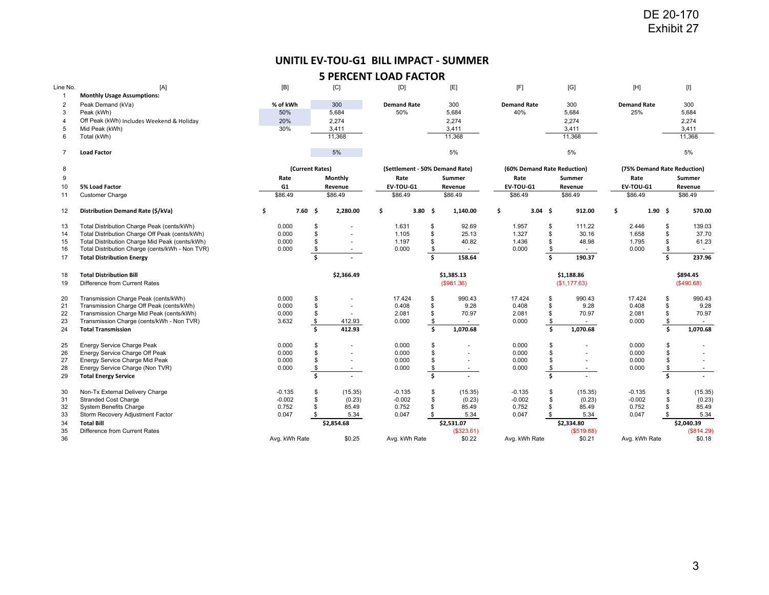## **UNITIL EV‐TOU‐G1 BILL IMPACT ‐ SUMMER**

|                                |                                                                                                   |                      |                 |                    | UNITIL EV-TOU-G1 BILL IMPACT - SUMMER |                               |                          |                             |                     |                          |                             |               |                          |
|--------------------------------|---------------------------------------------------------------------------------------------------|----------------------|-----------------|--------------------|---------------------------------------|-------------------------------|--------------------------|-----------------------------|---------------------|--------------------------|-----------------------------|---------------|--------------------------|
|                                |                                                                                                   |                      |                 |                    | <b>5 PERCENT LOAD FACTOR</b>          |                               |                          |                             |                     |                          |                             |               |                          |
| Line No.                       | [A]                                                                                               | [B]                  |                 | [C]                | [D]                                   |                               | [E]                      | [F]                         |                     | [G]                      | [H]                         |               | [I]                      |
| $\mathbf{1}$<br>$\overline{2}$ | <b>Monthly Usage Assumptions:</b><br>Peak Demand (kVa)                                            | % of kWh             |                 | 300                | <b>Demand Rate</b>                    |                               | 300                      | <b>Demand Rate</b>          |                     | 300                      | <b>Demand Rate</b>          |               | 300                      |
| 3                              | Peak (kWh)                                                                                        | 50%                  |                 | 5,684              | 50%                                   |                               | 5,684                    | 40%                         |                     | 5,684                    | 25%                         |               | 5,684                    |
| 4                              | Off Peak (kWh) Includes Weekend & Holiday                                                         | 20%                  |                 | 2,274              |                                       |                               | 2,274                    |                             |                     | 2,274                    |                             |               | 2,274                    |
| 5<br>6                         | Mid Peak (kWh)<br>Total (kWh)                                                                     | 30%                  |                 | 3,411<br>11,368    |                                       |                               | 3,411<br>11,368          |                             |                     | 3,411<br>11,368          |                             |               | 3,411<br>11,368          |
|                                |                                                                                                   |                      |                 |                    |                                       |                               |                          |                             |                     |                          |                             |               |                          |
| $\overline{7}$                 | <b>Load Factor</b>                                                                                |                      |                 | 5%                 |                                       |                               | 5%                       |                             |                     | 5%                       |                             |               | 5%                       |
| 8                              |                                                                                                   |                      | (Current Rates) |                    | (Settlement - 50% Demand Rate)        |                               |                          | (60% Demand Rate Reduction) |                     |                          | (75% Demand Rate Reduction) |               |                          |
| 9<br>10                        | 5% Load Factor                                                                                    | Rate<br>G1           |                 | Monthly<br>Revenue | Rate<br>EV-TOU-G1                     |                               | Summer<br>Revenue        | Rate<br>EV-TOU-G1           |                     | Summer<br>Revenue        | Rate<br>EV-TOU-G1           |               | Summer<br>Revenue        |
| 11                             | <b>Customer Charge</b>                                                                            | \$86.49              |                 | \$86.49            | \$86.49                               |                               | \$86.49                  | \$86.49                     |                     | \$86.49                  | \$86.49                     |               | \$86.49                  |
| 12                             | Distribution Demand Rate (\$/kVa)                                                                 | \$                   | 7.60%           | 2,280.00           | \$                                    | 3.80 \$                       | 1,140.00                 | \$<br>$3.04 \quad $$        |                     | 912.00                   | \$                          | $1.90 \pm$    | 570.00                   |
| 13                             | Total Distribution Charge Peak (cents/kWh)                                                        | 0.000                | \$              |                    | 1.631                                 | \$                            | 92.69                    | 1.957                       | \$                  | 111.22                   | 2.446                       | $\mathfrak s$ | 139.03                   |
| 14                             | Total Distribution Charge Off Peak (cents/kWh)                                                    | 0.000                | \$              |                    | 1.105                                 | \$                            | 25.13                    | 1.327                       | \$                  | 30.16                    | 1.658                       | \$            | 37.70                    |
| 15<br>16                       | Total Distribution Charge Mid Peak (cents/kWh)<br>Total Distribution Charge (cents/kWh - Non TVR) | 0.000<br>0.000       | \$              | $\sim$             | 1.197<br>0.000                        | \$                            | 40.82<br>$\sim$          | 1.436<br>0.000              | \$                  | 48.98<br>$\sim$          | 1.795<br>0.000              | \$<br>\$      | 61.23<br>$\sim$          |
| 17                             | <b>Total Distribution Energy</b>                                                                  |                      | \$<br>\$        |                    |                                       | \$<br>$\overline{\mathsf{s}}$ | 158.64                   |                             | $\frac{3}{2}$<br>\$ | 190.37                   |                             | \$            | 237.96                   |
| 18                             | <b>Total Distribution Bill</b>                                                                    |                      |                 | \$2,366.49         |                                       |                               | \$1,385.13               |                             |                     | \$1,188.86               |                             |               | \$894.45                 |
| 19                             | Difference from Current Rates                                                                     |                      |                 |                    |                                       |                               | (\$981.36)               |                             |                     | (\$1,177.63)             |                             |               | (\$490.68)               |
| 20                             | Transmission Charge Peak (cents/kWh)                                                              | 0.000                | \$              |                    | 17.424                                | \$                            | 990.43                   | 17.424                      | \$                  | 990.43                   | 17.424                      | \$            | 990.43                   |
| 21<br>22                       | Transmission Charge Off Peak (cents/kWh)<br>Transmission Charge Mid Peak (cents/kWh)              | 0.000<br>0.000       | \$<br>\$        |                    | 0.408<br>2.081                        | \$<br>\$                      | 9.28<br>70.97            | 0.408<br>2.081              | \$<br>\$            | 9.28<br>70.97            | 0.408<br>2.081              | \$<br>\$      | 9.28<br>70.97            |
| 23                             | Transmission Charge (cents/kWh - Non TVR)                                                         | 3.632                | \$              | 412.93             | 0.000                                 | $\frac{1}{2}$                 |                          | 0.000                       | $\sqrt[6]{3}$       | $\sim$                   | 0.000                       | \$            |                          |
| 24                             | <b>Total Transmission</b>                                                                         |                      | Ś.              | 412.93             |                                       | \$                            | 1,070.68                 |                             | \$                  | 1,070.68                 |                             | \$            | 1,070.68                 |
| 25                             | Energy Service Charge Peak                                                                        | 0.000                | \$              |                    | 0.000                                 | \$                            |                          | 0.000                       | \$                  | $\overline{a}$           | 0.000                       | \$            |                          |
| 26<br>27                       | Energy Service Charge Off Peak<br>Energy Service Charge Mid Peak                                  | 0.000<br>0.000       | \$<br>\$        | $\sim$<br>$\sim$   | 0.000<br>0.000                        | \$<br>\$                      | ٠<br>$\sim$              | 0.000<br>0.000              | \$<br>\$            | ٠<br>$\sim$              | 0.000<br>0.000              | \$<br>\$      | $\sim$<br>$\blacksquare$ |
| 28                             | Energy Service Charge (Non TVR)                                                                   | 0.000                | \$              | $\sim$             | 0.000                                 | \$                            | $\sim$                   | 0.000                       | \$                  | $\sim$                   | 0.000                       | \$            | $\sim$                   |
| 29                             | <b>Total Energy Service</b>                                                                       |                      | \$              |                    |                                       | \$                            | $\sim$                   |                             | \$                  |                          |                             | \$            | $\mathbf{r}$             |
| 30<br>31                       | Non-Tx External Delivery Charge<br><b>Stranded Cost Charge</b>                                    | $-0.135$<br>$-0.002$ | \$<br>\$        | (15.35)<br>(0.23)  | $-0.135$<br>$-0.002$                  | \$<br>\$                      | (15.35)<br>(0.23)        | $-0.135$<br>$-0.002$        | \$<br>\$            | (15.35)<br>(0.23)        | $-0.135$<br>$-0.002$        | \$<br>\$      | (15.35)<br>(0.23)        |
| 32                             | System Benefits Charge                                                                            | 0.752                | \$              | 85.49              | 0.752                                 | \$                            | 85.49                    | 0.752                       | \$                  | 85.49                    | 0.752                       | \$            | 85.49                    |
| 33                             | Storm Recovery Adjustment Factor                                                                  | 0.047                | \$              | 5.34               | 0.047                                 | \$                            | 5.34                     | 0.047                       | \$                  | 5.34                     | 0.047                       | \$            | 5.34                     |
| 34<br>35                       | <b>Total Bill</b><br>Difference from Current Rates                                                |                      |                 | \$2,854.68         |                                       |                               | \$2,531.07<br>(\$323.61) |                             |                     | \$2,334.80<br>(\$519.88) |                             |               | \$2,040.39<br>(\$814.29) |
|                                |                                                                                                   |                      | Avg. kWh Rate   | \$0.25             | Avg. kWh Rate                         |                               | \$0.22                   | Avg. kWh Rate               |                     | \$0.21                   | Avg. kWh Rate               |               | \$0.18                   |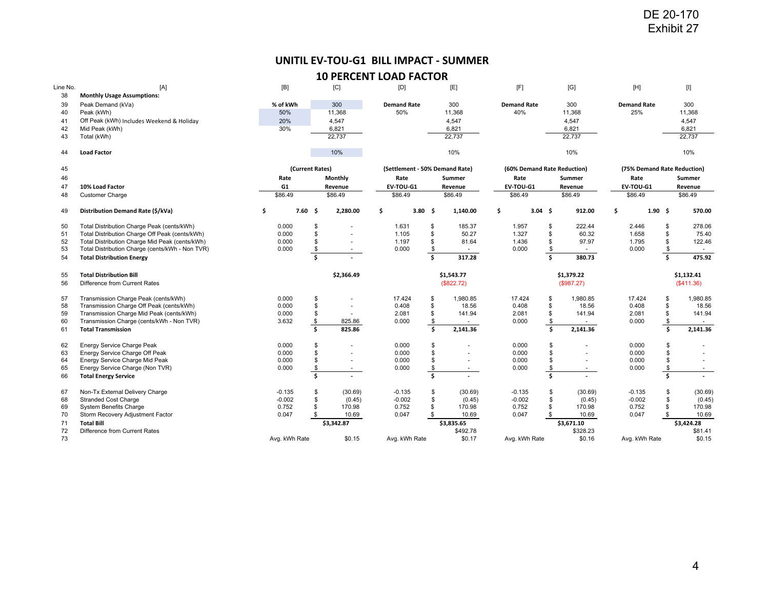# **UNITIL EV‐TOU‐G1 BILL IMPACT ‐ SUMMER**

| [A]<br><b>Monthly Usage Assumptions:</b><br>Peak Demand (kVa)<br>Peak (kWh)<br>Off Peak (kWh) Includes Weekend & Holiday<br>Mid Peak (kWh) | [B]<br>% of kWh<br>50%                                                                                                                                                                                                                                                                                                                                                                                                                           |     |                                                                                                                                                                                              | [C]                                                                                            | UNITIL EV-TOU-G1 BILL IMPACT - SUMMER<br><b>10 PERCENT LOAD FACTOR</b><br>[D]                          |                                                                                                      | [E]                                                                                                  | [F]                                                                                                                                                                              |                                                                                                      | [G]                                                                                                       |                                                                                                                                                                                       |                                                                                                                |                                                                                                                                                                                                                                                                                                                                                                                                                                                                                                                                                                                                                                                                                                                            |
|--------------------------------------------------------------------------------------------------------------------------------------------|--------------------------------------------------------------------------------------------------------------------------------------------------------------------------------------------------------------------------------------------------------------------------------------------------------------------------------------------------------------------------------------------------------------------------------------------------|-----|----------------------------------------------------------------------------------------------------------------------------------------------------------------------------------------------|------------------------------------------------------------------------------------------------|--------------------------------------------------------------------------------------------------------|------------------------------------------------------------------------------------------------------|------------------------------------------------------------------------------------------------------|----------------------------------------------------------------------------------------------------------------------------------------------------------------------------------|------------------------------------------------------------------------------------------------------|-----------------------------------------------------------------------------------------------------------|---------------------------------------------------------------------------------------------------------------------------------------------------------------------------------------|----------------------------------------------------------------------------------------------------------------|----------------------------------------------------------------------------------------------------------------------------------------------------------------------------------------------------------------------------------------------------------------------------------------------------------------------------------------------------------------------------------------------------------------------------------------------------------------------------------------------------------------------------------------------------------------------------------------------------------------------------------------------------------------------------------------------------------------------------|
|                                                                                                                                            |                                                                                                                                                                                                                                                                                                                                                                                                                                                  |     |                                                                                                                                                                                              |                                                                                                |                                                                                                        |                                                                                                      |                                                                                                      |                                                                                                                                                                                  |                                                                                                      |                                                                                                           |                                                                                                                                                                                       |                                                                                                                |                                                                                                                                                                                                                                                                                                                                                                                                                                                                                                                                                                                                                                                                                                                            |
|                                                                                                                                            |                                                                                                                                                                                                                                                                                                                                                                                                                                                  |     |                                                                                                                                                                                              |                                                                                                |                                                                                                        |                                                                                                      |                                                                                                      |                                                                                                                                                                                  |                                                                                                      |                                                                                                           |                                                                                                                                                                                       |                                                                                                                |                                                                                                                                                                                                                                                                                                                                                                                                                                                                                                                                                                                                                                                                                                                            |
|                                                                                                                                            |                                                                                                                                                                                                                                                                                                                                                                                                                                                  |     |                                                                                                                                                                                              |                                                                                                |                                                                                                        |                                                                                                      |                                                                                                      |                                                                                                                                                                                  |                                                                                                      |                                                                                                           | [H]                                                                                                                                                                                   |                                                                                                                | $[1] % \centering \includegraphics[width=0.9\textwidth]{images/TrDiM-Architecture.png} % \caption{The first two different values of $S$ and $S$ is the same as in Figure \ref{fig:map}(a) and the second two different values of $S$ and $S$ is the same as in Figure \ref{fig:map}(b) and the third two different values of $S$ and $S$ is the same as in Figure \ref{fig:map}(c) and the third two different values of $S$ and $S$ is the same as inFigure \ref{fig:map}(d) and the third two different values of $S$ and $S$ is the same as inFigure \ref{fig:map}(e) and the third two different values of $S$ and $S$ is the same as inFigure \ref{fig:map}(e) and the third two different values of $S$ is the same$ |
|                                                                                                                                            |                                                                                                                                                                                                                                                                                                                                                                                                                                                  |     |                                                                                                                                                                                              |                                                                                                |                                                                                                        |                                                                                                      |                                                                                                      |                                                                                                                                                                                  |                                                                                                      |                                                                                                           |                                                                                                                                                                                       |                                                                                                                |                                                                                                                                                                                                                                                                                                                                                                                                                                                                                                                                                                                                                                                                                                                            |
|                                                                                                                                            |                                                                                                                                                                                                                                                                                                                                                                                                                                                  |     |                                                                                                                                                                                              | 300                                                                                            | <b>Demand Rate</b>                                                                                     |                                                                                                      | 300                                                                                                  | <b>Demand Rate</b>                                                                                                                                                               |                                                                                                      | 300                                                                                                       | <b>Demand Rate</b>                                                                                                                                                                    |                                                                                                                | 300                                                                                                                                                                                                                                                                                                                                                                                                                                                                                                                                                                                                                                                                                                                        |
|                                                                                                                                            |                                                                                                                                                                                                                                                                                                                                                                                                                                                  | 20% |                                                                                                                                                                                              | 11,368<br>4,547                                                                                | 50%                                                                                                    |                                                                                                      | 11,368<br>4,547                                                                                      | 40%                                                                                                                                                                              |                                                                                                      | 11,368<br>4,547                                                                                           | 25%                                                                                                                                                                                   |                                                                                                                | 11,368<br>4,547                                                                                                                                                                                                                                                                                                                                                                                                                                                                                                                                                                                                                                                                                                            |
|                                                                                                                                            | 30%                                                                                                                                                                                                                                                                                                                                                                                                                                              |     |                                                                                                                                                                                              | 6,821                                                                                          |                                                                                                        |                                                                                                      | 6,821                                                                                                |                                                                                                                                                                                  |                                                                                                      | 6,821                                                                                                     |                                                                                                                                                                                       |                                                                                                                | 6,821                                                                                                                                                                                                                                                                                                                                                                                                                                                                                                                                                                                                                                                                                                                      |
| Total (kWh)                                                                                                                                |                                                                                                                                                                                                                                                                                                                                                                                                                                                  |     |                                                                                                                                                                                              | 22,737                                                                                         |                                                                                                        |                                                                                                      | 22,737                                                                                               |                                                                                                                                                                                  |                                                                                                      | 22,737                                                                                                    |                                                                                                                                                                                       |                                                                                                                | 22,737                                                                                                                                                                                                                                                                                                                                                                                                                                                                                                                                                                                                                                                                                                                     |
| <b>Load Factor</b>                                                                                                                         |                                                                                                                                                                                                                                                                                                                                                                                                                                                  |     |                                                                                                                                                                                              | 10%                                                                                            |                                                                                                        |                                                                                                      | 10%                                                                                                  |                                                                                                                                                                                  |                                                                                                      | 10%                                                                                                       |                                                                                                                                                                                       |                                                                                                                | 10%                                                                                                                                                                                                                                                                                                                                                                                                                                                                                                                                                                                                                                                                                                                        |
|                                                                                                                                            |                                                                                                                                                                                                                                                                                                                                                                                                                                                  |     |                                                                                                                                                                                              |                                                                                                |                                                                                                        |                                                                                                      |                                                                                                      |                                                                                                                                                                                  |                                                                                                      |                                                                                                           |                                                                                                                                                                                       |                                                                                                                |                                                                                                                                                                                                                                                                                                                                                                                                                                                                                                                                                                                                                                                                                                                            |
|                                                                                                                                            |                                                                                                                                                                                                                                                                                                                                                                                                                                                  |     |                                                                                                                                                                                              |                                                                                                | Rate                                                                                                   |                                                                                                      | Summer                                                                                               | Rate                                                                                                                                                                             |                                                                                                      |                                                                                                           | Rate                                                                                                                                                                                  |                                                                                                                | Summer                                                                                                                                                                                                                                                                                                                                                                                                                                                                                                                                                                                                                                                                                                                     |
| 10% Load Factor                                                                                                                            |                                                                                                                                                                                                                                                                                                                                                                                                                                                  |     |                                                                                                                                                                                              |                                                                                                | EV-TOU-G1                                                                                              |                                                                                                      |                                                                                                      | EV-TOU-G1                                                                                                                                                                        |                                                                                                      |                                                                                                           |                                                                                                                                                                                       |                                                                                                                | Revenue                                                                                                                                                                                                                                                                                                                                                                                                                                                                                                                                                                                                                                                                                                                    |
|                                                                                                                                            |                                                                                                                                                                                                                                                                                                                                                                                                                                                  |     |                                                                                                                                                                                              |                                                                                                |                                                                                                        |                                                                                                      |                                                                                                      |                                                                                                                                                                                  |                                                                                                      |                                                                                                           |                                                                                                                                                                                       |                                                                                                                | \$86.49                                                                                                                                                                                                                                                                                                                                                                                                                                                                                                                                                                                                                                                                                                                    |
| Distribution Demand Rate (\$/kVa)                                                                                                          | \$                                                                                                                                                                                                                                                                                                                                                                                                                                               |     |                                                                                                                                                                                              | 2,280.00                                                                                       | \$                                                                                                     |                                                                                                      | 1,140.00                                                                                             | \$                                                                                                                                                                               |                                                                                                      | 912.00                                                                                                    | \$                                                                                                                                                                                    |                                                                                                                | 570.00                                                                                                                                                                                                                                                                                                                                                                                                                                                                                                                                                                                                                                                                                                                     |
| Total Distribution Charge Peak (cents/kWh)                                                                                                 |                                                                                                                                                                                                                                                                                                                                                                                                                                                  |     | \$                                                                                                                                                                                           |                                                                                                | 1.631                                                                                                  | \$                                                                                                   | 185.37                                                                                               | 1.957                                                                                                                                                                            | \$                                                                                                   | 222.44                                                                                                    | 2.446                                                                                                                                                                                 | \$                                                                                                             | 278.06                                                                                                                                                                                                                                                                                                                                                                                                                                                                                                                                                                                                                                                                                                                     |
|                                                                                                                                            |                                                                                                                                                                                                                                                                                                                                                                                                                                                  |     |                                                                                                                                                                                              |                                                                                                |                                                                                                        |                                                                                                      |                                                                                                      |                                                                                                                                                                                  |                                                                                                      |                                                                                                           |                                                                                                                                                                                       |                                                                                                                | 75.40                                                                                                                                                                                                                                                                                                                                                                                                                                                                                                                                                                                                                                                                                                                      |
|                                                                                                                                            |                                                                                                                                                                                                                                                                                                                                                                                                                                                  |     |                                                                                                                                                                                              | $\sim$                                                                                         |                                                                                                        |                                                                                                      | $\sim$                                                                                               |                                                                                                                                                                                  |                                                                                                      | $\sim$                                                                                                    |                                                                                                                                                                                       |                                                                                                                | 122.46<br>$\sim$                                                                                                                                                                                                                                                                                                                                                                                                                                                                                                                                                                                                                                                                                                           |
| <b>Total Distribution Energy</b>                                                                                                           |                                                                                                                                                                                                                                                                                                                                                                                                                                                  |     | $\overline{\mathsf{s}}$                                                                                                                                                                      |                                                                                                |                                                                                                        | \$                                                                                                   | 317.28                                                                                               |                                                                                                                                                                                  | \$                                                                                                   | 380.73                                                                                                    |                                                                                                                                                                                       | \$                                                                                                             | 475.92                                                                                                                                                                                                                                                                                                                                                                                                                                                                                                                                                                                                                                                                                                                     |
| <b>Total Distribution Bill</b><br>Difference from Current Rates                                                                            |                                                                                                                                                                                                                                                                                                                                                                                                                                                  |     |                                                                                                                                                                                              | \$2,366.49                                                                                     |                                                                                                        |                                                                                                      |                                                                                                      |                                                                                                                                                                                  |                                                                                                      |                                                                                                           |                                                                                                                                                                                       |                                                                                                                | \$1,132.41<br>(\$411.36)                                                                                                                                                                                                                                                                                                                                                                                                                                                                                                                                                                                                                                                                                                   |
| Transmission Charge Peak (cents/kWh)                                                                                                       |                                                                                                                                                                                                                                                                                                                                                                                                                                                  |     |                                                                                                                                                                                              |                                                                                                | 17.424                                                                                                 |                                                                                                      |                                                                                                      | 17.424                                                                                                                                                                           |                                                                                                      | 1,980.85                                                                                                  |                                                                                                                                                                                       | \$                                                                                                             | 1,980.85                                                                                                                                                                                                                                                                                                                                                                                                                                                                                                                                                                                                                                                                                                                   |
| Transmission Charge Off Peak (cents/kWh)                                                                                                   |                                                                                                                                                                                                                                                                                                                                                                                                                                                  |     | \$                                                                                                                                                                                           | $\sim$                                                                                         | 0.408                                                                                                  | \$                                                                                                   | 18.56                                                                                                | 0.408                                                                                                                                                                            | \$                                                                                                   | 18.56                                                                                                     | 0.408                                                                                                                                                                                 | \$                                                                                                             | 18.56                                                                                                                                                                                                                                                                                                                                                                                                                                                                                                                                                                                                                                                                                                                      |
|                                                                                                                                            |                                                                                                                                                                                                                                                                                                                                                                                                                                                  |     |                                                                                                                                                                                              | $\sim$                                                                                         |                                                                                                        |                                                                                                      |                                                                                                      |                                                                                                                                                                                  |                                                                                                      |                                                                                                           |                                                                                                                                                                                       |                                                                                                                | 141.94                                                                                                                                                                                                                                                                                                                                                                                                                                                                                                                                                                                                                                                                                                                     |
| <b>Total Transmission</b>                                                                                                                  |                                                                                                                                                                                                                                                                                                                                                                                                                                                  |     | Ŝ.                                                                                                                                                                                           | 825.86                                                                                         |                                                                                                        | \$                                                                                                   | 2,141.36                                                                                             |                                                                                                                                                                                  | \$                                                                                                   | 2,141.36                                                                                                  |                                                                                                                                                                                       | \$                                                                                                             | 2,141.36                                                                                                                                                                                                                                                                                                                                                                                                                                                                                                                                                                                                                                                                                                                   |
|                                                                                                                                            |                                                                                                                                                                                                                                                                                                                                                                                                                                                  |     |                                                                                                                                                                                              |                                                                                                |                                                                                                        |                                                                                                      |                                                                                                      |                                                                                                                                                                                  |                                                                                                      |                                                                                                           |                                                                                                                                                                                       |                                                                                                                |                                                                                                                                                                                                                                                                                                                                                                                                                                                                                                                                                                                                                                                                                                                            |
| Energy Service Charge Off Peak                                                                                                             |                                                                                                                                                                                                                                                                                                                                                                                                                                                  |     | \$                                                                                                                                                                                           | $\sim$                                                                                         | 0.000                                                                                                  | \$                                                                                                   | $\sim$                                                                                               | 0.000                                                                                                                                                                            | \$                                                                                                   | $\sim$                                                                                                    | 0.000                                                                                                                                                                                 | \$                                                                                                             | $\sim$                                                                                                                                                                                                                                                                                                                                                                                                                                                                                                                                                                                                                                                                                                                     |
|                                                                                                                                            |                                                                                                                                                                                                                                                                                                                                                                                                                                                  |     |                                                                                                                                                                                              | $\sim$                                                                                         |                                                                                                        |                                                                                                      | $\blacksquare$                                                                                       |                                                                                                                                                                                  |                                                                                                      | $\blacksquare$                                                                                            |                                                                                                                                                                                       |                                                                                                                | ÷.                                                                                                                                                                                                                                                                                                                                                                                                                                                                                                                                                                                                                                                                                                                         |
| <b>Total Energy Service</b>                                                                                                                |                                                                                                                                                                                                                                                                                                                                                                                                                                                  |     | $\overline{\mathsf{s}}$                                                                                                                                                                      |                                                                                                |                                                                                                        | \$.                                                                                                  |                                                                                                      |                                                                                                                                                                                  | \$                                                                                                   |                                                                                                           |                                                                                                                                                                                       | Ś.                                                                                                             | $\sim$<br>$\mathcal{L}$                                                                                                                                                                                                                                                                                                                                                                                                                                                                                                                                                                                                                                                                                                    |
|                                                                                                                                            |                                                                                                                                                                                                                                                                                                                                                                                                                                                  |     |                                                                                                                                                                                              |                                                                                                |                                                                                                        |                                                                                                      |                                                                                                      |                                                                                                                                                                                  |                                                                                                      |                                                                                                           |                                                                                                                                                                                       |                                                                                                                | (30.69)                                                                                                                                                                                                                                                                                                                                                                                                                                                                                                                                                                                                                                                                                                                    |
| <b>Stranded Cost Charge</b>                                                                                                                |                                                                                                                                                                                                                                                                                                                                                                                                                                                  |     | \$                                                                                                                                                                                           | (0.45)                                                                                         | $-0.002$                                                                                               | \$                                                                                                   | (0.45)                                                                                               | $-0.002$                                                                                                                                                                         | \$                                                                                                   | (0.45)                                                                                                    | $-0.002$                                                                                                                                                                              | \$                                                                                                             | (0.45)                                                                                                                                                                                                                                                                                                                                                                                                                                                                                                                                                                                                                                                                                                                     |
| <b>System Benefits Charge</b>                                                                                                              |                                                                                                                                                                                                                                                                                                                                                                                                                                                  |     | \$                                                                                                                                                                                           | 170.98                                                                                         | 0.752                                                                                                  | \$                                                                                                   | 170.98                                                                                               | 0.752                                                                                                                                                                            | \$                                                                                                   | 170.98                                                                                                    | 0.752                                                                                                                                                                                 | \$                                                                                                             | 170.98                                                                                                                                                                                                                                                                                                                                                                                                                                                                                                                                                                                                                                                                                                                     |
|                                                                                                                                            |                                                                                                                                                                                                                                                                                                                                                                                                                                                  |     |                                                                                                                                                                                              |                                                                                                |                                                                                                        |                                                                                                      |                                                                                                      |                                                                                                                                                                                  |                                                                                                      |                                                                                                           |                                                                                                                                                                                       |                                                                                                                | 10.69<br>\$3,424.28                                                                                                                                                                                                                                                                                                                                                                                                                                                                                                                                                                                                                                                                                                        |
| Difference from Current Rates                                                                                                              |                                                                                                                                                                                                                                                                                                                                                                                                                                                  |     |                                                                                                                                                                                              |                                                                                                |                                                                                                        |                                                                                                      |                                                                                                      |                                                                                                                                                                                  |                                                                                                      |                                                                                                           |                                                                                                                                                                                       |                                                                                                                | \$81.41                                                                                                                                                                                                                                                                                                                                                                                                                                                                                                                                                                                                                                                                                                                    |
|                                                                                                                                            |                                                                                                                                                                                                                                                                                                                                                                                                                                                  |     |                                                                                                                                                                                              | \$0.15                                                                                         |                                                                                                        |                                                                                                      | \$0.17                                                                                               |                                                                                                                                                                                  |                                                                                                      | \$0.16                                                                                                    |                                                                                                                                                                                       |                                                                                                                | \$0.15                                                                                                                                                                                                                                                                                                                                                                                                                                                                                                                                                                                                                                                                                                                     |
|                                                                                                                                            | <b>Customer Charge</b><br>Total Distribution Charge Off Peak (cents/kWh)<br>Total Distribution Charge Mid Peak (cents/kWh)<br>Total Distribution Charge (cents/kWh - Non TVR)<br>Transmission Charge Mid Peak (cents/kWh)<br>Transmission Charge (cents/kWh - Non TVR)<br>Energy Service Charge Peak<br>Energy Service Charge Mid Peak<br>Energy Service Charge (Non TVR)<br>Non-Tx External Delivery Charge<br>Storm Recovery Adjustment Factor |     | Rate<br>G1<br>\$86.49<br>0.000<br>0.000<br>0.000<br>0.000<br>0.000<br>0.000<br>0.000<br>3.632<br>0.000<br>0.000<br>0.000<br>0.000<br>$-0.135$<br>$-0.002$<br>0.752<br>0.047<br>Avg. kWh Rate | 7.60%<br>\$<br>\$<br>\$<br>\$<br>\$<br>$\frac{3}{2}$<br>\$<br>\$<br>$$\mathbb{S}$$<br>\$<br>\$ | (Current Rates)<br>Monthly<br>Revenue<br>\$86.49<br>825.86<br>$\sim$<br>(30.69)<br>10.69<br>\$3,342.87 | \$86.49<br>1.105<br>1.197<br>0.000<br>2.081<br>0.000<br>0.000<br>0.000<br>0.000<br>$-0.135$<br>0.047 | $3.80\frac{2}{3}$<br>\$<br>\$<br>\$<br>\$<br>\$<br>\$<br>\$<br>\$<br>\$<br>\$<br>\$<br>Avg. kWh Rate | (Settlement - 50% Demand Rate)<br>Revenue<br>\$86.49<br>50.27<br>81.64<br>\$1,543.77<br>(\$822.72)<br>1,980.85<br>141.94<br>$\sim$<br>(30.69)<br>10.69<br>\$3,835.65<br>\$492.78 | \$86.49<br>1.327<br>1.436<br>0.000<br>2.081<br>0.000<br>0.000<br>0.000<br>0.000<br>$-0.135$<br>0.047 | $3.04 \quad $$<br>\$<br>\$<br>\$<br>\$<br>\$<br>$\sqrt{2}$<br>\$<br>\$<br>\$<br>\$<br>\$<br>Avg. kWh Rate | (60% Demand Rate Reduction)<br>Summer<br>Revenue<br>\$86.49<br>60.32<br>97.97<br>\$1,379.22<br>(\$987.27)<br>141.94<br>$\sim$<br>$\sim$<br>(30.69)<br>10.69<br>\$3,671.10<br>\$328.23 | \$86.49<br>1.658<br>1.795<br>0.000<br>17.424<br>2.081<br>0.000<br>0.000<br>0.000<br>0.000<br>$-0.135$<br>0.047 | (75% Demand Rate Reduction)<br>EV-TOU-G1<br>$1.90 \pm$<br>\$<br>\$<br>\$<br>\$<br>$\sqrt[6]{\frac{1}{2}}$<br>\$<br>\$<br>\$<br>\$<br>\$<br>Avg. kWh Rate                                                                                                                                                                                                                                                                                                                                                                                                                                                                                                                                                                   |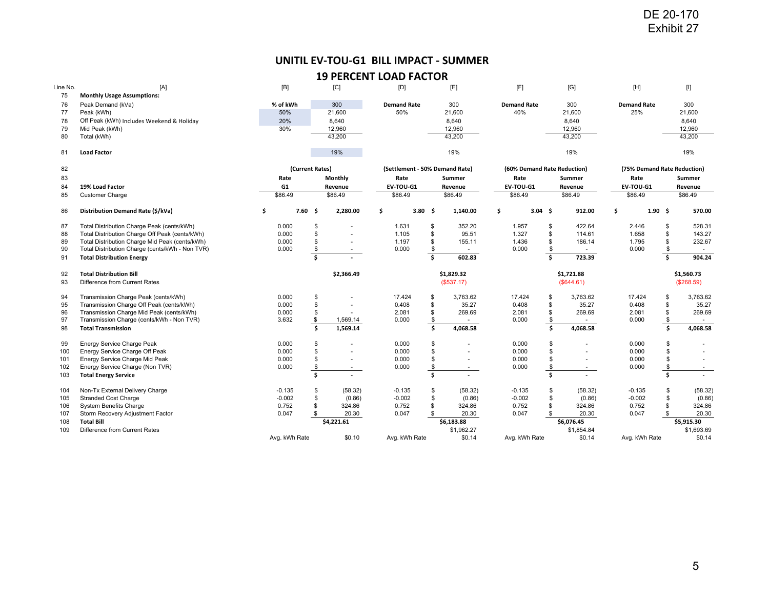# **UNITIL EV‐TOU‐G1 BILL IMPACT ‐ SUMMER**

| UNITIL EV-TOU-G1 BILL IMPACT - SUMMER<br><b>19 PERCENT LOAD FACTOR</b><br>[A]<br>[B]<br>[D]<br>[F]<br>Line No.<br>[C]<br>[E]<br>[G]<br>75<br><b>Monthly Usage Assumptions:</b><br>76<br>Peak Demand (kVa)<br>300<br>300<br>% of kWh<br><b>Demand Rate</b><br>300<br><b>Demand Rate</b><br>77<br>50%<br>21,600<br>50%<br>21,600<br>40%<br>21,600<br>Peak (kWh)<br>78<br>Off Peak (kWh) Includes Weekend & Holiday<br>20%<br>8,640<br>8,640<br>8,640<br>Mid Peak (kWh)<br>30%<br>79<br>12,960<br>12,960<br>12,960<br>43,200<br>43,200<br>43,200<br>80<br>Total (kWh)<br>19%<br>19%<br>81<br><b>Load Factor</b><br>19%<br>82<br>(Current Rates)<br>(Settlement - 50% Demand Rate)<br>(60% Demand Rate Reduction)<br>83<br>Rate<br>Monthly<br>Rate<br>Summer<br>Rate<br>Summer<br>84<br>19% Load Factor<br>G1<br>EV-TOU-G1<br>EV-TOU-G1<br>Revenue<br>Revenue<br>Revenue<br>\$86.49<br>85<br>\$86.49<br>\$86.49<br>\$86.49<br>\$86.49<br><b>Customer Charge</b><br>\$86.49<br>\$<br>7.60%<br>\$<br>\$<br>86<br>Distribution Demand Rate (\$/kVa)<br>2,280.00<br>$3.80\frac{2}{3}$<br>1,140.00<br>3.04 \$<br>912.00<br>\$<br>\$<br>87<br>Total Distribution Charge Peak (cents/kWh)<br>\$<br>352.20<br>422.64<br>0.000<br>1.631<br>1.957<br>$\sim$<br>Total Distribution Charge Off Peak (cents/kWh)<br>0.000<br>\$<br>1.105<br>\$<br>95.51<br>1.327<br>88<br>\$<br>114.61<br>89<br>Total Distribution Charge Mid Peak (cents/kWh)<br>\$<br>\$<br>\$<br>0.000<br>1.197<br>155.11<br>1.436<br>186.14<br>$\sim$<br>90<br>Total Distribution Charge (cents/kWh - Non TVR)<br>0.000<br>0.000<br>$\sqrt[6]{\frac{1}{2}}$<br>\$<br>0.000<br>$rac{1}{5}$<br>$\sim$<br>$\sim$<br>$\sim$<br>\$.<br>\$<br>602.83<br><b>Total Distribution Energy</b><br>723.39<br>91<br><b>Total Distribution Bill</b><br>\$1.829.32<br>\$1,721.88<br>92<br>\$2,366.49<br>93<br>Difference from Current Rates<br>(\$537.17)<br>(\$644.61)<br>Transmission Charge Peak (cents/kWh)<br>17.424<br>\$<br>17.424<br>3,763.62<br>94<br>0.000<br>\$<br>3,763.62<br>\$<br>$\mathbb{S}$<br>95<br>Transmission Charge Off Peak (cents/kWh)<br>0.000<br>0.408<br>\$<br>35.27<br>0.408<br>\$<br>35.27<br>÷.<br>\$<br>96<br>Transmission Charge Mid Peak (cents/kWh)<br>0.000<br>\$<br>2.081<br>269.69<br>\$<br>269.69<br>2.081<br>97<br>Transmission Charge (cents/kWh - Non TVR)<br>\$<br>\$<br>\$<br>3.632<br>1,569.14<br>0.000<br>0.000<br>$\sim$<br>$\sim$<br>$\overline{\boldsymbol{\varsigma}}$<br>\$<br>\$<br>98<br><b>Total Transmission</b><br>1,569.14<br>4,068.58<br>4,068.58<br>Energy Service Charge Peak<br>\$<br>0.000<br>\$<br>\$<br>99<br>0.000<br>0.000<br>\$<br>Energy Service Charge Off Peak<br>0.000<br>\$<br>0.000<br>0.000<br>\$<br>100<br>٠<br>$\sim$<br>\$<br>\$<br>Energy Service Charge Mid Peak<br>\$<br>101<br>0.000<br>0.000<br>0.000<br>÷<br>$\overline{\phantom{a}}$<br>\$<br>\$<br>Energy Service Charge (Non TVR)<br>\$<br>102<br>0.000<br>0.000<br>0.000<br>$\sim$<br>$\sim$<br>$\sim$<br>\$<br>\$<br>\$<br>103<br><b>Total Energy Service</b><br>Non-Tx External Delivery Charge<br>\$<br>\$<br>\$<br>104<br>$-0.135$<br>(58.32)<br>$-0.135$<br>(58.32)<br>$-0.135$<br>(58.32)<br>105<br><b>Stranded Cost Charge</b><br>$-0.002$<br>\$<br>$-0.002$<br>\$<br>$-0.002$<br>\$<br>(0.86)<br>(0.86)<br>(0.86)<br>\$<br>\$<br>0.752<br>324.86<br>0.752<br>0.752<br>\$ | [H]<br>$[] \centering \includegraphics[width=0.47\textwidth]{Figures/PD1.png} \caption{The number of different values of $y$ and $y$ and $z$ are shown in Fig. \ref{fig:13}. } \label{fig:13}$<br>300<br><b>Demand Rate</b><br>25%<br>21,600<br>8,640<br>12,960<br>43,200<br>19%<br>(75% Demand Rate Reduction)<br>Rate<br>Summer<br>EV-TOU-G1<br>Revenue<br>\$86.49<br>\$86.49<br>\$<br>$1.90 \quad $$<br>570.00<br>\$<br>2.446<br>528.31<br>1.658<br>143.27<br>\$<br>\$<br>232.67<br>1.795<br>0.000<br>\$<br>$\sim$<br>\$<br>904.24 |
|-----------------------------------------------------------------------------------------------------------------------------------------------------------------------------------------------------------------------------------------------------------------------------------------------------------------------------------------------------------------------------------------------------------------------------------------------------------------------------------------------------------------------------------------------------------------------------------------------------------------------------------------------------------------------------------------------------------------------------------------------------------------------------------------------------------------------------------------------------------------------------------------------------------------------------------------------------------------------------------------------------------------------------------------------------------------------------------------------------------------------------------------------------------------------------------------------------------------------------------------------------------------------------------------------------------------------------------------------------------------------------------------------------------------------------------------------------------------------------------------------------------------------------------------------------------------------------------------------------------------------------------------------------------------------------------------------------------------------------------------------------------------------------------------------------------------------------------------------------------------------------------------------------------------------------------------------------------------------------------------------------------------------------------------------------------------------------------------------------------------------------------------------------------------------------------------------------------------------------------------------------------------------------------------------------------------------------------------------------------------------------------------------------------------------------------------------------------------------------------------------------------------------------------------------------------------------------------------------------------------------------------------------------------------------------------------------------------------------------------------------------------------------------------------------------------------------------------------------------------------------------------------------------------------------------------------------------------------------------------------------------------------------------------------------------------------------------------------------------------------------------------------------------------------------------------------------------------------------------------------------------------------------------------------------------------------------------------------------------------|---------------------------------------------------------------------------------------------------------------------------------------------------------------------------------------------------------------------------------------------------------------------------------------------------------------------------------------------------------------------------------------------------------------------------------------------------------------------------------------------------------------------------------------|
|                                                                                                                                                                                                                                                                                                                                                                                                                                                                                                                                                                                                                                                                                                                                                                                                                                                                                                                                                                                                                                                                                                                                                                                                                                                                                                                                                                                                                                                                                                                                                                                                                                                                                                                                                                                                                                                                                                                                                                                                                                                                                                                                                                                                                                                                                                                                                                                                                                                                                                                                                                                                                                                                                                                                                                                                                                                                                                                                                                                                                                                                                                                                                                                                                                                                                                                                                           |                                                                                                                                                                                                                                                                                                                                                                                                                                                                                                                                       |
|                                                                                                                                                                                                                                                                                                                                                                                                                                                                                                                                                                                                                                                                                                                                                                                                                                                                                                                                                                                                                                                                                                                                                                                                                                                                                                                                                                                                                                                                                                                                                                                                                                                                                                                                                                                                                                                                                                                                                                                                                                                                                                                                                                                                                                                                                                                                                                                                                                                                                                                                                                                                                                                                                                                                                                                                                                                                                                                                                                                                                                                                                                                                                                                                                                                                                                                                                           |                                                                                                                                                                                                                                                                                                                                                                                                                                                                                                                                       |
|                                                                                                                                                                                                                                                                                                                                                                                                                                                                                                                                                                                                                                                                                                                                                                                                                                                                                                                                                                                                                                                                                                                                                                                                                                                                                                                                                                                                                                                                                                                                                                                                                                                                                                                                                                                                                                                                                                                                                                                                                                                                                                                                                                                                                                                                                                                                                                                                                                                                                                                                                                                                                                                                                                                                                                                                                                                                                                                                                                                                                                                                                                                                                                                                                                                                                                                                                           |                                                                                                                                                                                                                                                                                                                                                                                                                                                                                                                                       |
|                                                                                                                                                                                                                                                                                                                                                                                                                                                                                                                                                                                                                                                                                                                                                                                                                                                                                                                                                                                                                                                                                                                                                                                                                                                                                                                                                                                                                                                                                                                                                                                                                                                                                                                                                                                                                                                                                                                                                                                                                                                                                                                                                                                                                                                                                                                                                                                                                                                                                                                                                                                                                                                                                                                                                                                                                                                                                                                                                                                                                                                                                                                                                                                                                                                                                                                                                           |                                                                                                                                                                                                                                                                                                                                                                                                                                                                                                                                       |
|                                                                                                                                                                                                                                                                                                                                                                                                                                                                                                                                                                                                                                                                                                                                                                                                                                                                                                                                                                                                                                                                                                                                                                                                                                                                                                                                                                                                                                                                                                                                                                                                                                                                                                                                                                                                                                                                                                                                                                                                                                                                                                                                                                                                                                                                                                                                                                                                                                                                                                                                                                                                                                                                                                                                                                                                                                                                                                                                                                                                                                                                                                                                                                                                                                                                                                                                                           |                                                                                                                                                                                                                                                                                                                                                                                                                                                                                                                                       |
|                                                                                                                                                                                                                                                                                                                                                                                                                                                                                                                                                                                                                                                                                                                                                                                                                                                                                                                                                                                                                                                                                                                                                                                                                                                                                                                                                                                                                                                                                                                                                                                                                                                                                                                                                                                                                                                                                                                                                                                                                                                                                                                                                                                                                                                                                                                                                                                                                                                                                                                                                                                                                                                                                                                                                                                                                                                                                                                                                                                                                                                                                                                                                                                                                                                                                                                                                           |                                                                                                                                                                                                                                                                                                                                                                                                                                                                                                                                       |
|                                                                                                                                                                                                                                                                                                                                                                                                                                                                                                                                                                                                                                                                                                                                                                                                                                                                                                                                                                                                                                                                                                                                                                                                                                                                                                                                                                                                                                                                                                                                                                                                                                                                                                                                                                                                                                                                                                                                                                                                                                                                                                                                                                                                                                                                                                                                                                                                                                                                                                                                                                                                                                                                                                                                                                                                                                                                                                                                                                                                                                                                                                                                                                                                                                                                                                                                                           |                                                                                                                                                                                                                                                                                                                                                                                                                                                                                                                                       |
|                                                                                                                                                                                                                                                                                                                                                                                                                                                                                                                                                                                                                                                                                                                                                                                                                                                                                                                                                                                                                                                                                                                                                                                                                                                                                                                                                                                                                                                                                                                                                                                                                                                                                                                                                                                                                                                                                                                                                                                                                                                                                                                                                                                                                                                                                                                                                                                                                                                                                                                                                                                                                                                                                                                                                                                                                                                                                                                                                                                                                                                                                                                                                                                                                                                                                                                                                           |                                                                                                                                                                                                                                                                                                                                                                                                                                                                                                                                       |
|                                                                                                                                                                                                                                                                                                                                                                                                                                                                                                                                                                                                                                                                                                                                                                                                                                                                                                                                                                                                                                                                                                                                                                                                                                                                                                                                                                                                                                                                                                                                                                                                                                                                                                                                                                                                                                                                                                                                                                                                                                                                                                                                                                                                                                                                                                                                                                                                                                                                                                                                                                                                                                                                                                                                                                                                                                                                                                                                                                                                                                                                                                                                                                                                                                                                                                                                                           |                                                                                                                                                                                                                                                                                                                                                                                                                                                                                                                                       |
|                                                                                                                                                                                                                                                                                                                                                                                                                                                                                                                                                                                                                                                                                                                                                                                                                                                                                                                                                                                                                                                                                                                                                                                                                                                                                                                                                                                                                                                                                                                                                                                                                                                                                                                                                                                                                                                                                                                                                                                                                                                                                                                                                                                                                                                                                                                                                                                                                                                                                                                                                                                                                                                                                                                                                                                                                                                                                                                                                                                                                                                                                                                                                                                                                                                                                                                                                           |                                                                                                                                                                                                                                                                                                                                                                                                                                                                                                                                       |
|                                                                                                                                                                                                                                                                                                                                                                                                                                                                                                                                                                                                                                                                                                                                                                                                                                                                                                                                                                                                                                                                                                                                                                                                                                                                                                                                                                                                                                                                                                                                                                                                                                                                                                                                                                                                                                                                                                                                                                                                                                                                                                                                                                                                                                                                                                                                                                                                                                                                                                                                                                                                                                                                                                                                                                                                                                                                                                                                                                                                                                                                                                                                                                                                                                                                                                                                                           |                                                                                                                                                                                                                                                                                                                                                                                                                                                                                                                                       |
|                                                                                                                                                                                                                                                                                                                                                                                                                                                                                                                                                                                                                                                                                                                                                                                                                                                                                                                                                                                                                                                                                                                                                                                                                                                                                                                                                                                                                                                                                                                                                                                                                                                                                                                                                                                                                                                                                                                                                                                                                                                                                                                                                                                                                                                                                                                                                                                                                                                                                                                                                                                                                                                                                                                                                                                                                                                                                                                                                                                                                                                                                                                                                                                                                                                                                                                                                           |                                                                                                                                                                                                                                                                                                                                                                                                                                                                                                                                       |
|                                                                                                                                                                                                                                                                                                                                                                                                                                                                                                                                                                                                                                                                                                                                                                                                                                                                                                                                                                                                                                                                                                                                                                                                                                                                                                                                                                                                                                                                                                                                                                                                                                                                                                                                                                                                                                                                                                                                                                                                                                                                                                                                                                                                                                                                                                                                                                                                                                                                                                                                                                                                                                                                                                                                                                                                                                                                                                                                                                                                                                                                                                                                                                                                                                                                                                                                                           |                                                                                                                                                                                                                                                                                                                                                                                                                                                                                                                                       |
|                                                                                                                                                                                                                                                                                                                                                                                                                                                                                                                                                                                                                                                                                                                                                                                                                                                                                                                                                                                                                                                                                                                                                                                                                                                                                                                                                                                                                                                                                                                                                                                                                                                                                                                                                                                                                                                                                                                                                                                                                                                                                                                                                                                                                                                                                                                                                                                                                                                                                                                                                                                                                                                                                                                                                                                                                                                                                                                                                                                                                                                                                                                                                                                                                                                                                                                                                           |                                                                                                                                                                                                                                                                                                                                                                                                                                                                                                                                       |
|                                                                                                                                                                                                                                                                                                                                                                                                                                                                                                                                                                                                                                                                                                                                                                                                                                                                                                                                                                                                                                                                                                                                                                                                                                                                                                                                                                                                                                                                                                                                                                                                                                                                                                                                                                                                                                                                                                                                                                                                                                                                                                                                                                                                                                                                                                                                                                                                                                                                                                                                                                                                                                                                                                                                                                                                                                                                                                                                                                                                                                                                                                                                                                                                                                                                                                                                                           |                                                                                                                                                                                                                                                                                                                                                                                                                                                                                                                                       |
|                                                                                                                                                                                                                                                                                                                                                                                                                                                                                                                                                                                                                                                                                                                                                                                                                                                                                                                                                                                                                                                                                                                                                                                                                                                                                                                                                                                                                                                                                                                                                                                                                                                                                                                                                                                                                                                                                                                                                                                                                                                                                                                                                                                                                                                                                                                                                                                                                                                                                                                                                                                                                                                                                                                                                                                                                                                                                                                                                                                                                                                                                                                                                                                                                                                                                                                                                           |                                                                                                                                                                                                                                                                                                                                                                                                                                                                                                                                       |
|                                                                                                                                                                                                                                                                                                                                                                                                                                                                                                                                                                                                                                                                                                                                                                                                                                                                                                                                                                                                                                                                                                                                                                                                                                                                                                                                                                                                                                                                                                                                                                                                                                                                                                                                                                                                                                                                                                                                                                                                                                                                                                                                                                                                                                                                                                                                                                                                                                                                                                                                                                                                                                                                                                                                                                                                                                                                                                                                                                                                                                                                                                                                                                                                                                                                                                                                                           |                                                                                                                                                                                                                                                                                                                                                                                                                                                                                                                                       |
|                                                                                                                                                                                                                                                                                                                                                                                                                                                                                                                                                                                                                                                                                                                                                                                                                                                                                                                                                                                                                                                                                                                                                                                                                                                                                                                                                                                                                                                                                                                                                                                                                                                                                                                                                                                                                                                                                                                                                                                                                                                                                                                                                                                                                                                                                                                                                                                                                                                                                                                                                                                                                                                                                                                                                                                                                                                                                                                                                                                                                                                                                                                                                                                                                                                                                                                                                           |                                                                                                                                                                                                                                                                                                                                                                                                                                                                                                                                       |
|                                                                                                                                                                                                                                                                                                                                                                                                                                                                                                                                                                                                                                                                                                                                                                                                                                                                                                                                                                                                                                                                                                                                                                                                                                                                                                                                                                                                                                                                                                                                                                                                                                                                                                                                                                                                                                                                                                                                                                                                                                                                                                                                                                                                                                                                                                                                                                                                                                                                                                                                                                                                                                                                                                                                                                                                                                                                                                                                                                                                                                                                                                                                                                                                                                                                                                                                                           | \$1,560.73                                                                                                                                                                                                                                                                                                                                                                                                                                                                                                                            |
|                                                                                                                                                                                                                                                                                                                                                                                                                                                                                                                                                                                                                                                                                                                                                                                                                                                                                                                                                                                                                                                                                                                                                                                                                                                                                                                                                                                                                                                                                                                                                                                                                                                                                                                                                                                                                                                                                                                                                                                                                                                                                                                                                                                                                                                                                                                                                                                                                                                                                                                                                                                                                                                                                                                                                                                                                                                                                                                                                                                                                                                                                                                                                                                                                                                                                                                                                           | (\$268.59)                                                                                                                                                                                                                                                                                                                                                                                                                                                                                                                            |
|                                                                                                                                                                                                                                                                                                                                                                                                                                                                                                                                                                                                                                                                                                                                                                                                                                                                                                                                                                                                                                                                                                                                                                                                                                                                                                                                                                                                                                                                                                                                                                                                                                                                                                                                                                                                                                                                                                                                                                                                                                                                                                                                                                                                                                                                                                                                                                                                                                                                                                                                                                                                                                                                                                                                                                                                                                                                                                                                                                                                                                                                                                                                                                                                                                                                                                                                                           | 17.424<br>\$<br>3,763.62                                                                                                                                                                                                                                                                                                                                                                                                                                                                                                              |
|                                                                                                                                                                                                                                                                                                                                                                                                                                                                                                                                                                                                                                                                                                                                                                                                                                                                                                                                                                                                                                                                                                                                                                                                                                                                                                                                                                                                                                                                                                                                                                                                                                                                                                                                                                                                                                                                                                                                                                                                                                                                                                                                                                                                                                                                                                                                                                                                                                                                                                                                                                                                                                                                                                                                                                                                                                                                                                                                                                                                                                                                                                                                                                                                                                                                                                                                                           | 0.408<br>\$<br>35.27                                                                                                                                                                                                                                                                                                                                                                                                                                                                                                                  |
|                                                                                                                                                                                                                                                                                                                                                                                                                                                                                                                                                                                                                                                                                                                                                                                                                                                                                                                                                                                                                                                                                                                                                                                                                                                                                                                                                                                                                                                                                                                                                                                                                                                                                                                                                                                                                                                                                                                                                                                                                                                                                                                                                                                                                                                                                                                                                                                                                                                                                                                                                                                                                                                                                                                                                                                                                                                                                                                                                                                                                                                                                                                                                                                                                                                                                                                                                           | \$<br>269.69<br>2.081<br>\$<br>0.000<br>$\sim$                                                                                                                                                                                                                                                                                                                                                                                                                                                                                        |
|                                                                                                                                                                                                                                                                                                                                                                                                                                                                                                                                                                                                                                                                                                                                                                                                                                                                                                                                                                                                                                                                                                                                                                                                                                                                                                                                                                                                                                                                                                                                                                                                                                                                                                                                                                                                                                                                                                                                                                                                                                                                                                                                                                                                                                                                                                                                                                                                                                                                                                                                                                                                                                                                                                                                                                                                                                                                                                                                                                                                                                                                                                                                                                                                                                                                                                                                                           | \$<br>4,068.58                                                                                                                                                                                                                                                                                                                                                                                                                                                                                                                        |
|                                                                                                                                                                                                                                                                                                                                                                                                                                                                                                                                                                                                                                                                                                                                                                                                                                                                                                                                                                                                                                                                                                                                                                                                                                                                                                                                                                                                                                                                                                                                                                                                                                                                                                                                                                                                                                                                                                                                                                                                                                                                                                                                                                                                                                                                                                                                                                                                                                                                                                                                                                                                                                                                                                                                                                                                                                                                                                                                                                                                                                                                                                                                                                                                                                                                                                                                                           | \$<br>0.000                                                                                                                                                                                                                                                                                                                                                                                                                                                                                                                           |
|                                                                                                                                                                                                                                                                                                                                                                                                                                                                                                                                                                                                                                                                                                                                                                                                                                                                                                                                                                                                                                                                                                                                                                                                                                                                                                                                                                                                                                                                                                                                                                                                                                                                                                                                                                                                                                                                                                                                                                                                                                                                                                                                                                                                                                                                                                                                                                                                                                                                                                                                                                                                                                                                                                                                                                                                                                                                                                                                                                                                                                                                                                                                                                                                                                                                                                                                                           | \$<br>0.000                                                                                                                                                                                                                                                                                                                                                                                                                                                                                                                           |
|                                                                                                                                                                                                                                                                                                                                                                                                                                                                                                                                                                                                                                                                                                                                                                                                                                                                                                                                                                                                                                                                                                                                                                                                                                                                                                                                                                                                                                                                                                                                                                                                                                                                                                                                                                                                                                                                                                                                                                                                                                                                                                                                                                                                                                                                                                                                                                                                                                                                                                                                                                                                                                                                                                                                                                                                                                                                                                                                                                                                                                                                                                                                                                                                                                                                                                                                                           | \$<br>0.000<br>$\sim$<br>\$<br>0.000<br>$\sim$                                                                                                                                                                                                                                                                                                                                                                                                                                                                                        |
|                                                                                                                                                                                                                                                                                                                                                                                                                                                                                                                                                                                                                                                                                                                                                                                                                                                                                                                                                                                                                                                                                                                                                                                                                                                                                                                                                                                                                                                                                                                                                                                                                                                                                                                                                                                                                                                                                                                                                                                                                                                                                                                                                                                                                                                                                                                                                                                                                                                                                                                                                                                                                                                                                                                                                                                                                                                                                                                                                                                                                                                                                                                                                                                                                                                                                                                                                           | \$<br>$\sim$                                                                                                                                                                                                                                                                                                                                                                                                                                                                                                                          |
|                                                                                                                                                                                                                                                                                                                                                                                                                                                                                                                                                                                                                                                                                                                                                                                                                                                                                                                                                                                                                                                                                                                                                                                                                                                                                                                                                                                                                                                                                                                                                                                                                                                                                                                                                                                                                                                                                                                                                                                                                                                                                                                                                                                                                                                                                                                                                                                                                                                                                                                                                                                                                                                                                                                                                                                                                                                                                                                                                                                                                                                                                                                                                                                                                                                                                                                                                           | \$<br>$-0.135$<br>(58.32)                                                                                                                                                                                                                                                                                                                                                                                                                                                                                                             |
|                                                                                                                                                                                                                                                                                                                                                                                                                                                                                                                                                                                                                                                                                                                                                                                                                                                                                                                                                                                                                                                                                                                                                                                                                                                                                                                                                                                                                                                                                                                                                                                                                                                                                                                                                                                                                                                                                                                                                                                                                                                                                                                                                                                                                                                                                                                                                                                                                                                                                                                                                                                                                                                                                                                                                                                                                                                                                                                                                                                                                                                                                                                                                                                                                                                                                                                                                           | $-0.002$<br>\$<br>(0.86)                                                                                                                                                                                                                                                                                                                                                                                                                                                                                                              |
| <b>System Benefits Charge</b><br>106<br>324.86<br>324.86                                                                                                                                                                                                                                                                                                                                                                                                                                                                                                                                                                                                                                                                                                                                                                                                                                                                                                                                                                                                                                                                                                                                                                                                                                                                                                                                                                                                                                                                                                                                                                                                                                                                                                                                                                                                                                                                                                                                                                                                                                                                                                                                                                                                                                                                                                                                                                                                                                                                                                                                                                                                                                                                                                                                                                                                                                                                                                                                                                                                                                                                                                                                                                                                                                                                                                  | $\mathbb{S}$<br>0.752<br>324.86                                                                                                                                                                                                                                                                                                                                                                                                                                                                                                       |
| \$<br>$\sqrt{3}$<br>107<br>Storm Recovery Adjustment Factor<br>0.047<br>20.30<br>0.047<br>20.30<br>0.047<br>\$<br>20.30<br><b>Total Bill</b>                                                                                                                                                                                                                                                                                                                                                                                                                                                                                                                                                                                                                                                                                                                                                                                                                                                                                                                                                                                                                                                                                                                                                                                                                                                                                                                                                                                                                                                                                                                                                                                                                                                                                                                                                                                                                                                                                                                                                                                                                                                                                                                                                                                                                                                                                                                                                                                                                                                                                                                                                                                                                                                                                                                                                                                                                                                                                                                                                                                                                                                                                                                                                                                                              | \$<br>20.30<br>0.047<br>\$5.915.30                                                                                                                                                                                                                                                                                                                                                                                                                                                                                                    |
| \$4,221.61<br>\$6.183.88<br>\$6.076.45<br>108<br>Difference from Current Rates<br>\$1,962.27<br>109<br>\$1,854.84                                                                                                                                                                                                                                                                                                                                                                                                                                                                                                                                                                                                                                                                                                                                                                                                                                                                                                                                                                                                                                                                                                                                                                                                                                                                                                                                                                                                                                                                                                                                                                                                                                                                                                                                                                                                                                                                                                                                                                                                                                                                                                                                                                                                                                                                                                                                                                                                                                                                                                                                                                                                                                                                                                                                                                                                                                                                                                                                                                                                                                                                                                                                                                                                                                         | \$1,693.69                                                                                                                                                                                                                                                                                                                                                                                                                                                                                                                            |
| \$0.14<br>\$0.14<br>Avg. kWh Rate<br>\$0.10<br>Avg. kWh Rate<br>Avg. kWh Rate                                                                                                                                                                                                                                                                                                                                                                                                                                                                                                                                                                                                                                                                                                                                                                                                                                                                                                                                                                                                                                                                                                                                                                                                                                                                                                                                                                                                                                                                                                                                                                                                                                                                                                                                                                                                                                                                                                                                                                                                                                                                                                                                                                                                                                                                                                                                                                                                                                                                                                                                                                                                                                                                                                                                                                                                                                                                                                                                                                                                                                                                                                                                                                                                                                                                             | \$0.14<br>Avg. kWh Rate                                                                                                                                                                                                                                                                                                                                                                                                                                                                                                               |
|                                                                                                                                                                                                                                                                                                                                                                                                                                                                                                                                                                                                                                                                                                                                                                                                                                                                                                                                                                                                                                                                                                                                                                                                                                                                                                                                                                                                                                                                                                                                                                                                                                                                                                                                                                                                                                                                                                                                                                                                                                                                                                                                                                                                                                                                                                                                                                                                                                                                                                                                                                                                                                                                                                                                                                                                                                                                                                                                                                                                                                                                                                                                                                                                                                                                                                                                                           |                                                                                                                                                                                                                                                                                                                                                                                                                                                                                                                                       |
|                                                                                                                                                                                                                                                                                                                                                                                                                                                                                                                                                                                                                                                                                                                                                                                                                                                                                                                                                                                                                                                                                                                                                                                                                                                                                                                                                                                                                                                                                                                                                                                                                                                                                                                                                                                                                                                                                                                                                                                                                                                                                                                                                                                                                                                                                                                                                                                                                                                                                                                                                                                                                                                                                                                                                                                                                                                                                                                                                                                                                                                                                                                                                                                                                                                                                                                                                           |                                                                                                                                                                                                                                                                                                                                                                                                                                                                                                                                       |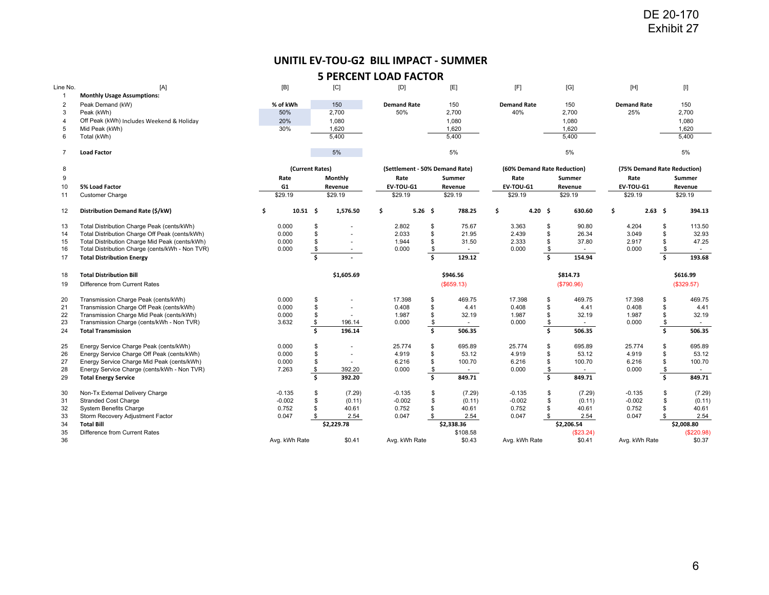## **UNITIL EV‐TOU‐G2 BILL IMPACT ‐ SUMMER**

|                                  |                                                                                           |                       |                 |                  |                                       |          |                    |                    |                             |          |                     |                      | Exhibit 27              |                                                                                                                                                                                                                                                                                                                                                                                                                                                                                                                                                                                                                                                                                                                                                                                                                                                                                |
|----------------------------------|-------------------------------------------------------------------------------------------|-----------------------|-----------------|------------------|---------------------------------------|----------|--------------------|--------------------|-----------------------------|----------|---------------------|----------------------|-------------------------|--------------------------------------------------------------------------------------------------------------------------------------------------------------------------------------------------------------------------------------------------------------------------------------------------------------------------------------------------------------------------------------------------------------------------------------------------------------------------------------------------------------------------------------------------------------------------------------------------------------------------------------------------------------------------------------------------------------------------------------------------------------------------------------------------------------------------------------------------------------------------------|
|                                  |                                                                                           |                       |                 |                  |                                       |          |                    |                    |                             |          |                     |                      |                         |                                                                                                                                                                                                                                                                                                                                                                                                                                                                                                                                                                                                                                                                                                                                                                                                                                                                                |
|                                  |                                                                                           |                       |                 |                  | UNITIL EV-TOU-G2 BILL IMPACT - SUMMER |          |                    |                    |                             |          |                     |                      |                         |                                                                                                                                                                                                                                                                                                                                                                                                                                                                                                                                                                                                                                                                                                                                                                                                                                                                                |
|                                  |                                                                                           |                       |                 |                  | <b>5 PERCENT LOAD FACTOR</b>          |          |                    |                    |                             |          |                     |                      |                         |                                                                                                                                                                                                                                                                                                                                                                                                                                                                                                                                                                                                                                                                                                                                                                                                                                                                                |
| Line No.                         | [A]                                                                                       | [B]                   |                 | [C]              | [D]                                   |          | [E]                | [F]                |                             |          | [G]                 | $[H]$                |                         | $[] \centering \includegraphics[width=0.47\textwidth]{Figures/PD1.png} \caption{The 3D (black) model for the 3D (black) model. The left side is the same time. The right side is the same time. The right side is the same time. The right side is the same time. The right side is the same time. The right side is the same time. The right side is the same time. The right side is the same time. The right side is the same time. The right side is the same time. The right side is the same time. The right side is the same time. The right side is the same time. The right side is the same time. The right side is the same time. The right side is the same time. The right side is the same time. The right side is the same time. The right side is the same time. The right side is the same time. The right side is the same time. The right side is the same$ |
| $\overline{1}$<br>$\overline{c}$ | <b>Monthly Usage Assumptions:</b>                                                         | % of kWh              |                 | 150              | <b>Demand Rate</b>                    |          | 150                | <b>Demand Rate</b> |                             |          | 150                 | <b>Demand Rate</b>   |                         |                                                                                                                                                                                                                                                                                                                                                                                                                                                                                                                                                                                                                                                                                                                                                                                                                                                                                |
| 3                                | Peak Demand (kW)<br>Peak (kWh)                                                            | 50%                   |                 | 2,700            | 50%                                   |          | 2,700              | 40%                |                             |          | 2,700               | 25%                  |                         | 150<br>2,700                                                                                                                                                                                                                                                                                                                                                                                                                                                                                                                                                                                                                                                                                                                                                                                                                                                                   |
| $\overline{4}$                   | Off Peak (kWh) Includes Weekend & Holiday                                                 | 20%                   |                 | 1,080            |                                       |          | 1,080              |                    |                             |          | 1,080               |                      |                         | 1,080                                                                                                                                                                                                                                                                                                                                                                                                                                                                                                                                                                                                                                                                                                                                                                                                                                                                          |
| 5                                | Mid Peak (kWh)                                                                            | 30%                   |                 | 1,620            |                                       |          | 1,620              |                    |                             |          | 1,620               |                      |                         | 1,620                                                                                                                                                                                                                                                                                                                                                                                                                                                                                                                                                                                                                                                                                                                                                                                                                                                                          |
| 6                                | Total (kWh)                                                                               |                       |                 | 5,400            |                                       |          | 5,400              |                    |                             |          | 5,400               |                      |                         | 5,400                                                                                                                                                                                                                                                                                                                                                                                                                                                                                                                                                                                                                                                                                                                                                                                                                                                                          |
| $\overline{7}$                   | <b>Load Factor</b>                                                                        |                       |                 | 5%               |                                       |          | 5%                 |                    |                             |          | 5%                  |                      |                         | 5%                                                                                                                                                                                                                                                                                                                                                                                                                                                                                                                                                                                                                                                                                                                                                                                                                                                                             |
| 8                                |                                                                                           |                       | (Current Rates) |                  | (Settlement - 50% Demand Rate)        |          |                    |                    | (60% Demand Rate Reduction) |          |                     |                      |                         | (75% Demand Rate Reduction)                                                                                                                                                                                                                                                                                                                                                                                                                                                                                                                                                                                                                                                                                                                                                                                                                                                    |
| 9                                |                                                                                           | Rate                  |                 | Monthly          | Rate                                  |          | Summer             | Rate               |                             |          | Summer              | Rate                 |                         | Summer                                                                                                                                                                                                                                                                                                                                                                                                                                                                                                                                                                                                                                                                                                                                                                                                                                                                         |
| 10                               | 5% Load Factor                                                                            | G <sub>1</sub>        |                 | Revenue          | EV-TOU-G1                             |          | Revenue            | EV-TOU-G1          |                             |          | Revenue             | EV-TOU-G1            |                         | Revenue                                                                                                                                                                                                                                                                                                                                                                                                                                                                                                                                                                                                                                                                                                                                                                                                                                                                        |
| 11                               | <b>Customer Charge</b>                                                                    | \$29.19               |                 | \$29.19          | \$29.19                               |          | \$29.19            | \$29.19            |                             |          | \$29.19             | \$29.19              |                         | \$29.19                                                                                                                                                                                                                                                                                                                                                                                                                                                                                                                                                                                                                                                                                                                                                                                                                                                                        |
| 12                               | Distribution Demand Rate (\$/kW)                                                          | \$<br>$10.51 \quad $$ |                 | 1,576.50         | \$<br>$5.26$ \$                       |          | 788.25             | \$                 | 4.20 \$                     |          | 630.60              | \$                   | $2.63 \quad $$          | 394.13                                                                                                                                                                                                                                                                                                                                                                                                                                                                                                                                                                                                                                                                                                                                                                                                                                                                         |
| 13                               | Total Distribution Charge Peak (cents/kWh)                                                | 0.000                 | \$              | $\sim$           | 2.802                                 | \$       | 75.67              |                    | 3.363                       | \$       | 90.80               | 4.204                | \$                      | 113.50                                                                                                                                                                                                                                                                                                                                                                                                                                                                                                                                                                                                                                                                                                                                                                                                                                                                         |
| 14                               | Total Distribution Charge Off Peak (cents/kWh)                                            | 0.000                 | \$              |                  | 2.033                                 | \$       | 21.95              |                    | 2.439                       | \$       | 26.34               | 3.049                | \$                      | 32.93                                                                                                                                                                                                                                                                                                                                                                                                                                                                                                                                                                                                                                                                                                                                                                                                                                                                          |
| 15                               | Total Distribution Charge Mid Peak (cents/kWh)                                            | 0.000                 | \$              | $\sim$           | 1.944                                 | \$       | 31.50              |                    | 2.333                       | \$       | 37.80               | 2.917                | \$                      | 47.25                                                                                                                                                                                                                                                                                                                                                                                                                                                                                                                                                                                                                                                                                                                                                                                                                                                                          |
| 16<br>17                         | Total Distribution Charge (cents/kWh - Non TVR)<br><b>Total Distribution Energy</b>       | 0.000                 | \$<br>\$        | $\sim$           | 0.000                                 | \$<br>\$ | $\sim$<br>129.12   |                    | 0.000                       | \$<br>\$ | $\sim$<br>154.94    | 0.000                | \$<br>\$                | $\sim$<br>193.68                                                                                                                                                                                                                                                                                                                                                                                                                                                                                                                                                                                                                                                                                                                                                                                                                                                               |
|                                  |                                                                                           |                       |                 |                  |                                       |          |                    |                    |                             |          |                     |                      |                         |                                                                                                                                                                                                                                                                                                                                                                                                                                                                                                                                                                                                                                                                                                                                                                                                                                                                                |
| 18                               | <b>Total Distribution Bill</b>                                                            |                       |                 | \$1,605.69       |                                       |          | \$946.56           |                    |                             |          | \$814.73            |                      |                         | \$616.99                                                                                                                                                                                                                                                                                                                                                                                                                                                                                                                                                                                                                                                                                                                                                                                                                                                                       |
| 19                               | Difference from Current Rates                                                             |                       |                 |                  |                                       |          | (\$659.13)         |                    |                             |          | (\$790.96)          |                      |                         | (\$329.57)                                                                                                                                                                                                                                                                                                                                                                                                                                                                                                                                                                                                                                                                                                                                                                                                                                                                     |
| 20                               | Transmission Charge Peak (cents/kWh)                                                      | 0.000                 | \$              | $\sim$           | 17.398                                | \$       | 469.75             | 17.398             |                             | \$       | 469.75              | 17.398               | \$                      | 469.75                                                                                                                                                                                                                                                                                                                                                                                                                                                                                                                                                                                                                                                                                                                                                                                                                                                                         |
| 21                               | Transmission Charge Off Peak (cents/kWh)                                                  | 0.000                 | \$<br>\$        | $\blacksquare$   | 0.408                                 | \$       | 4.41               |                    | 0.408                       | \$       | 4.41<br>32.19       | 0.408                | \$<br>\$                | 4.41                                                                                                                                                                                                                                                                                                                                                                                                                                                                                                                                                                                                                                                                                                                                                                                                                                                                           |
| 22<br>23                         | Transmission Charge Mid Peak (cents/kWh)<br>Transmission Charge (cents/kWh - Non TVR)     | 0.000<br>3.632        | \$              | 196.14           | 1.987<br>0.000                        | \$<br>\$ | 32.19<br>$\sim$    |                    | 1.987<br>0.000              | \$<br>\$ | $\sim$              | 1.987<br>0.000       | \$                      | 32.19<br>$\sim$                                                                                                                                                                                                                                                                                                                                                                                                                                                                                                                                                                                                                                                                                                                                                                                                                                                                |
| 24                               | <b>Total Transmission</b>                                                                 |                       | \$              | 196.14           |                                       | Ŝ.       | 506.35             |                    |                             | \$       | 506.35              |                      | $\overline{\mathbf{s}}$ | 506.35                                                                                                                                                                                                                                                                                                                                                                                                                                                                                                                                                                                                                                                                                                                                                                                                                                                                         |
| 25                               | Energy Service Charge Peak (cents/kWh)                                                    | 0.000                 | \$              | $\sim$           | 25.774                                | \$       | 695.89             | 25.774             |                             | \$       | 695.89              | 25.774               | \$                      | 695.89                                                                                                                                                                                                                                                                                                                                                                                                                                                                                                                                                                                                                                                                                                                                                                                                                                                                         |
| 26                               | Energy Service Charge Off Peak (cents/kWh)                                                | 0.000                 | \$              | $\blacksquare$   | 4.919                                 | \$       | 53.12              | 4.919              |                             | \$       | 53.12               | 4.919                | \$                      | 53.12                                                                                                                                                                                                                                                                                                                                                                                                                                                                                                                                                                                                                                                                                                                                                                                                                                                                          |
| 27<br>28                         | Energy Service Charge Mid Peak (cents/kWh)<br>Energy Service Charge (cents/kWh - Non TVR) | 0.000<br>7.263        | \$<br>\$        | 392.20           | 6.216<br>0.000                        | \$       | 100.70<br>$\sim$   |                    | 6.216<br>0.000              | \$<br>\$ | 100.70<br>$\sim$    | 6.216<br>0.000       | \$<br>\$                | 100.70<br>$\sim$                                                                                                                                                                                                                                                                                                                                                                                                                                                                                                                                                                                                                                                                                                                                                                                                                                                               |
| 29                               | <b>Total Energy Service</b>                                                               |                       | \$              | 392.20           |                                       | \$<br>Ś. | 849.71             |                    |                             | \$       | 849.71              |                      | \$                      | 849.71                                                                                                                                                                                                                                                                                                                                                                                                                                                                                                                                                                                                                                                                                                                                                                                                                                                                         |
|                                  |                                                                                           |                       |                 |                  |                                       |          |                    |                    |                             |          |                     |                      |                         |                                                                                                                                                                                                                                                                                                                                                                                                                                                                                                                                                                                                                                                                                                                                                                                                                                                                                |
| 30<br>31                         | Non-Tx External Delivery Charge<br><b>Stranded Cost Charge</b>                            | $-0.135$<br>$-0.002$  | \$<br>\$        | (7.29)<br>(0.11) | $-0.135$<br>$-0.002$                  | \$<br>\$ | (7.29)<br>(0.11)   | $-0.135$           | $-0.002$                    | \$<br>\$ | (7.29)<br>(0.11)    | $-0.135$<br>$-0.002$ | \$<br>\$                | (7.29)<br>(0.11)                                                                                                                                                                                                                                                                                                                                                                                                                                                                                                                                                                                                                                                                                                                                                                                                                                                               |
| 32                               | <b>System Benefits Charge</b>                                                             | 0.752                 | \$              | 40.61            | 0.752                                 | \$       | 40.61              |                    | 0.752                       | \$       | 40.61               | 0.752                | \$                      | 40.61                                                                                                                                                                                                                                                                                                                                                                                                                                                                                                                                                                                                                                                                                                                                                                                                                                                                          |
| 33                               | Storm Recovery Adjustment Factor                                                          | 0.047                 | \$              | 2.54             | 0.047                                 | \$       | 2.54               |                    | 0.047                       | \$       | 2.54                | 0.047                | \$                      | 2.54                                                                                                                                                                                                                                                                                                                                                                                                                                                                                                                                                                                                                                                                                                                                                                                                                                                                           |
| 34                               | <b>Total Bill</b>                                                                         |                       |                 | \$2,229.78       |                                       |          | \$2,338.36         |                    |                             |          | \$2,206.54          |                      |                         | \$2,008.80                                                                                                                                                                                                                                                                                                                                                                                                                                                                                                                                                                                                                                                                                                                                                                                                                                                                     |
| 35                               | Difference from Current Rates                                                             | Avg. kWh Rate         |                 | \$0.41           | Avg. kWh Rate                         |          | \$108.58<br>\$0.43 |                    | Avg. kWh Rate               |          | (\$23.24)<br>\$0.41 | Avg. kWh Rate        |                         | (\$220.98)<br>\$0.37                                                                                                                                                                                                                                                                                                                                                                                                                                                                                                                                                                                                                                                                                                                                                                                                                                                           |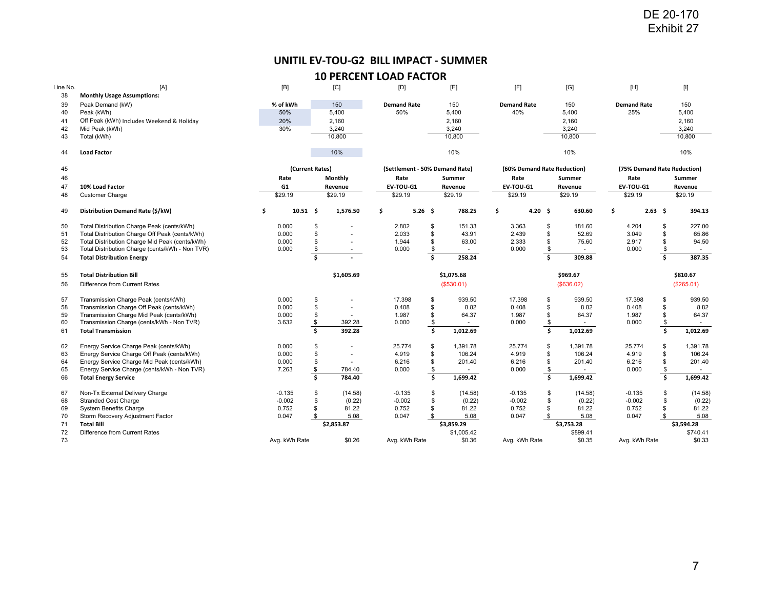# **UNITIL EV‐TOU‐G2 BILL IMPACT ‐ SUMMER**

| Line No.<br>38 | [A]<br><b>Monthly Usage Assumptions:</b>                                                         | [B]                   |          | [C]                      | [D]                            |          | [E]                  | [F]                         |          | [G]                | [H]                         |                | $[] \centering \includegraphics[width=0.47\textwidth]{Figures/PD1.png} \caption{The 3D (black) model for the 3D (black) model. The left side is the same time. The right side is the same time. The right side is the same time. The right side is the same time. The right side is the same time. The right side is the same time. The right side is the same time. The right side is the same time. The right side is the same time. The right side is the same time. The right side is the same time. The right side is the same time. The right side is the same time. The right side is the same time. The right side is the same time. The right side is the same time. The right side is the same time. The right side is the same time. The right side is the same time. The right side is the same time. The right side is the same time. The right side is the same$ |
|----------------|--------------------------------------------------------------------------------------------------|-----------------------|----------|--------------------------|--------------------------------|----------|----------------------|-----------------------------|----------|--------------------|-----------------------------|----------------|--------------------------------------------------------------------------------------------------------------------------------------------------------------------------------------------------------------------------------------------------------------------------------------------------------------------------------------------------------------------------------------------------------------------------------------------------------------------------------------------------------------------------------------------------------------------------------------------------------------------------------------------------------------------------------------------------------------------------------------------------------------------------------------------------------------------------------------------------------------------------------|
| 39             | Peak Demand (kW)                                                                                 | % of kWh              |          | 150                      | <b>Demand Rate</b>             |          | 150                  | <b>Demand Rate</b>          |          | 150                | <b>Demand Rate</b>          |                | 150                                                                                                                                                                                                                                                                                                                                                                                                                                                                                                                                                                                                                                                                                                                                                                                                                                                                            |
| 40<br>41       | Peak (kWh)<br>Off Peak (kWh) Includes Weekend & Holiday                                          | 50%<br>20%            |          | 5,400<br>2,160           | 50%                            |          | 5,400<br>2,160       | 40%                         |          | 5,400<br>2,160     | 25%                         |                | 5,400<br>2,160                                                                                                                                                                                                                                                                                                                                                                                                                                                                                                                                                                                                                                                                                                                                                                                                                                                                 |
| 42             | Mid Peak (kWh)                                                                                   | 30%                   |          | 3,240                    |                                |          | 3,240                |                             |          | 3,240              |                             |                | 3,240                                                                                                                                                                                                                                                                                                                                                                                                                                                                                                                                                                                                                                                                                                                                                                                                                                                                          |
| 43             | Total (kWh)                                                                                      |                       |          | 10,800                   |                                |          | 10,800               |                             |          | 10,800             |                             |                | 10,800                                                                                                                                                                                                                                                                                                                                                                                                                                                                                                                                                                                                                                                                                                                                                                                                                                                                         |
| 44             | <b>Load Factor</b>                                                                               |                       |          | 10%                      |                                |          | 10%                  |                             |          | 10%                |                             |                | 10%                                                                                                                                                                                                                                                                                                                                                                                                                                                                                                                                                                                                                                                                                                                                                                                                                                                                            |
| 45             |                                                                                                  | (Current Rates)       |          |                          | (Settlement - 50% Demand Rate) |          |                      | (60% Demand Rate Reduction) |          |                    | (75% Demand Rate Reduction) |                |                                                                                                                                                                                                                                                                                                                                                                                                                                                                                                                                                                                                                                                                                                                                                                                                                                                                                |
| 46             |                                                                                                  | Rate                  |          | Monthly                  | Rate                           |          | Summer               | Rate                        |          | Summer             | Rate                        |                | Summer                                                                                                                                                                                                                                                                                                                                                                                                                                                                                                                                                                                                                                                                                                                                                                                                                                                                         |
| 47             | 10% Load Factor                                                                                  | G1                    |          | Revenue                  | EV-TOU-G1                      |          | Revenue              | EV-TOU-G1                   |          | Revenue            | EV-TOU-G1                   |                | Revenue                                                                                                                                                                                                                                                                                                                                                                                                                                                                                                                                                                                                                                                                                                                                                                                                                                                                        |
| 48             | <b>Customer Charge</b>                                                                           | \$29.19               |          | \$29.19                  | \$29.19                        |          | \$29.19              | \$29.19                     |          | \$29.19            | \$29.19                     |                | \$29.19                                                                                                                                                                                                                                                                                                                                                                                                                                                                                                                                                                                                                                                                                                                                                                                                                                                                        |
| 49             | Distribution Demand Rate (\$/kW)                                                                 | \$<br>$10.51 \quad $$ |          | 1,576.50                 | \$<br>$5.26$ \$                |          | 788.25               | \$<br>4.20 \$               |          | 630.60             | \$                          | $2.63 \quad $$ | 394.13                                                                                                                                                                                                                                                                                                                                                                                                                                                                                                                                                                                                                                                                                                                                                                                                                                                                         |
| 50             | Total Distribution Charge Peak (cents/kWh)                                                       | 0.000                 | \$       | $\overline{\phantom{a}}$ | 2.802                          | \$       | 151.33               | 3.363                       | \$       | 181.60             | 4.204                       | \$             | 227.00                                                                                                                                                                                                                                                                                                                                                                                                                                                                                                                                                                                                                                                                                                                                                                                                                                                                         |
| 51             | Total Distribution Charge Off Peak (cents/kWh)<br>Total Distribution Charge Mid Peak (cents/kWh) | 0.000                 | \$       | $\sim$                   | 2.033                          | \$       | 43.91                | 2.439                       | \$       | 52.69              | 3.049                       | \$<br>\$       | 65.86                                                                                                                                                                                                                                                                                                                                                                                                                                                                                                                                                                                                                                                                                                                                                                                                                                                                          |
| 52<br>53       | Total Distribution Charge (cents/kWh - Non TVR)                                                  | 0.000<br>0.000        | \$<br>\$ | $\sim$<br>$\sim$         | 1.944<br>0.000                 | \$<br>\$ | 63.00<br>$\sim$      | 2.333<br>0.000              | \$<br>\$ | 75.60<br>$\sim$    | 2.917<br>0.000              | \$             | 94.50<br>$\sim$                                                                                                                                                                                                                                                                                                                                                                                                                                                                                                                                                                                                                                                                                                                                                                                                                                                                |
| 54             | <b>Total Distribution Energy</b>                                                                 |                       | \$       |                          |                                | \$       | 258.24               |                             | \$       | 309.88             |                             | \$             | 387.35                                                                                                                                                                                                                                                                                                                                                                                                                                                                                                                                                                                                                                                                                                                                                                                                                                                                         |
| 55             | <b>Total Distribution Bill</b>                                                                   |                       |          | \$1,605.69               |                                |          | \$1,075.68           |                             |          | \$969.67           |                             |                | \$810.67                                                                                                                                                                                                                                                                                                                                                                                                                                                                                                                                                                                                                                                                                                                                                                                                                                                                       |
| 56             | Difference from Current Rates                                                                    |                       |          |                          |                                |          | (\$530.01)           |                             |          | (\$636.02)         |                             |                | (\$265.01)                                                                                                                                                                                                                                                                                                                                                                                                                                                                                                                                                                                                                                                                                                                                                                                                                                                                     |
| 57             | Transmission Charge Peak (cents/kWh)                                                             | 0.000                 | \$       | ÷.                       | 17.398                         | \$       | 939.50               | 17.398                      | \$       | 939.50             | 17.398                      | \$             | 939.50                                                                                                                                                                                                                                                                                                                                                                                                                                                                                                                                                                                                                                                                                                                                                                                                                                                                         |
| 58             | Transmission Charge Off Peak (cents/kWh)                                                         | 0.000                 | \$<br>\$ | $\overline{\phantom{a}}$ | 0.408                          | \$<br>\$ | 8.82                 | 0.408                       | \$<br>\$ | 8.82               | 0.408                       | \$<br>\$       | 8.82                                                                                                                                                                                                                                                                                                                                                                                                                                                                                                                                                                                                                                                                                                                                                                                                                                                                           |
| 59<br>60       | Transmission Charge Mid Peak (cents/kWh)<br>Transmission Charge (cents/kWh - Non TVR)            | 0.000<br>3.632        | \$       | 392.28                   | 1.987<br>0.000                 | \$       | 64.37<br>$\sim$      | 1.987<br>0.000              | \$       | 64.37<br>$\sim$    | 1.987<br>0.000              | \$             | 64.37<br>$\sim$                                                                                                                                                                                                                                                                                                                                                                                                                                                                                                                                                                                                                                                                                                                                                                                                                                                                |
| 61             | <b>Total Transmission</b>                                                                        |                       | \$       | 392.28                   |                                | \$       | 1,012.69             |                             | \$       | 1,012.69           |                             | \$             | 1,012.69                                                                                                                                                                                                                                                                                                                                                                                                                                                                                                                                                                                                                                                                                                                                                                                                                                                                       |
| 62             | Energy Service Charge Peak (cents/kWh)                                                           | 0.000                 | \$       | ÷.                       | 25.774                         | \$       | 1,391.78             | 25.774                      | \$       | 1,391.78           | 25.774                      | \$             | 1,391.78                                                                                                                                                                                                                                                                                                                                                                                                                                                                                                                                                                                                                                                                                                                                                                                                                                                                       |
| 63             | Energy Service Charge Off Peak (cents/kWh)                                                       | 0.000<br>0.000        | \$<br>\$ | $\overline{\phantom{a}}$ | 4.919                          | \$<br>\$ | 106.24               | 4.919<br>6.216              | \$<br>\$ | 106.24             | 4.919                       | \$<br>\$       | 106.24<br>201.40                                                                                                                                                                                                                                                                                                                                                                                                                                                                                                                                                                                                                                                                                                                                                                                                                                                               |
| 64<br>65       | Energy Service Charge Mid Peak (cents/kWh)<br>Energy Service Charge (cents/kWh - Non TVR)        | 7.263                 | \$       | 784.40                   | 6.216<br>0.000                 | \$       | 201.40<br>$\sim$     | 0.000                       | \$       | 201.40<br>$\sim$   | 6.216<br>0.000              | \$             | $\sim$                                                                                                                                                                                                                                                                                                                                                                                                                                                                                                                                                                                                                                                                                                                                                                                                                                                                         |
| 66             | <b>Total Energy Service</b>                                                                      |                       | \$       | 784.40                   |                                | \$       | 1,699.42             |                             | \$       | 1,699.42           |                             | \$             | 1,699.42                                                                                                                                                                                                                                                                                                                                                                                                                                                                                                                                                                                                                                                                                                                                                                                                                                                                       |
| 67             | Non-Tx External Delivery Charge                                                                  | $-0.135$              | \$       | (14.58)                  | $-0.135$                       | \$       | (14.58)              | $-0.135$                    | \$       | (14.58)            | $-0.135$                    | \$             | (14.58)                                                                                                                                                                                                                                                                                                                                                                                                                                                                                                                                                                                                                                                                                                                                                                                                                                                                        |
| 68             | <b>Stranded Cost Charge</b>                                                                      | $-0.002$<br>0.752     | \$<br>\$ | (0.22)<br>81.22          | $-0.002$<br>0.752              | \$<br>\$ | (0.22)<br>81.22      | $-0.002$<br>0.752           | \$<br>\$ | (0.22)<br>81.22    | $-0.002$<br>0.752           | \$<br>\$       | (0.22)<br>81.22                                                                                                                                                                                                                                                                                                                                                                                                                                                                                                                                                                                                                                                                                                                                                                                                                                                                |
| 69<br>70       | System Benefits Charge<br>Storm Recovery Adjustment Factor                                       | 0.047                 | \$       | 5.08                     | 0.047                          | \$       | 5.08                 | 0.047                       | \$       | 5.08               | 0.047                       | \$             | 5.08                                                                                                                                                                                                                                                                                                                                                                                                                                                                                                                                                                                                                                                                                                                                                                                                                                                                           |
| 71             | <b>Total Bill</b>                                                                                |                       |          | \$2,853.87               |                                |          | \$3.859.29           |                             |          | \$3,753.28         |                             |                | \$3,594.28                                                                                                                                                                                                                                                                                                                                                                                                                                                                                                                                                                                                                                                                                                                                                                                                                                                                     |
| 72             | Difference from Current Rates                                                                    | Avg. kWh Rate         |          | \$0.26                   | Avg. kWh Rate                  |          | \$1,005.42<br>\$0.36 | Avg. kWh Rate               |          | \$899.41<br>\$0.35 | Avg. kWh Rate               |                | \$740.41<br>\$0.33                                                                                                                                                                                                                                                                                                                                                                                                                                                                                                                                                                                                                                                                                                                                                                                                                                                             |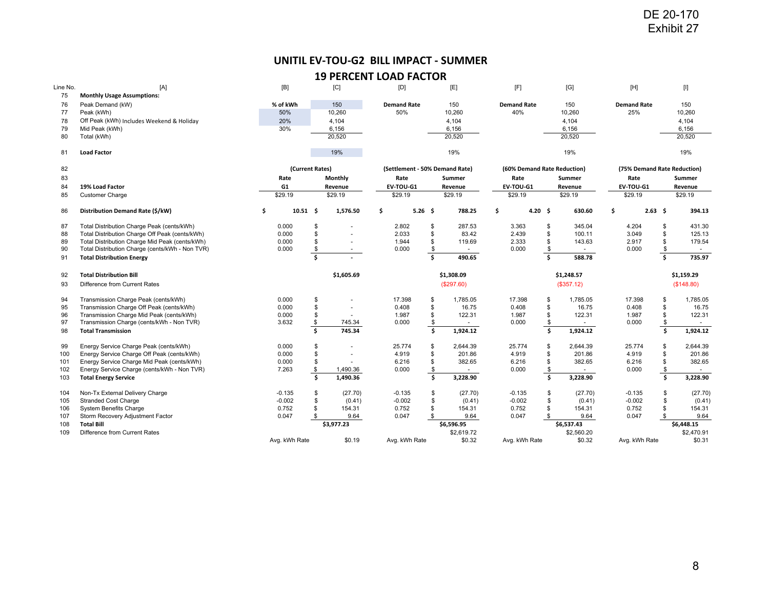# **UNITIL EV‐TOU‐G2 BILL IMPACT ‐ SUMMER**

|            |                                                                                                   |                         |                                | UNITIL EV-TOU-G2 BILL IMPACT - SUMMER |           |                                |                             |          |                      |                    |             |                                                                                                                                                                                                                                                                                                                                                                                                                                                                                                                                                                                                                                                                                                                                                                                                                                                                                |
|------------|---------------------------------------------------------------------------------------------------|-------------------------|--------------------------------|---------------------------------------|-----------|--------------------------------|-----------------------------|----------|----------------------|--------------------|-------------|--------------------------------------------------------------------------------------------------------------------------------------------------------------------------------------------------------------------------------------------------------------------------------------------------------------------------------------------------------------------------------------------------------------------------------------------------------------------------------------------------------------------------------------------------------------------------------------------------------------------------------------------------------------------------------------------------------------------------------------------------------------------------------------------------------------------------------------------------------------------------------|
|            |                                                                                                   |                         |                                | <b>19 PERCENT LOAD FACTOR</b>         |           |                                |                             |          |                      |                    |             |                                                                                                                                                                                                                                                                                                                                                                                                                                                                                                                                                                                                                                                                                                                                                                                                                                                                                |
| Line No.   | [A]                                                                                               | [B]                     | [C]                            | [D]                                   |           | [E]                            | [F]                         |          | [G]                  | [H]                |             | $[] \centering \includegraphics[width=0.47\textwidth]{Figures/PD1.png} \caption{The 3D (black) model for the 3D (black) model. The left side is the same time. The right side is the same time. The right side is the same time. The right side is the same time. The right side is the same time. The right side is the same time. The right side is the same time. The right side is the same time. The right side is the same time. The right side is the same time. The right side is the same time. The right side is the same time. The right side is the same time. The right side is the same time. The right side is the same time. The right side is the same time. The right side is the same time. The right side is the same time. The right side is the same time. The right side is the same time. The right side is the same time. The right side is the same$ |
| 75<br>76   | <b>Monthly Usage Assumptions:</b><br>Peak Demand (kW)                                             | % of kWh                | 150                            | <b>Demand Rate</b>                    |           | 150                            | <b>Demand Rate</b>          |          | 150                  | <b>Demand Rate</b> |             | 150                                                                                                                                                                                                                                                                                                                                                                                                                                                                                                                                                                                                                                                                                                                                                                                                                                                                            |
| 77         | Peak (kWh)                                                                                        | 50%                     | 10,260                         | 50%                                   |           | 10,260                         | 40%                         |          | 10,260               | 25%                |             | 10,260                                                                                                                                                                                                                                                                                                                                                                                                                                                                                                                                                                                                                                                                                                                                                                                                                                                                         |
| 78         | Off Peak (kWh) Includes Weekend & Holiday                                                         | 20%                     | 4,104                          |                                       |           | 4,104                          |                             |          | 4,104                |                    |             | 4,104                                                                                                                                                                                                                                                                                                                                                                                                                                                                                                                                                                                                                                                                                                                                                                                                                                                                          |
| 79<br>80   | Mid Peak (kWh)<br>Total (kWh)                                                                     | 30%                     | 6,156<br>20,520                |                                       |           | 6,156<br>20,520                |                             |          | 6,156<br>20,520      |                    |             | 6,156<br>20,520                                                                                                                                                                                                                                                                                                                                                                                                                                                                                                                                                                                                                                                                                                                                                                                                                                                                |
| 81         | <b>Load Factor</b>                                                                                |                         | 19%                            |                                       |           | 19%                            |                             |          | 19%                  |                    |             | 19%                                                                                                                                                                                                                                                                                                                                                                                                                                                                                                                                                                                                                                                                                                                                                                                                                                                                            |
| 82         |                                                                                                   | (Current Rates)         |                                |                                       |           | (Settlement - 50% Demand Rate) | (60% Demand Rate Reduction) |          |                      |                    |             | (75% Demand Rate Reduction)                                                                                                                                                                                                                                                                                                                                                                                                                                                                                                                                                                                                                                                                                                                                                                                                                                                    |
| 83         |                                                                                                   | Rate                    | <b>Monthly</b>                 | Rate                                  |           | Summer                         | Rate                        |          | Summer               | Rate               |             | Summer                                                                                                                                                                                                                                                                                                                                                                                                                                                                                                                                                                                                                                                                                                                                                                                                                                                                         |
| 84         | 19% Load Factor                                                                                   | G1                      | Revenue                        | EV-TOU-G1                             |           | Revenue                        | EV-TOU-G1                   |          | Revenue              | EV-TOU-G1          |             | Revenue                                                                                                                                                                                                                                                                                                                                                                                                                                                                                                                                                                                                                                                                                                                                                                                                                                                                        |
| 85         | <b>Customer Charge</b>                                                                            | \$29.19                 | \$29.19                        | \$29.19                               |           | \$29.19                        | \$29.19                     |          | \$29.19              | \$29.19            |             | \$29.19                                                                                                                                                                                                                                                                                                                                                                                                                                                                                                                                                                                                                                                                                                                                                                                                                                                                        |
| 86         | Distribution Demand Rate (\$/kW)                                                                  | \$<br>$10.51 \quad $$   | 1,576.50                       | \$                                    | $5.26$ \$ | 788.25                         | \$<br>4.20 \$               |          | 630.60               | \$                 | $2.63 \div$ | 394.13                                                                                                                                                                                                                                                                                                                                                                                                                                                                                                                                                                                                                                                                                                                                                                                                                                                                         |
| 87         | Total Distribution Charge Peak (cents/kWh)                                                        | \$<br>0.000             | $\overline{\phantom{a}}$       | 2.802                                 | \$        | 287.53                         | 3.363                       | \$       | 345.04               | 4.204              | \$          | 431.30                                                                                                                                                                                                                                                                                                                                                                                                                                                                                                                                                                                                                                                                                                                                                                                                                                                                         |
| 88         | Total Distribution Charge Off Peak (cents/kWh)                                                    | 0.000                   | \$<br>$\overline{\phantom{a}}$ | 2.033                                 | \$        | 83.42                          | 2.439                       | \$       | 100.11               | 3.049              | \$          | 125.13                                                                                                                                                                                                                                                                                                                                                                                                                                                                                                                                                                                                                                                                                                                                                                                                                                                                         |
| 89<br>90   | Total Distribution Charge Mid Peak (cents/kWh)<br>Total Distribution Charge (cents/kWh - Non TVR) | 0.000<br>0.000          | \$<br>\$<br>$\sim$             | 1.944<br>0.000                        | \$<br>\$  | 119.69<br>$\sim$               | 2.333<br>0.000              | \$<br>\$ | 143.63<br>$\sim$     | 2.917<br>0.000     | \$<br>\$    | 179.54<br>$\sim$                                                                                                                                                                                                                                                                                                                                                                                                                                                                                                                                                                                                                                                                                                                                                                                                                                                               |
| 91         | <b>Total Distribution Energy</b>                                                                  | \$                      |                                |                                       | \$        | 490.65                         |                             | \$       | 588.78               |                    | \$          | 735.97                                                                                                                                                                                                                                                                                                                                                                                                                                                                                                                                                                                                                                                                                                                                                                                                                                                                         |
| 92         | <b>Total Distribution Bill</b>                                                                    |                         | \$1,605.69                     |                                       |           | \$1,308.09                     |                             |          | \$1,248.57           |                    |             | \$1,159.29                                                                                                                                                                                                                                                                                                                                                                                                                                                                                                                                                                                                                                                                                                                                                                                                                                                                     |
| 93         | Difference from Current Rates                                                                     |                         |                                |                                       |           | (\$297.60)                     |                             |          | (\$357.12)           |                    |             | (\$148.80)                                                                                                                                                                                                                                                                                                                                                                                                                                                                                                                                                                                                                                                                                                                                                                                                                                                                     |
| 94         | Transmission Charge Peak (cents/kWh)                                                              | 0.000<br>\$             |                                | 17.398                                | \$        | 1,785.05                       | 17.398                      | \$       | 1,785.05             | 17.398             | \$          | 1,785.05                                                                                                                                                                                                                                                                                                                                                                                                                                                                                                                                                                                                                                                                                                                                                                                                                                                                       |
| 95         | Transmission Charge Off Peak (cents/kWh)                                                          | 0.000                   | \$<br>$\blacksquare$           | 0.408                                 | \$        | 16.75                          | 0.408                       | \$       | 16.75                | 0.408              | \$          | 16.75                                                                                                                                                                                                                                                                                                                                                                                                                                                                                                                                                                                                                                                                                                                                                                                                                                                                          |
| 96<br>97   | Transmission Charge Mid Peak (cents/kWh)<br>Transmission Charge (cents/kWh - Non TVR)             | 0.000<br>\$<br>3.632    | \$<br>745.34                   | 1.987<br>0.000                        | \$<br>\$  | 122.31<br>$\sim$               | 1.987<br>0.000              | \$<br>\$ | 122.31<br>$\sim$     | 1.987<br>0.000     | \$<br>\$    | 122.31<br>$\sim$                                                                                                                                                                                                                                                                                                                                                                                                                                                                                                                                                                                                                                                                                                                                                                                                                                                               |
| 98         | <b>Total Transmission</b>                                                                         | \$                      | 745.34                         |                                       | \$        | 1,924.12                       |                             | \$       | 1,924.12             |                    | \$          | 1,924.12                                                                                                                                                                                                                                                                                                                                                                                                                                                                                                                                                                                                                                                                                                                                                                                                                                                                       |
| 99         | Energy Service Charge Peak (cents/kWh)                                                            | 0.000                   | \$                             | 25.774                                | \$        | 2,644.39                       | 25.774                      | \$       | 2,644.39             | 25.774             | \$          | 2,644.39                                                                                                                                                                                                                                                                                                                                                                                                                                                                                                                                                                                                                                                                                                                                                                                                                                                                       |
| 100<br>101 | Energy Service Charge Off Peak (cents/kWh)<br>Energy Service Charge Mid Peak (cents/kWh)          | 0.000<br>0.000          | \$<br>$\sim$<br>\$             | 4.919<br>6.216                        | \$<br>\$  | 201.86<br>382.65               | 4.919<br>6.216              | \$<br>\$ | 201.86<br>382.65     | 4.919<br>6.216     | \$<br>\$    | 201.86<br>382.65                                                                                                                                                                                                                                                                                                                                                                                                                                                                                                                                                                                                                                                                                                                                                                                                                                                               |
| 102        | Energy Service Charge (cents/kWh - Non TVR)                                                       | \$<br>7.263             | 1,490.36                       | 0.000                                 | \$        | $\sim$                         | 0.000                       | \$       | $\sim$               | 0.000              | \$          | $\sim$                                                                                                                                                                                                                                                                                                                                                                                                                                                                                                                                                                                                                                                                                                                                                                                                                                                                         |
| 103        | <b>Total Energy Service</b>                                                                       |                         | Ś.<br>1,490.36                 |                                       | \$        | 3,228.90                       |                             | \$       | 3,228.90             |                    | \$          | 3,228.90                                                                                                                                                                                                                                                                                                                                                                                                                                                                                                                                                                                                                                                                                                                                                                                                                                                                       |
| 104        | Non-Tx External Delivery Charge                                                                   | $-0.135$                | \$<br>(27.70)                  | $-0.135$                              | \$        | (27.70)                        | $-0.135$                    | \$       | (27.70)              | $-0.135$           | \$          | (27.70)                                                                                                                                                                                                                                                                                                                                                                                                                                                                                                                                                                                                                                                                                                                                                                                                                                                                        |
| 105<br>106 | <b>Stranded Cost Charge</b><br><b>System Benefits Charge</b>                                      | $-0.002$<br>0.752<br>\$ | \$<br>(0.41)<br>154.31         | $-0.002$<br>0.752                     | \$<br>\$  | (0.41)<br>154.31               | $-0.002$<br>0.752           | \$<br>\$ | (0.41)<br>154.31     | $-0.002$<br>0.752  | \$<br>\$    | (0.41)<br>154.31                                                                                                                                                                                                                                                                                                                                                                                                                                                                                                                                                                                                                                                                                                                                                                                                                                                               |
| 107        | Storm Recovery Adjustment Factor                                                                  | 0.047<br>\$             | 9.64                           | 0.047                                 | \$        | 9.64                           | 0.047                       | \$       | 9.64                 | 0.047              | \$          | 9.64                                                                                                                                                                                                                                                                                                                                                                                                                                                                                                                                                                                                                                                                                                                                                                                                                                                                           |
| 108        | <b>Total Bill</b>                                                                                 |                         | \$3,977.23                     |                                       |           | \$6,596.95                     |                             |          | \$6.537.43           |                    |             | \$6.448.15                                                                                                                                                                                                                                                                                                                                                                                                                                                                                                                                                                                                                                                                                                                                                                                                                                                                     |
| 109        | Difference from Current Rates                                                                     | Avg. kWh Rate           | \$0.19                         | Avg. kWh Rate                         |           | \$2,619.72<br>\$0.32           | Avg. kWh Rate               |          | \$2,560.20<br>\$0.32 | Avg. kWh Rate      |             | \$2,470.91<br>\$0.31                                                                                                                                                                                                                                                                                                                                                                                                                                                                                                                                                                                                                                                                                                                                                                                                                                                           |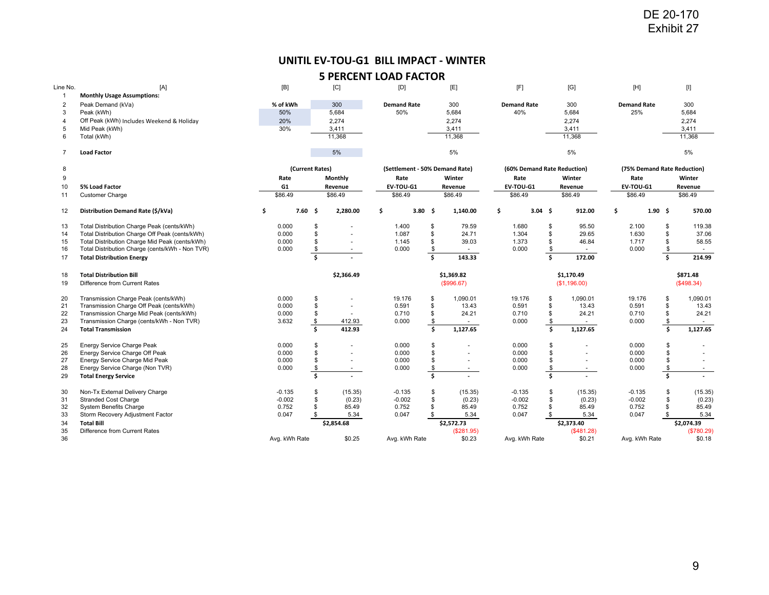## **UNITIL EV‐TOU‐G1 BILL IMPACT ‐ WINTER**

|                     |                                                                                                   |                      |                 |                   | UNITIL EV-TOU-G1 BILL IMPACT - WINTER  |                         |                          |                                     |                     |                            |                           |            |                                       |
|---------------------|---------------------------------------------------------------------------------------------------|----------------------|-----------------|-------------------|----------------------------------------|-------------------------|--------------------------|-------------------------------------|---------------------|----------------------------|---------------------------|------------|---------------------------------------|
|                     |                                                                                                   |                      |                 |                   | <b>5 PERCENT LOAD FACTOR</b>           |                         |                          |                                     |                     |                            |                           |            |                                       |
| Line No.            | [A]                                                                                               | [B]                  |                 | [C]               | [D]                                    |                         | [E]                      | [F]                                 |                     | [G]                        | [H]                       |            | [I]                                   |
| $\mathbf{1}$        | <b>Monthly Usage Assumptions:</b>                                                                 | % of kWh             |                 | 300               | <b>Demand Rate</b>                     |                         |                          |                                     |                     | 300                        |                           |            |                                       |
| $\overline{2}$<br>3 | Peak Demand (kVa)<br>Peak (kWh)                                                                   | 50%                  |                 | 5,684             | 50%                                    |                         | 300<br>5,684             | <b>Demand Rate</b><br>40%           |                     | 5,684                      | <b>Demand Rate</b><br>25% |            | 300<br>5,684                          |
| 4                   | Off Peak (kWh) Includes Weekend & Holiday                                                         | 20%                  |                 | 2,274             |                                        |                         | 2,274                    |                                     |                     | 2,274                      |                           |            | 2,274                                 |
| 5<br>6              | Mid Peak (kWh)<br>Total (kWh)                                                                     | 30%                  |                 | 3,411<br>11,368   |                                        |                         | 3,411<br>11,368          |                                     |                     | 3,411<br>11,368            |                           |            | 3,411<br>11,368                       |
| $\overline{7}$      | <b>Load Factor</b>                                                                                |                      |                 | 5%                |                                        |                         | 5%                       |                                     |                     | 5%                         |                           |            | 5%                                    |
|                     |                                                                                                   |                      |                 |                   |                                        |                         |                          |                                     |                     |                            |                           |            |                                       |
| 8<br>9              |                                                                                                   | Rate                 | (Current Rates) | Monthly           | (Settlement - 50% Demand Rate)<br>Rate |                         | Winter                   | (60% Demand Rate Reduction)<br>Rate |                     | Winter                     | Rate                      |            | (75% Demand Rate Reduction)<br>Winter |
| 10                  | 5% Load Factor                                                                                    | G1                   |                 | Revenue           | EV-TOU-G1                              |                         | Revenue                  | EV-TOU-G1                           |                     | Revenue                    | EV-TOU-G1                 |            | Revenue                               |
| 11                  | <b>Customer Charge</b>                                                                            | \$86.49              |                 | \$86.49           | \$86.49                                |                         | \$86.49                  | \$86.49                             |                     | \$86.49                    | \$86.49                   |            | \$86.49                               |
| 12                  | Distribution Demand Rate (\$/kVa)                                                                 | \$                   | 7.60%           | 2,280.00          | \$<br>3.80 \$                          |                         | 1,140.00                 | \$                                  | $3.04 \quad $$      | 912.00                     | \$                        | $1.90 \pm$ | 570.00                                |
| 13                  | Total Distribution Charge Peak (cents/kWh)                                                        | 0.000                | \$              |                   | 1.400                                  | \$                      | 79.59                    | 1.680                               | \$                  | 95.50                      | 2.100                     | \$         | 119.38                                |
| 14                  | Total Distribution Charge Off Peak (cents/kWh)                                                    | 0.000                | \$              |                   | 1.087                                  | \$                      | 24.71                    | 1.304                               | \$                  | 29.65                      | 1.630                     | \$         | 37.06                                 |
| 15<br>16            | Total Distribution Charge Mid Peak (cents/kWh)<br>Total Distribution Charge (cents/kWh - Non TVR) | 0.000<br>0.000       | \$<br>\$        | $\sim$            | 1.145<br>0.000                         | \$<br>\$                | 39.03<br>$\sim$          | 1.373<br>0.000                      | \$<br>$\frac{3}{2}$ | 46.84<br>$\sim$            | 1.717<br>0.000            | \$<br>\$   | 58.55<br>$\sim$                       |
| 17                  | <b>Total Distribution Energy</b>                                                                  |                      | \$              |                   |                                        | $\overline{\mathsf{s}}$ | 143.33                   |                                     | \$                  | 172.00                     |                           | \$         | 214.99                                |
| 18<br>19            | <b>Total Distribution Bill</b><br>Difference from Current Rates                                   |                      |                 | \$2,366.49        |                                        |                         | \$1,369.82<br>(\$996.67) |                                     |                     | \$1,170.49<br>(\$1,196.00) |                           |            | \$871.48<br>(\$498.34)                |
| 20                  | Transmission Charge Peak (cents/kWh)                                                              | 0.000                | \$              |                   | 19.176                                 | \$                      | 1,090.01                 | 19.176                              | \$                  | 1,090.01                   | 19.176                    | \$         | 1,090.01                              |
| 21<br>22            | Transmission Charge Off Peak (cents/kWh)<br>Transmission Charge Mid Peak (cents/kWh)              | 0.000<br>0.000       | \$<br>\$        |                   | 0.591<br>0.710                         | \$<br>\$                | 13.43<br>24.21           | 0.591<br>0.710                      | \$<br>\$            | 13.43<br>24.21             | 0.591<br>0.710            | \$<br>\$   | 13.43<br>24.21                        |
| 23                  | Transmission Charge (cents/kWh - Non TVR)                                                         | 3.632                | \$              | 412.93            | 0.000                                  | $\frac{1}{2}$           |                          | 0.000                               | $\sqrt[6]{3}$       | $\sim$                     | 0.000                     | \$         |                                       |
| 24                  | <b>Total Transmission</b>                                                                         |                      | Ś.              | 412.93            |                                        | \$                      | 1,127.65                 |                                     | \$                  | 1,127.65                   |                           | \$         | 1,127.65                              |
| 25                  | Energy Service Charge Peak                                                                        | 0.000                | \$              |                   | 0.000                                  | \$                      |                          | 0.000                               | \$                  | $\overline{a}$             | 0.000                     | \$         |                                       |
| 26<br>27            | Energy Service Charge Off Peak<br>Energy Service Charge Mid Peak                                  | 0.000<br>0.000       | \$<br>\$        | $\sim$<br>$\sim$  | 0.000<br>0.000                         | \$<br>\$                | ٠<br>$\sim$              | 0.000<br>0.000                      | \$<br>\$            | ٠<br>$\sim$                | 0.000<br>0.000            | \$<br>\$   | $\sim$<br>$\blacksquare$              |
| 28                  | Energy Service Charge (Non TVR)                                                                   | 0.000                | \$              | $\sim$            | 0.000                                  | \$                      | $\sim$                   | 0.000                               | \$                  | $\sim$                     | 0.000                     | \$         | $\sim$                                |
| 29                  | <b>Total Energy Service</b>                                                                       |                      | \$              |                   |                                        | <b>s</b>                | $\sim$                   |                                     | Š.                  |                            |                           | \$         | $\mathbf{r}$                          |
| 30<br>31            | Non-Tx External Delivery Charge<br><b>Stranded Cost Charge</b>                                    | $-0.135$<br>$-0.002$ | \$<br>\$        | (15.35)<br>(0.23) | $-0.135$<br>$-0.002$                   | \$<br>\$                | (15.35)<br>(0.23)        | $-0.135$<br>$-0.002$                | \$<br>\$            | (15.35)<br>(0.23)          | $-0.135$<br>$-0.002$      | \$<br>\$   | (15.35)<br>(0.23)                     |
| 32                  | System Benefits Charge                                                                            | 0.752                | \$              | 85.49             | 0.752                                  | \$                      | 85.49                    | 0.752                               | \$                  | 85.49                      | 0.752                     | \$         | 85.49                                 |
| 33                  | Storm Recovery Adjustment Factor                                                                  | 0.047                | \$              | 5.34              | 0.047                                  | \$                      | 5.34                     | 0.047                               | \$                  | 5.34                       | 0.047                     | \$         | 5.34                                  |
| 34<br>35            | <b>Total Bill</b><br>Difference from Current Rates                                                |                      |                 | \$2,854.68        |                                        |                         | \$2,572.73<br>(\$281.95) |                                     |                     | \$2,373.40<br>(\$481.28)   |                           |            | \$2,074.39<br>(\$780.29)              |
| 36                  |                                                                                                   |                      | Avg. kWh Rate   | \$0.25            | Avg. kWh Rate                          |                         | \$0.23                   | Avg. kWh Rate                       |                     | \$0.21                     | Avg. kWh Rate             |            | \$0.18                                |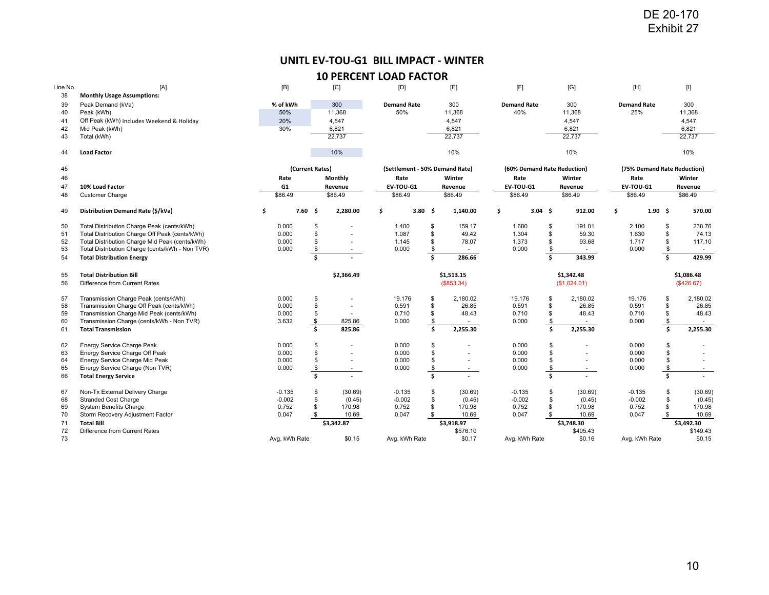# **UNITL EV‐TOU‐G1 BILL IMPACT ‐ WINTER**

| Line No. | [A]                                             | [B]           |                 | [C]                      | [D]                            |                | [E]        | [F]                         |     | [G]         | $[H]$              |             | $[] \centering \includegraphics[width=0.47\textwidth]{Figures/PD1.png} \caption{The 3D (black) model for the 3D (black) model. The left side is the same time. The right side is the same time. The right side is the same time. The right side is the same time. The right side is the same time. The right side is the same time. The right side is the same time. The right side is the same time. The right side is the same time. The right side is the same time. The right side is the same time. The right side is the same time. The right side is the same time. The right side is the same time. The right side is the same time. The right side is the same time. The right side is the same time. The right side is the same time. The right side is the same time. The right side is the same time. The right side is the same time. The right side is the same$ |
|----------|-------------------------------------------------|---------------|-----------------|--------------------------|--------------------------------|----------------|------------|-----------------------------|-----|-------------|--------------------|-------------|--------------------------------------------------------------------------------------------------------------------------------------------------------------------------------------------------------------------------------------------------------------------------------------------------------------------------------------------------------------------------------------------------------------------------------------------------------------------------------------------------------------------------------------------------------------------------------------------------------------------------------------------------------------------------------------------------------------------------------------------------------------------------------------------------------------------------------------------------------------------------------|
| 38       | <b>Monthly Usage Assumptions:</b>               |               |                 |                          |                                |                |            |                             |     |             |                    |             |                                                                                                                                                                                                                                                                                                                                                                                                                                                                                                                                                                                                                                                                                                                                                                                                                                                                                |
| 39       | Peak Demand (kVa)                               | % of kWh      |                 | 300                      | <b>Demand Rate</b>             |                | 300        | <b>Demand Rate</b>          |     | 300         | <b>Demand Rate</b> |             | 300                                                                                                                                                                                                                                                                                                                                                                                                                                                                                                                                                                                                                                                                                                                                                                                                                                                                            |
| 40       | Peak (kWh)                                      | 50%           |                 | 11,368                   | 50%                            |                | 11,368     | 40%                         |     | 11,368      | 25%                |             | 11,368                                                                                                                                                                                                                                                                                                                                                                                                                                                                                                                                                                                                                                                                                                                                                                                                                                                                         |
| 41       | Off Peak (kWh) Includes Weekend & Holiday       | 20%           |                 | 4,547                    |                                |                | 4,547      |                             |     | 4,547       |                    |             | 4,547                                                                                                                                                                                                                                                                                                                                                                                                                                                                                                                                                                                                                                                                                                                                                                                                                                                                          |
| 42       | Mid Peak (kWh)                                  | 30%           |                 | 6,821                    |                                |                | 6,821      |                             |     | 6,821       |                    |             | 6,821                                                                                                                                                                                                                                                                                                                                                                                                                                                                                                                                                                                                                                                                                                                                                                                                                                                                          |
| 43       | Total (kWh)                                     |               |                 | 22.737                   |                                |                | 22,737     |                             |     | 22,737      |                    |             | 22,737                                                                                                                                                                                                                                                                                                                                                                                                                                                                                                                                                                                                                                                                                                                                                                                                                                                                         |
| 44       | <b>Load Factor</b>                              |               |                 | 10%                      |                                |                | 10%        |                             |     | 10%         |                    |             | 10%                                                                                                                                                                                                                                                                                                                                                                                                                                                                                                                                                                                                                                                                                                                                                                                                                                                                            |
| 45       |                                                 |               | (Current Rates) |                          | (Settlement - 50% Demand Rate) |                |            | (60% Demand Rate Reduction) |     |             |                    |             | (75% Demand Rate Reduction)                                                                                                                                                                                                                                                                                                                                                                                                                                                                                                                                                                                                                                                                                                                                                                                                                                                    |
| 46       |                                                 | Rate          |                 | Monthly                  | Rate                           |                | Winter     | Rate                        |     | Winter      | Rate               |             | Winter                                                                                                                                                                                                                                                                                                                                                                                                                                                                                                                                                                                                                                                                                                                                                                                                                                                                         |
| 47       | 10% Load Factor                                 | G1            |                 | Revenue                  | EV-TOU-G1                      |                | Revenue    | EV-TOU-G1                   |     | Revenue     | EV-TOU-G1          |             | Revenue                                                                                                                                                                                                                                                                                                                                                                                                                                                                                                                                                                                                                                                                                                                                                                                                                                                                        |
| 48       | <b>Customer Charge</b>                          | \$86.49       |                 | \$86.49                  | \$86.49                        |                | \$86.49    | \$86.49                     |     | \$86.49     | \$86.49            |             | \$86.49                                                                                                                                                                                                                                                                                                                                                                                                                                                                                                                                                                                                                                                                                                                                                                                                                                                                        |
|          |                                                 |               |                 |                          |                                |                |            |                             |     |             |                    |             |                                                                                                                                                                                                                                                                                                                                                                                                                                                                                                                                                                                                                                                                                                                                                                                                                                                                                |
| 49       | Distribution Demand Rate (\$/kVa)               | \$            | 7.60%           | 2,280.00                 | \$                             | $3.80\quad$ \$ | 1,140.00   | \$<br>3.04 <sub>5</sub>     |     | 912.00      | \$                 | $1.90 \div$ | 570.00                                                                                                                                                                                                                                                                                                                                                                                                                                                                                                                                                                                                                                                                                                                                                                                                                                                                         |
| 50       | Total Distribution Charge Peak (cents/kWh)      | 0.000         | \$              |                          | 1.400                          | \$             | 159.17     | 1.680                       | \$  | 191.01      | 2.100              | \$          | 238.76                                                                                                                                                                                                                                                                                                                                                                                                                                                                                                                                                                                                                                                                                                                                                                                                                                                                         |
| 51       | Total Distribution Charge Off Peak (cents/kWh)  | 0.000         | $\mathfrak{s}$  |                          | 1.087                          | \$             | 49.42      | 1.304                       | \$  | 59.30       | 1.630              | \$          | 74.13                                                                                                                                                                                                                                                                                                                                                                                                                                                                                                                                                                                                                                                                                                                                                                                                                                                                          |
| 52       | Total Distribution Charge Mid Peak (cents/kWh)  | 0.000         | \$              |                          | 1.145                          | \$             | 78.07      | 1.373                       | \$  | 93.68       | 1.717              | \$          | 117.10                                                                                                                                                                                                                                                                                                                                                                                                                                                                                                                                                                                                                                                                                                                                                                                                                                                                         |
| 53       | Total Distribution Charge (cents/kWh - Non TVR) | 0.000         | \$              | $\overline{\phantom{a}}$ | 0.000                          | \$             | $\sim$     | 0.000                       | \$  | $\sim$      | 0.000              | \$          | $\sim$                                                                                                                                                                                                                                                                                                                                                                                                                                                                                                                                                                                                                                                                                                                                                                                                                                                                         |
| 54       | <b>Total Distribution Energy</b>                |               | Ś               |                          |                                | $\mathsf{s}$   | 286.66     |                             | Ś.  | 343.99      |                    | Ś.          | 429.99                                                                                                                                                                                                                                                                                                                                                                                                                                                                                                                                                                                                                                                                                                                                                                                                                                                                         |
| 55       | <b>Total Distribution Bill</b>                  |               |                 | \$2,366.49               |                                |                | \$1,513.15 |                             |     | \$1.342.48  |                    |             | \$1,086.48                                                                                                                                                                                                                                                                                                                                                                                                                                                                                                                                                                                                                                                                                                                                                                                                                                                                     |
| 56       |                                                 |               |                 |                          |                                |                | (\$853.34) |                             |     | (S1,024.01) |                    |             | (\$426.67)                                                                                                                                                                                                                                                                                                                                                                                                                                                                                                                                                                                                                                                                                                                                                                                                                                                                     |
|          | Difference from Current Rates                   |               |                 |                          |                                |                |            |                             |     |             |                    |             |                                                                                                                                                                                                                                                                                                                                                                                                                                                                                                                                                                                                                                                                                                                                                                                                                                                                                |
| 57       | Transmission Charge Peak (cents/kWh)            | 0.000         | \$              |                          | 19.176                         | \$             | 2,180.02   | 19.176                      | S   | 2,180.02    | 19.176             | \$          | 2,180.02                                                                                                                                                                                                                                                                                                                                                                                                                                                                                                                                                                                                                                                                                                                                                                                                                                                                       |
| 58       | Transmission Charge Off Peak (cents/kWh)        | 0.000         | \$              |                          | 0.591                          | \$             | 26.85      | 0.591                       | \$  | 26.85       | 0.591              | \$          | 26.85                                                                                                                                                                                                                                                                                                                                                                                                                                                                                                                                                                                                                                                                                                                                                                                                                                                                          |
| 59       | Transmission Charge Mid Peak (cents/kWh)        | 0.000         | \$              |                          | 0.710                          | \$             | 48.43      | 0.710                       | \$  | 48.43       | 0.710              | \$          | 48.43                                                                                                                                                                                                                                                                                                                                                                                                                                                                                                                                                                                                                                                                                                                                                                                                                                                                          |
| 60       | Transmission Charge (cents/kWh - Non TVR)       | 3.632         | \$              | 825.86                   | 0.000                          | \$             |            | 0.000                       | \$  |             | 0.000              | \$          | $\sim$                                                                                                                                                                                                                                                                                                                                                                                                                                                                                                                                                                                                                                                                                                                                                                                                                                                                         |
| 61       | <b>Total Transmission</b>                       |               | Ś.              | 825.86                   |                                | Ŝ.             | 2,255.30   |                             | \$. | 2,255.30    |                    | Ś.          | 2,255.30                                                                                                                                                                                                                                                                                                                                                                                                                                                                                                                                                                                                                                                                                                                                                                                                                                                                       |
| 62       | Energy Service Charge Peak                      | 0.000         | \$              |                          | 0.000                          |                |            | 0.000                       | \$  |             | 0.000              | \$          |                                                                                                                                                                                                                                                                                                                                                                                                                                                                                                                                                                                                                                                                                                                                                                                                                                                                                |
| 63       | Energy Service Charge Off Peak                  | 0.000         | \$              |                          | 0.000                          |                | ٠          | 0.000                       | \$  |             | 0.000              | \$          |                                                                                                                                                                                                                                                                                                                                                                                                                                                                                                                                                                                                                                                                                                                                                                                                                                                                                |
| 64       | Energy Service Charge Mid Peak                  | 0.000         | $\mathfrak{L}$  |                          | 0.000                          |                |            | 0.000                       |     |             | 0.000              | \$          |                                                                                                                                                                                                                                                                                                                                                                                                                                                                                                                                                                                                                                                                                                                                                                                                                                                                                |
| 65       | Energy Service Charge (Non TVR)                 | 0.000         | \$              | $\overline{\phantom{a}}$ | 0.000                          |                | $\sim$     | 0.000                       | \$  | $\sim$      | 0.000              | \$          | $\sim$                                                                                                                                                                                                                                                                                                                                                                                                                                                                                                                                                                                                                                                                                                                                                                                                                                                                         |
| 66       | <b>Total Energy Service</b>                     |               | Ŝ.              |                          |                                | Ŝ.             |            |                             | Ś.  |             |                    | Ś.          |                                                                                                                                                                                                                                                                                                                                                                                                                                                                                                                                                                                                                                                                                                                                                                                                                                                                                |
|          |                                                 |               |                 |                          |                                |                |            |                             |     |             |                    |             |                                                                                                                                                                                                                                                                                                                                                                                                                                                                                                                                                                                                                                                                                                                                                                                                                                                                                |
| 67       | Non-Tx External Delivery Charge                 | $-0.135$      | \$              | (30.69)                  | $-0.135$                       | \$             | (30.69)    | $-0.135$                    | \$  | (30.69)     | $-0.135$           | \$          | (30.69)                                                                                                                                                                                                                                                                                                                                                                                                                                                                                                                                                                                                                                                                                                                                                                                                                                                                        |
| 68       | <b>Stranded Cost Charge</b>                     | $-0.002$      | \$              | (0.45)                   | $-0.002$                       | \$             | (0.45)     | $-0.002$                    | \$  | (0.45)      | $-0.002$           | \$          | (0.45)                                                                                                                                                                                                                                                                                                                                                                                                                                                                                                                                                                                                                                                                                                                                                                                                                                                                         |
| 69       | <b>System Benefits Charge</b>                   | 0.752         | \$              | 170.98                   | 0.752                          | \$             | 170.98     | 0.752                       | \$  | 170.98      | 0.752              | \$          | 170.98                                                                                                                                                                                                                                                                                                                                                                                                                                                                                                                                                                                                                                                                                                                                                                                                                                                                         |
| 70       | Storm Recovery Adjustment Factor                | 0.047         | \$              | 10.69                    | 0.047                          | \$             | 10.69      | 0.047                       |     | 10.69       | 0.047              | \$          | 10.69                                                                                                                                                                                                                                                                                                                                                                                                                                                                                                                                                                                                                                                                                                                                                                                                                                                                          |
| 71       | <b>Total Bill</b>                               |               |                 | \$3,342.87               |                                |                | \$3,918.97 |                             |     | \$3,748.30  |                    |             | \$3,492.30                                                                                                                                                                                                                                                                                                                                                                                                                                                                                                                                                                                                                                                                                                                                                                                                                                                                     |
| 72       | Difference from Current Rates                   |               |                 |                          |                                |                | \$576.10   |                             |     | \$405.43    |                    |             | \$149.43                                                                                                                                                                                                                                                                                                                                                                                                                                                                                                                                                                                                                                                                                                                                                                                                                                                                       |
| 73       |                                                 | Avg. kWh Rate |                 | \$0.15                   | Avg. kWh Rate                  |                | \$0.17     | Avg. kWh Rate               |     | \$0.16      | Avg. kWh Rate      |             | \$0.15                                                                                                                                                                                                                                                                                                                                                                                                                                                                                                                                                                                                                                                                                                                                                                                                                                                                         |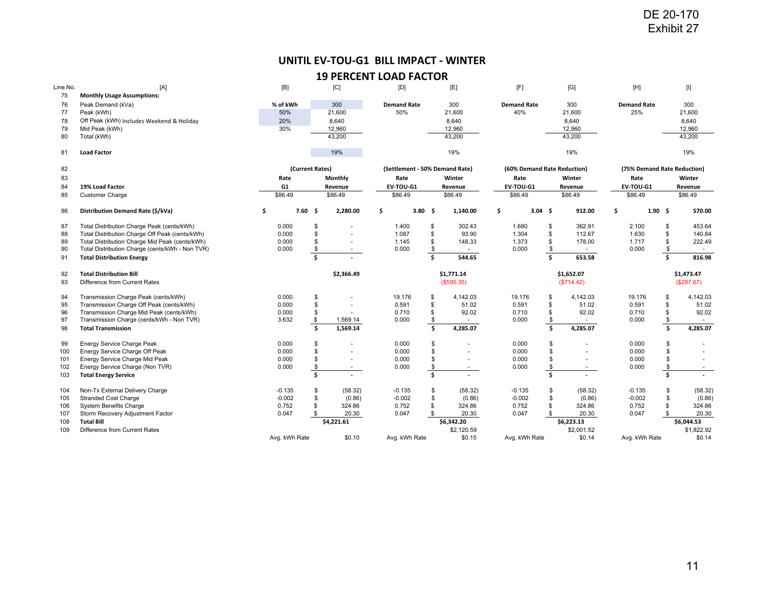# **UNITIL EV‐TOU‐G1 BILL IMPACT ‐ WINTER**

| Line No. | [A]                                             | [B]           |                         | [C]                      | [D]                            |                         | [E]        | [F]                         |                         | [G]        | $[H] \centering% \includegraphics[width=1.0\textwidth]{Figures/PN1.png} \caption{The 3D (blue) and 4D (blue) are shown in the left and right. The left is the same as in the right.} \label{fig7}$ |                |    | $[] \centering \includegraphics[width=0.47\textwidth]{Figures/PD1.png} \caption{The 3D (black) model for the 3D (black) model. The left side is the same time. The right side is the same time. The right side is the same time. The right side is the same time. The right side is the same time. The right side is the same time. The right side is the same time. The right side is the same time. The right side is the same time. The right side is the same time. The right side is the same time. The right side is the same time. The right side is the same time. The right side is the same time. The right side is the same time. The right side is the same time. The right side is the same time. The right side is the same time. The right side is the same time. The right side is the same time. The right side is the same time. The right side is the same$ |
|----------|-------------------------------------------------|---------------|-------------------------|--------------------------|--------------------------------|-------------------------|------------|-----------------------------|-------------------------|------------|----------------------------------------------------------------------------------------------------------------------------------------------------------------------------------------------------|----------------|----|--------------------------------------------------------------------------------------------------------------------------------------------------------------------------------------------------------------------------------------------------------------------------------------------------------------------------------------------------------------------------------------------------------------------------------------------------------------------------------------------------------------------------------------------------------------------------------------------------------------------------------------------------------------------------------------------------------------------------------------------------------------------------------------------------------------------------------------------------------------------------------|
| 75       | <b>Monthly Usage Assumptions:</b>               |               |                         |                          |                                |                         |            |                             |                         |            |                                                                                                                                                                                                    |                |    |                                                                                                                                                                                                                                                                                                                                                                                                                                                                                                                                                                                                                                                                                                                                                                                                                                                                                |
| 76       | Peak Demand (kVa)                               | % of kWh      |                         | 300                      | <b>Demand Rate</b>             |                         | 300        | <b>Demand Rate</b>          |                         | 300        | <b>Demand Rate</b>                                                                                                                                                                                 |                |    | 300                                                                                                                                                                                                                                                                                                                                                                                                                                                                                                                                                                                                                                                                                                                                                                                                                                                                            |
| 77       | Peak (kWh)                                      | 50%           |                         | 21,600                   | 50%                            |                         | 21,600     | 40%                         |                         | 21,600     | 25%                                                                                                                                                                                                |                |    | 21,600                                                                                                                                                                                                                                                                                                                                                                                                                                                                                                                                                                                                                                                                                                                                                                                                                                                                         |
| 78       | Off Peak (kWh) Includes Weekend & Holiday       | 20%           |                         | 8,640                    |                                |                         | 8,640      |                             |                         | 8,640      |                                                                                                                                                                                                    |                |    | 8,640                                                                                                                                                                                                                                                                                                                                                                                                                                                                                                                                                                                                                                                                                                                                                                                                                                                                          |
| 79       | Mid Peak (kWh)                                  | 30%           |                         | 12,960                   |                                |                         | 12,960     |                             |                         | 12,960     |                                                                                                                                                                                                    |                |    | 12,960                                                                                                                                                                                                                                                                                                                                                                                                                                                                                                                                                                                                                                                                                                                                                                                                                                                                         |
| 80       | Total (kWh)                                     |               |                         | 43.200                   |                                |                         | 43,200     |                             |                         | 43,200     |                                                                                                                                                                                                    |                |    | 43,200                                                                                                                                                                                                                                                                                                                                                                                                                                                                                                                                                                                                                                                                                                                                                                                                                                                                         |
| 81       | <b>Load Factor</b>                              |               |                         | 19%                      |                                |                         | 19%        |                             |                         | 19%        |                                                                                                                                                                                                    |                |    | 19%                                                                                                                                                                                                                                                                                                                                                                                                                                                                                                                                                                                                                                                                                                                                                                                                                                                                            |
| 82       |                                                 |               | (Current Rates)         |                          | (Settlement - 50% Demand Rate) |                         |            | (60% Demand Rate Reduction) |                         |            | (75% Demand Rate Reduction)                                                                                                                                                                        |                |    |                                                                                                                                                                                                                                                                                                                                                                                                                                                                                                                                                                                                                                                                                                                                                                                                                                                                                |
| 83       |                                                 | Rate          |                         | Monthly                  | Rate                           |                         | Winter     | Rate                        |                         | Winter     | Rate                                                                                                                                                                                               |                |    | Winter                                                                                                                                                                                                                                                                                                                                                                                                                                                                                                                                                                                                                                                                                                                                                                                                                                                                         |
| 84       | 19% Load Factor                                 | G1            |                         | Revenue                  | EV-TOU-G1                      |                         | Revenue    | EV-TOU-G1                   |                         | Revenue    | EV-TOU-G1                                                                                                                                                                                          |                |    | Revenue                                                                                                                                                                                                                                                                                                                                                                                                                                                                                                                                                                                                                                                                                                                                                                                                                                                                        |
| 85       | <b>Customer Charge</b>                          | \$86.49       |                         | \$86.49                  | \$86.49                        |                         | \$86.49    | \$86.49                     |                         | \$86.49    | \$86.49                                                                                                                                                                                            |                |    | \$86.49                                                                                                                                                                                                                                                                                                                                                                                                                                                                                                                                                                                                                                                                                                                                                                                                                                                                        |
| 86       | Distribution Demand Rate (\$/kVa)               | \$            | 7.60%                   | 2,280.00                 | \$                             | $3.80\quad$ \$          | 1,140.00   | \$<br>3.04 <sub>5</sub>     |                         | 912.00     | \$                                                                                                                                                                                                 | $1.90 \quad $$ |    | 570.00                                                                                                                                                                                                                                                                                                                                                                                                                                                                                                                                                                                                                                                                                                                                                                                                                                                                         |
| 87       | Total Distribution Charge Peak (cents/kWh)      | 0.000         | \$                      |                          | 1.400                          | \$                      | 302.43     | 1.680                       | \$                      | 362.91     | 2.100                                                                                                                                                                                              |                | \$ | 453.64                                                                                                                                                                                                                                                                                                                                                                                                                                                                                                                                                                                                                                                                                                                                                                                                                                                                         |
| 88       | Total Distribution Charge Off Peak (cents/kWh)  | 0.000         | $\mathbf{s}$            |                          | 1.087                          | \$                      | 93.90      | 1.304                       | \$                      | 112.67     | 1.630                                                                                                                                                                                              |                | \$ | 140.84                                                                                                                                                                                                                                                                                                                                                                                                                                                                                                                                                                                                                                                                                                                                                                                                                                                                         |
| 89       | Total Distribution Charge Mid Peak (cents/kWh)  | 0.000         | \$                      |                          | 1.145                          | \$                      | 148.33     | 1.373                       | \$                      | 178.00     | 1.717                                                                                                                                                                                              |                |    | 222.49                                                                                                                                                                                                                                                                                                                                                                                                                                                                                                                                                                                                                                                                                                                                                                                                                                                                         |
| 90       | Total Distribution Charge (cents/kWh - Non TVR) | 0.000         | \$                      |                          | 0.000                          | \$                      |            | 0.000                       | \$                      |            | 0.000                                                                                                                                                                                              |                | \$ | $\overline{\phantom{a}}$                                                                                                                                                                                                                                                                                                                                                                                                                                                                                                                                                                                                                                                                                                                                                                                                                                                       |
| 91       | <b>Total Distribution Energy</b>                |               | $\overline{\mathsf{s}}$ |                          |                                | $\overline{\mathsf{s}}$ | 544.65     |                             | Ś                       | 653.58     |                                                                                                                                                                                                    |                | Ś. | 816.98                                                                                                                                                                                                                                                                                                                                                                                                                                                                                                                                                                                                                                                                                                                                                                                                                                                                         |
| 92       | <b>Total Distribution Bill</b>                  |               |                         | \$2,366.49               |                                |                         | \$1,771.14 |                             |                         | \$1,652.07 |                                                                                                                                                                                                    |                |    | \$1,473.47                                                                                                                                                                                                                                                                                                                                                                                                                                                                                                                                                                                                                                                                                                                                                                                                                                                                     |
| 93       | Difference from Current Rates                   |               |                         |                          |                                |                         | (\$595.35) |                             |                         | (\$714.42) |                                                                                                                                                                                                    |                |    | (\$297.67)                                                                                                                                                                                                                                                                                                                                                                                                                                                                                                                                                                                                                                                                                                                                                                                                                                                                     |
| 94       | Transmission Charge Peak (cents/kWh)            | 0.000         | \$                      |                          | 19.176                         | \$                      | 4.142.03   | 19.176                      | \$                      | 4,142.03   | 19.176                                                                                                                                                                                             |                | \$ | 4,142.03                                                                                                                                                                                                                                                                                                                                                                                                                                                                                                                                                                                                                                                                                                                                                                                                                                                                       |
| 95       | Transmission Charge Off Peak (cents/kWh)        | 0.000         | \$                      |                          | 0.591                          | \$                      | 51.02      | 0.591                       | \$                      | 51.02      | 0.591                                                                                                                                                                                              |                | \$ | 51.02                                                                                                                                                                                                                                                                                                                                                                                                                                                                                                                                                                                                                                                                                                                                                                                                                                                                          |
| 96       | Transmission Charge Mid Peak (cents/kWh)        | 0.000         | \$                      |                          | 0.710                          | \$                      | 92.02      | 0.710                       | \$                      | 92.02      | 0.710                                                                                                                                                                                              |                | \$ | 92.02                                                                                                                                                                                                                                                                                                                                                                                                                                                                                                                                                                                                                                                                                                                                                                                                                                                                          |
| 97       | Transmission Charge (cents/kWh - Non TVR)       | 3.632         | \$                      | 1,569.14                 | 0.000                          | \$                      |            | 0.000                       | \$                      |            | 0.000                                                                                                                                                                                              |                | \$ | $\sim$                                                                                                                                                                                                                                                                                                                                                                                                                                                                                                                                                                                                                                                                                                                                                                                                                                                                         |
| 98       | <b>Total Transmission</b>                       |               | Ŝ.                      | 1,569.14                 |                                | $\overline{\mathsf{s}}$ | 4,285.07   |                             | $\overline{\mathbf{s}}$ | 4,285.07   |                                                                                                                                                                                                    |                | Ŝ. | 4,285.07                                                                                                                                                                                                                                                                                                                                                                                                                                                                                                                                                                                                                                                                                                                                                                                                                                                                       |
| 99       | Energy Service Charge Peak                      | 0.000         | \$                      |                          | 0.000                          | \$                      |            | 0.000                       | \$                      |            | 0.000                                                                                                                                                                                              |                | \$ |                                                                                                                                                                                                                                                                                                                                                                                                                                                                                                                                                                                                                                                                                                                                                                                                                                                                                |
| 100      | Energy Service Charge Off Peak                  | 0.000         | \$                      |                          | 0.000                          |                         | ٠          | 0.000                       | \$                      |            | 0.000                                                                                                                                                                                              |                | \$ |                                                                                                                                                                                                                                                                                                                                                                                                                                                                                                                                                                                                                                                                                                                                                                                                                                                                                |
| 101      | Energy Service Charge Mid Peak                  | 0.000         | \$                      |                          | 0.000                          |                         | ÷.         | 0.000                       | \$                      |            | 0.000                                                                                                                                                                                              |                | \$ |                                                                                                                                                                                                                                                                                                                                                                                                                                                                                                                                                                                                                                                                                                                                                                                                                                                                                |
| 102      | Energy Service Charge (Non TVR)                 | 0.000         | \$                      | $\overline{\phantom{a}}$ | 0.000                          | \$                      | $\sim$     | 0.000                       | \$                      | $\sim$     | 0.000                                                                                                                                                                                              |                | \$ | $\blacksquare$                                                                                                                                                                                                                                                                                                                                                                                                                                                                                                                                                                                                                                                                                                                                                                                                                                                                 |
| 103      | <b>Total Energy Service</b>                     |               | \$.                     |                          |                                | Ś.                      |            |                             | Š.                      |            |                                                                                                                                                                                                    |                | \$ |                                                                                                                                                                                                                                                                                                                                                                                                                                                                                                                                                                                                                                                                                                                                                                                                                                                                                |
| 104      | Non-Tx External Delivery Charge                 | $-0.135$      | \$                      | (58.32)                  | $-0.135$                       | \$                      | (58.32)    | $-0.135$                    | \$                      | (58.32)    | $-0.135$                                                                                                                                                                                           |                | \$ | (58.32)                                                                                                                                                                                                                                                                                                                                                                                                                                                                                                                                                                                                                                                                                                                                                                                                                                                                        |
| 105      | <b>Stranded Cost Charge</b>                     | $-0.002$      | \$                      | (0.86)                   | $-0.002$                       | \$                      | (0.86)     | $-0.002$                    | \$                      | (0.86)     | $-0.002$                                                                                                                                                                                           |                | \$ | (0.86)                                                                                                                                                                                                                                                                                                                                                                                                                                                                                                                                                                                                                                                                                                                                                                                                                                                                         |
| 106      | <b>System Benefits Charge</b>                   | 0.752         | \$                      | 324.86                   | 0.752                          | \$                      | 324.86     | 0.752                       | $\mathbf{s}$            | 324.86     | 0.752                                                                                                                                                                                              |                | \$ | 324.86                                                                                                                                                                                                                                                                                                                                                                                                                                                                                                                                                                                                                                                                                                                                                                                                                                                                         |
| 107      | Storm Recovery Adjustment Factor                | 0.047         | \$                      | 20.30                    | 0.047                          | \$                      | 20.30      | 0.047                       | \$                      | 20.30      | 0.047                                                                                                                                                                                              |                | \$ | 20.30                                                                                                                                                                                                                                                                                                                                                                                                                                                                                                                                                                                                                                                                                                                                                                                                                                                                          |
| 108      | <b>Total Bill</b>                               |               |                         | \$4,221.61               |                                |                         | \$6,342.20 |                             |                         | \$6,223.13 |                                                                                                                                                                                                    |                |    | \$6,044.53                                                                                                                                                                                                                                                                                                                                                                                                                                                                                                                                                                                                                                                                                                                                                                                                                                                                     |
| 109      | Difference from Current Rates                   |               |                         |                          |                                |                         | \$2,120.59 |                             |                         | \$2,001.52 |                                                                                                                                                                                                    |                |    | \$1,822.92                                                                                                                                                                                                                                                                                                                                                                                                                                                                                                                                                                                                                                                                                                                                                                                                                                                                     |
|          |                                                 | Avg. kWh Rate |                         | \$0.10                   | Avg. kWh Rate                  |                         | \$0.15     | Avg. kWh Rate               |                         | \$0.14     | Avg. kWh Rate                                                                                                                                                                                      |                |    | \$0.14                                                                                                                                                                                                                                                                                                                                                                                                                                                                                                                                                                                                                                                                                                                                                                                                                                                                         |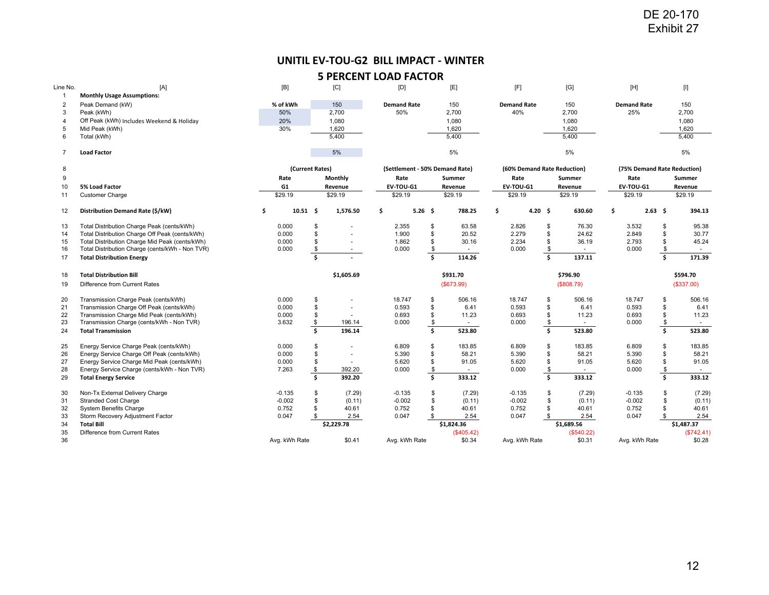## **UNITIL EV‐TOU‐G2 BILL IMPACT ‐ WINTER**

| Line No.       | [A]                                             | [B]            |                 | [C]                      | [D]                            |                   | [E]        | [F]                         |                          | [G]        | $[{\sf H}]$        |                | $[] \centering \includegraphics[width=0.47\textwidth]{images/TrDiM1.png} \caption{The 3D (blue) and 4D (blue) are shown in the left panel.} \label{TrDiM1.png}$ |
|----------------|-------------------------------------------------|----------------|-----------------|--------------------------|--------------------------------|-------------------|------------|-----------------------------|--------------------------|------------|--------------------|----------------|-----------------------------------------------------------------------------------------------------------------------------------------------------------------|
| -1             | <b>Monthly Usage Assumptions:</b>               |                |                 |                          |                                |                   |            |                             |                          |            |                    |                |                                                                                                                                                                 |
| 2              | Peak Demand (kW)                                | % of kWh       |                 | 150                      | <b>Demand Rate</b>             |                   | 150        | <b>Demand Rate</b>          |                          | 150        | <b>Demand Rate</b> |                | 150                                                                                                                                                             |
| 3              | Peak (kWh)                                      | 50%            |                 | 2,700                    | 50%                            |                   | 2,700      | 40%                         |                          | 2,700      | 25%                |                | 2,700                                                                                                                                                           |
| 4              | Off Peak (kWh) Includes Weekend & Holiday       | 20%            |                 | 1,080                    |                                |                   | 1,080      |                             |                          | 1,080      |                    |                | 1,080                                                                                                                                                           |
| 5              | Mid Peak (kWh)                                  | 30%            |                 | 1,620                    |                                |                   | 1,620      |                             |                          | 1,620      |                    |                | 1,620                                                                                                                                                           |
| 6              | Total (kWh)                                     |                |                 | 5,400                    |                                |                   | 5,400      |                             |                          | 5,400      |                    |                | 5,400                                                                                                                                                           |
| $\overline{7}$ | <b>Load Factor</b>                              |                |                 | 5%                       |                                |                   | 5%         |                             |                          | 5%         |                    |                | 5%                                                                                                                                                              |
| 8              |                                                 |                | (Current Rates) |                          | (Settlement - 50% Demand Rate) |                   |            | (60% Demand Rate Reduction) |                          |            |                    |                | (75% Demand Rate Reduction)                                                                                                                                     |
| 9              |                                                 | Rate           |                 | Monthly                  | Rate                           |                   | Summer     | Rate                        |                          | Summer     | Rate               |                | Summer                                                                                                                                                          |
| 10             | 5% Load Factor                                  | G <sub>1</sub> |                 | Revenue                  | EV-TOU-G1                      |                   | Revenue    | EV-TOU-G1                   |                          | Revenue    | EV-TOU-G1          |                | Revenue                                                                                                                                                         |
| 11             | <b>Customer Charge</b>                          | \$29.19        |                 | \$29.19                  | \$29.19                        |                   | \$29.19    | \$29.19                     |                          | \$29.19    | \$29.19            |                | \$29.19                                                                                                                                                         |
| 12             | Distribution Demand Rate (\$/kW)                | \$             | $10.51$ \$      | 1,576.50                 | \$                             | 5.26 <sup>5</sup> | 788.25     | \$<br>4.20%                 |                          | 630.60     | \$                 | $2.63 \quad $$ | 394.13                                                                                                                                                          |
| 13             | Total Distribution Charge Peak (cents/kWh)      | 0.000          | <b>S</b>        |                          | 2.355                          | \$                | 63.58      | 2.826                       | \$                       | 76.30      | 3.532              | \$             | 95.38                                                                                                                                                           |
| 14             | Total Distribution Charge Off Peak (cents/kWh)  | 0.000          | \$              |                          | 1.900                          | \$                | 20.52      | 2.279                       | \$                       | 24.62      | 2.849              | \$             | 30.77                                                                                                                                                           |
| 15             | Total Distribution Charge Mid Peak (cents/kWh)  | 0.000          | \$              |                          | 1.862                          | \$                | 30.16      | 2.234                       | \$                       | 36.19      | 2.793              | \$             | 45.24                                                                                                                                                           |
| 16             | Total Distribution Charge (cents/kWh - Non TVR) | 0.000          | \$              | $\sim$                   | 0.000                          | \$                | $\sim$     | 0.000                       | \$                       | $\sim$     | 0.000              | \$             | $\sim$                                                                                                                                                          |
| 17             | <b>Total Distribution Energy</b>                |                | Š.              |                          |                                | Ŝ.                | 114.26     |                             | $\mathsf{s}$             | 137.11     |                    | Ś.             | 171.39                                                                                                                                                          |
| 18             | <b>Total Distribution Bill</b>                  |                |                 | \$1,605.69               |                                |                   | \$931.70   |                             |                          | \$796.90   |                    |                | \$594.70                                                                                                                                                        |
| 19             | Difference from Current Rates                   |                |                 |                          |                                |                   | (\$673.99) |                             |                          | (\$808.79) |                    |                | (\$337.00)                                                                                                                                                      |
|                |                                                 |                |                 |                          |                                |                   |            |                             |                          |            |                    |                |                                                                                                                                                                 |
| 20             | Transmission Charge Peak (cents/kWh)            | 0.000          | \$              |                          | 18.747                         | \$                | 506.16     | 18.747                      | \$                       | 506.16     | 18.747             | \$             | 506.16                                                                                                                                                          |
| 21             | Transmission Charge Off Peak (cents/kWh)        | 0.000          | \$              |                          | 0.593                          | \$                | 6.41       | 0.593                       | \$                       | 6.41       | 0.593              | \$             | 6.41                                                                                                                                                            |
| 22             | Transmission Charge Mid Peak (cents/kWh)        | 0.000          | \$              |                          | 0.693                          | \$                | 11.23      | 0.693                       | \$                       | 11.23      | 0.693              | \$             | 11.23                                                                                                                                                           |
| 23             | Transmission Charge (cents/kWh - Non TVR)       | 3.632          | \$              | 196.14                   | 0.000                          | \$                |            | 0.000                       | $\overline{\mathcal{E}}$ |            | 0.000              | \$             |                                                                                                                                                                 |
| 24             | <b>Total Transmission</b>                       |                | \$              | 196.14                   |                                | Ś.                | 523.80     |                             | $\overline{\mathsf{s}}$  | 523.80     |                    | Ś.             | 523.80                                                                                                                                                          |
| 25             | Energy Service Charge Peak (cents/kWh)          | 0.000          | \$              |                          | 6.809                          | \$                | 183.85     | 6.809                       | \$                       | 183.85     | 6.809              | \$             | 183.85                                                                                                                                                          |
| 26             | Energy Service Charge Off Peak (cents/kWh)      | 0.000          | \$              | $\overline{\phantom{a}}$ | 5.390                          | \$                | 58.21      | 5.390                       | \$                       | 58.21      | 5.390              | \$             | 58.21                                                                                                                                                           |
| 27             | Energy Service Charge Mid Peak (cents/kWh)      | 0.000          | \$              |                          | 5.620                          | \$                | 91.05      | 5.620                       | \$                       | 91.05      | 5.620              | \$             | 91.05                                                                                                                                                           |
| 28             | Energy Service Charge (cents/kWh - Non TVR)     | 7.263          | \$              | 392.20                   | 0.000                          | \$                | $\sim$     | 0.000                       | \$                       | $\sim$     | 0.000              | \$             | $\sim$                                                                                                                                                          |
| 29             | <b>Total Energy Service</b>                     |                | Ś.              | 392.20                   |                                | Ŝ.                | 333.12     |                             | $\mathsf{s}$             | 333.12     |                    | Ś.             | 333.12                                                                                                                                                          |
| 30             | Non-Tx External Delivery Charge                 | $-0.135$       | \$              | (7.29)                   | $-0.135$                       | \$                | (7.29)     | $-0.135$                    | \$                       | (7.29)     | $-0.135$           | \$             | (7.29)                                                                                                                                                          |
| 31             | <b>Stranded Cost Charge</b>                     | $-0.002$       | \$              | (0.11)                   | $-0.002$                       | \$                | (0.11)     | $-0.002$                    | \$                       | (0.11)     | $-0.002$           | \$             | (0.11)                                                                                                                                                          |
| 32             | <b>System Benefits Charge</b>                   | 0.752          | \$              | 40.61                    | 0.752                          | \$                | 40.61      | 0.752                       |                          | 40.61      | 0.752              | \$             | 40.61                                                                                                                                                           |
| 33             | Storm Recovery Adjustment Factor                | 0.047          | \$.             | 2.54                     | 0.047                          | \$                | 2.54       | 0.047                       |                          | 2.54       | 0.047              | \$             | 2.54                                                                                                                                                            |
| 34             | <b>Total Bill</b>                               |                |                 | \$2,229.78               |                                |                   | \$1,824.36 |                             |                          | \$1,689.56 |                    |                | \$1,487.37                                                                                                                                                      |
| 35             | Difference from Current Rates                   |                |                 |                          |                                |                   | (\$405.42) |                             |                          | (\$540.22) |                    |                | (\$742.41)                                                                                                                                                      |
| 36             |                                                 | Avg. kWh Rate  |                 | \$0.41                   | Avg. kWh Rate                  |                   | \$0.34     | Avg. kWh Rate               |                          | \$0.31     | Avg. kWh Rate      |                | \$0.28                                                                                                                                                          |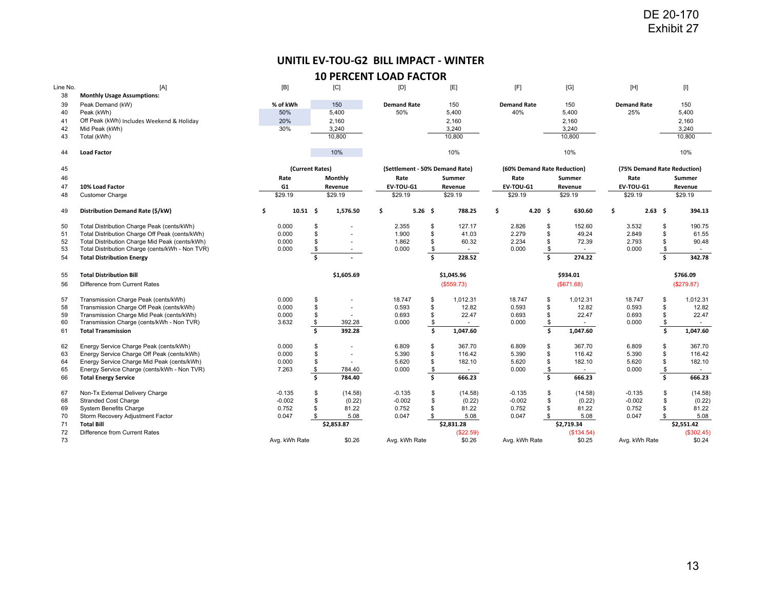# **UNITIL EV‐TOU‐G2 BILL IMPACT ‐ WINTER**

| Line No. | [A]                                             | [B]           |                 | [C]        | [D]                            |                         | [E]        | [F]                         |                         | [G]        | $[H]$              |                         | $[] \centering \includegraphics[width=0.47\textwidth]{Figures/PD1.png} \caption{The 3D (black) model for the 3D (black) model. The left side is the same time. The right side is the same time. The right side is the same time. The right side is the same time. The right side is the same time. The right side is the same time. The right side is the same time. The right side is the same time. The right side is the same time. The right side is the same time. The right side is the same time. The right side is the same time. The right side is the same time. The right side is the same time. The right side is the same time. The right side is the same time. The right side is the same time. The right side is the same time. The right side is the same time. The right side is the same time. The right side is the same time. The right side is the same$ |
|----------|-------------------------------------------------|---------------|-----------------|------------|--------------------------------|-------------------------|------------|-----------------------------|-------------------------|------------|--------------------|-------------------------|--------------------------------------------------------------------------------------------------------------------------------------------------------------------------------------------------------------------------------------------------------------------------------------------------------------------------------------------------------------------------------------------------------------------------------------------------------------------------------------------------------------------------------------------------------------------------------------------------------------------------------------------------------------------------------------------------------------------------------------------------------------------------------------------------------------------------------------------------------------------------------|
| 38       | <b>Monthly Usage Assumptions:</b>               |               |                 |            |                                |                         |            |                             |                         |            |                    |                         |                                                                                                                                                                                                                                                                                                                                                                                                                                                                                                                                                                                                                                                                                                                                                                                                                                                                                |
| 39       | Peak Demand (kW)                                | % of kWh      |                 | 150        | <b>Demand Rate</b>             |                         | 150        | <b>Demand Rate</b>          |                         | 150        | <b>Demand Rate</b> |                         | 150                                                                                                                                                                                                                                                                                                                                                                                                                                                                                                                                                                                                                                                                                                                                                                                                                                                                            |
| 40       | Peak (kWh)                                      | 50%           |                 | 5,400      | 50%                            |                         | 5,400      | 40%                         |                         | 5,400      | 25%                |                         | 5,400                                                                                                                                                                                                                                                                                                                                                                                                                                                                                                                                                                                                                                                                                                                                                                                                                                                                          |
| 41       | Off Peak (kWh) Includes Weekend & Holiday       | 20%           |                 | 2,160      |                                |                         | 2,160      |                             |                         | 2,160      |                    |                         | 2,160                                                                                                                                                                                                                                                                                                                                                                                                                                                                                                                                                                                                                                                                                                                                                                                                                                                                          |
| 42       | Mid Peak (kWh)                                  | 30%           |                 | 3,240      |                                |                         | 3,240      |                             |                         | 3,240      |                    |                         | 3,240                                                                                                                                                                                                                                                                                                                                                                                                                                                                                                                                                                                                                                                                                                                                                                                                                                                                          |
| 43       | Total (kWh)                                     |               |                 | 10,800     |                                |                         | 10,800     |                             |                         | 10,800     |                    |                         | 10,800                                                                                                                                                                                                                                                                                                                                                                                                                                                                                                                                                                                                                                                                                                                                                                                                                                                                         |
| 44       | <b>Load Factor</b>                              |               |                 | 10%        |                                |                         | 10%        |                             |                         | 10%        |                    |                         | 10%                                                                                                                                                                                                                                                                                                                                                                                                                                                                                                                                                                                                                                                                                                                                                                                                                                                                            |
| 45       |                                                 |               | (Current Rates) |            | (Settlement - 50% Demand Rate) |                         |            | (60% Demand Rate Reduction) |                         |            |                    |                         | (75% Demand Rate Reduction)                                                                                                                                                                                                                                                                                                                                                                                                                                                                                                                                                                                                                                                                                                                                                                                                                                                    |
| 46       |                                                 | Rate          |                 | Monthly    | Rate                           |                         | Summer     | Rate                        |                         | Summer     | Rate               |                         | Summer                                                                                                                                                                                                                                                                                                                                                                                                                                                                                                                                                                                                                                                                                                                                                                                                                                                                         |
| 47       | 10% Load Factor                                 | G1            |                 | Revenue    | EV-TOU-G1                      |                         | Revenue    | EV-TOU-G1                   |                         | Revenue    | EV-TOU-G1          |                         | Revenue                                                                                                                                                                                                                                                                                                                                                                                                                                                                                                                                                                                                                                                                                                                                                                                                                                                                        |
| 48       | <b>Customer Charge</b>                          | \$29.19       |                 | \$29.19    | \$29.19                        |                         | \$29.19    | \$29.19                     |                         | \$29.19    | \$29.19            |                         | \$29.19                                                                                                                                                                                                                                                                                                                                                                                                                                                                                                                                                                                                                                                                                                                                                                                                                                                                        |
|          |                                                 |               |                 |            |                                |                         |            |                             |                         |            |                    |                         |                                                                                                                                                                                                                                                                                                                                                                                                                                                                                                                                                                                                                                                                                                                                                                                                                                                                                |
| 49       | Distribution Demand Rate (\$/kW)                | \$            | $10.51$ \$      | 1,576.50   | 5.26 <sup>5</sup><br>\$        |                         | 788.25     | 4.20%<br>\$                 |                         | 630.60     | \$.                | 2.63 <sub>5</sub>       | 394.13                                                                                                                                                                                                                                                                                                                                                                                                                                                                                                                                                                                                                                                                                                                                                                                                                                                                         |
| 50       | Total Distribution Charge Peak (cents/kWh)      | 0.000         | \$              |            | 2.355                          | \$                      | 127.17     | 2.826                       | \$                      | 152.60     | 3.532              | \$                      | 190.75                                                                                                                                                                                                                                                                                                                                                                                                                                                                                                                                                                                                                                                                                                                                                                                                                                                                         |
| 51       | Total Distribution Charge Off Peak (cents/kWh)  | 0.000         | \$              |            | 1.900                          | \$                      | 41.03      | 2.279                       | \$                      | 49.24      | 2.849              | \$                      | 61.55                                                                                                                                                                                                                                                                                                                                                                                                                                                                                                                                                                                                                                                                                                                                                                                                                                                                          |
| 52       | Total Distribution Charge Mid Peak (cents/kWh)  | 0.000         | \$              |            | 1.862                          | \$                      | 60.32      | 2.234                       | \$                      | 72.39      | 2.793              | \$                      | 90.48                                                                                                                                                                                                                                                                                                                                                                                                                                                                                                                                                                                                                                                                                                                                                                                                                                                                          |
| 53       | Total Distribution Charge (cents/kWh - Non TVR) | 0.000         | \$              | $\sim$     | 0.000                          | \$                      | $\sim$     | 0.000                       | \$                      | $\sim$     | 0.000              | \$                      | $\sim$                                                                                                                                                                                                                                                                                                                                                                                                                                                                                                                                                                                                                                                                                                                                                                                                                                                                         |
| 54       | <b>Total Distribution Energy</b>                |               | Ś.              |            |                                | Ŝ.                      | 228.52     |                             | Ś.                      | 274.22     |                    | Ś.                      | 342.78                                                                                                                                                                                                                                                                                                                                                                                                                                                                                                                                                                                                                                                                                                                                                                                                                                                                         |
| 55       | <b>Total Distribution Bill</b>                  |               |                 | \$1,605.69 |                                |                         | \$1,045.96 |                             |                         | \$934.01   |                    |                         | \$766.09                                                                                                                                                                                                                                                                                                                                                                                                                                                                                                                                                                                                                                                                                                                                                                                                                                                                       |
| 56       | Difference from Current Rates                   |               |                 |            |                                |                         | (\$559.73) |                             |                         | (\$671.68) |                    |                         | (\$279.87)                                                                                                                                                                                                                                                                                                                                                                                                                                                                                                                                                                                                                                                                                                                                                                                                                                                                     |
|          |                                                 |               |                 |            |                                |                         |            |                             |                         |            |                    |                         |                                                                                                                                                                                                                                                                                                                                                                                                                                                                                                                                                                                                                                                                                                                                                                                                                                                                                |
| 57       | Transmission Charge Peak (cents/kWh)            | 0.000         | \$              |            | 18.747                         | \$                      | 1,012.31   | 18.747                      | \$                      | 1,012.31   | 18.747             | \$                      | 1,012.31                                                                                                                                                                                                                                                                                                                                                                                                                                                                                                                                                                                                                                                                                                                                                                                                                                                                       |
| 58       | Transmission Charge Off Peak (cents/kWh)        | 0.000         | \$              |            | 0.593                          | \$                      | 12.82      | 0.593                       | \$                      | 12.82      | 0.593              | \$                      | 12.82                                                                                                                                                                                                                                                                                                                                                                                                                                                                                                                                                                                                                                                                                                                                                                                                                                                                          |
| 59       | Transmission Charge Mid Peak (cents/kWh)        | 0.000         | \$              |            | 0.693                          | \$                      | 22.47      | 0.693                       | \$                      | 22.47      | 0.693              | \$                      | 22.47                                                                                                                                                                                                                                                                                                                                                                                                                                                                                                                                                                                                                                                                                                                                                                                                                                                                          |
| 60       | Transmission Charge (cents/kWh - Non TVR)       | 3.632         | \$              | 392.28     | 0.000                          | \$                      |            | 0.000                       | \$                      |            | 0.000              | \$                      |                                                                                                                                                                                                                                                                                                                                                                                                                                                                                                                                                                                                                                                                                                                                                                                                                                                                                |
| 61       | <b>Total Transmission</b>                       |               | \$              | 392.28     |                                | $\overline{\mathsf{s}}$ | 1,047.60   |                             | $\overline{\mathsf{s}}$ | 1,047.60   |                    | $\overline{\mathsf{s}}$ | 1,047.60                                                                                                                                                                                                                                                                                                                                                                                                                                                                                                                                                                                                                                                                                                                                                                                                                                                                       |
| 62       | Energy Service Charge Peak (cents/kWh)          | 0.000         | \$              |            | 6.809                          | \$                      | 367.70     | 6.809                       | \$                      | 367.70     | 6.809              | \$                      | 367.70                                                                                                                                                                                                                                                                                                                                                                                                                                                                                                                                                                                                                                                                                                                                                                                                                                                                         |
| 63       | Energy Service Charge Off Peak (cents/kWh)      | 0.000         | \$              |            | 5.390                          | \$                      | 116.42     | 5.390                       | \$                      | 116.42     | 5.390              | \$                      | 116.42                                                                                                                                                                                                                                                                                                                                                                                                                                                                                                                                                                                                                                                                                                                                                                                                                                                                         |
| 64       | Energy Service Charge Mid Peak (cents/kWh)      | 0.000         | \$              |            | 5.620                          | \$                      | 182.10     | 5.620                       | \$                      | 182.10     | 5.620              | \$                      | 182.10                                                                                                                                                                                                                                                                                                                                                                                                                                                                                                                                                                                                                                                                                                                                                                                                                                                                         |
| 65       | Energy Service Charge (cents/kWh - Non TVR)     | 7.263         | \$              | 784.40     | 0.000                          | \$                      | $\sim$     | 0.000                       | $\sqrt[6]{3}$           | $\sim$     | 0.000              | \$                      | $\sim$                                                                                                                                                                                                                                                                                                                                                                                                                                                                                                                                                                                                                                                                                                                                                                                                                                                                         |
| 66       | <b>Total Energy Service</b>                     |               | Ŝ.              | 784.40     |                                | \$.                     | 666.23     |                             | \$.                     | 666.23     |                    | Ś.                      | 666.23                                                                                                                                                                                                                                                                                                                                                                                                                                                                                                                                                                                                                                                                                                                                                                                                                                                                         |
|          |                                                 |               |                 |            |                                |                         |            |                             |                         |            |                    |                         |                                                                                                                                                                                                                                                                                                                                                                                                                                                                                                                                                                                                                                                                                                                                                                                                                                                                                |
| 67       | Non-Tx External Delivery Charge                 | $-0.135$      | \$              | (14.58)    | $-0.135$                       | \$                      | (14.58)    | $-0.135$                    | \$                      | (14.58)    | $-0.135$           | \$                      | (14.58)                                                                                                                                                                                                                                                                                                                                                                                                                                                                                                                                                                                                                                                                                                                                                                                                                                                                        |
| 68       | <b>Stranded Cost Charge</b>                     | $-0.002$      | \$              | (0.22)     | $-0.002$                       | \$                      | (0.22)     | $-0.002$                    | \$<br>\$                | (0.22)     | $-0.002$           | \$                      | (0.22)                                                                                                                                                                                                                                                                                                                                                                                                                                                                                                                                                                                                                                                                                                                                                                                                                                                                         |
| 69       | <b>System Benefits Charge</b>                   | 0.752         | \$              | 81.22      | 0.752                          | \$                      | 81.22      | 0.752                       |                         | 81.22      | 0.752              | \$                      | 81.22                                                                                                                                                                                                                                                                                                                                                                                                                                                                                                                                                                                                                                                                                                                                                                                                                                                                          |
| 70       | Storm Recovery Adjustment Factor                | 0.047         | \$              | 5.08       | 0.047                          | \$                      | 5.08       | 0.047                       | \$.                     | 5.08       | 0.047              | \$                      | 5.08                                                                                                                                                                                                                                                                                                                                                                                                                                                                                                                                                                                                                                                                                                                                                                                                                                                                           |
| 71       | <b>Total Bill</b>                               |               |                 | \$2,853.87 |                                |                         | \$2,831.28 |                             |                         | \$2,719.34 |                    |                         | \$2,551.42                                                                                                                                                                                                                                                                                                                                                                                                                                                                                                                                                                                                                                                                                                                                                                                                                                                                     |
| 72       | Difference from Current Rates                   |               |                 |            |                                |                         | (\$22.59)  |                             |                         | (\$134.54) |                    |                         | (\$302.45)                                                                                                                                                                                                                                                                                                                                                                                                                                                                                                                                                                                                                                                                                                                                                                                                                                                                     |
| 73       |                                                 | Avg. kWh Rate |                 | \$0.26     | Avg. kWh Rate                  |                         | \$0.26     | Avg. kWh Rate               |                         | \$0.25     | Avg. kWh Rate      |                         | \$0.24                                                                                                                                                                                                                                                                                                                                                                                                                                                                                                                                                                                                                                                                                                                                                                                                                                                                         |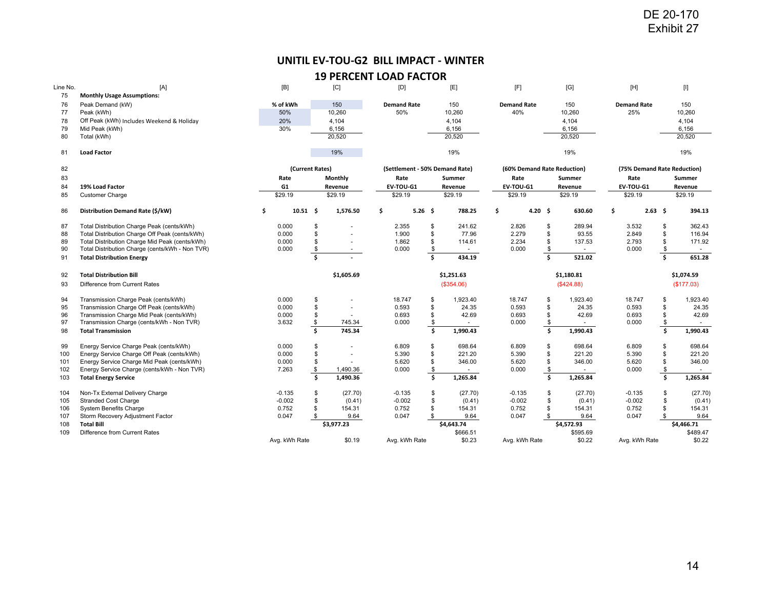# **UNITIL EV‐TOU‐G2 BILL IMPACT ‐ WINTER**

| Line No. | [A]                                             | $[{\mathsf B}]$ |                 | [C]        | [D]                            |              | [E]        | [F]                         |                         | [G]        | $[H]$                       |                |     | $[] \centering \includegraphics[width=0.47\textwidth]{Figures/PD1.png} \caption{The 3D (black) model for the 3D (black) model. The left side is the same time. The right side is the same time. The right side is the same time. The right side is the same time. The right side is the same time. The right side is the same time. The right side is the same time. The right side is the same time. The right side is the same time. The right side is the same time. The right side is the same time. The right side is the same time. The right side is the same time. The right side is the same time. The right side is the same time. The right side is the same time. The right side is the same time. The right side is the same time. The right side is the same time. The right side is the same time. The right side is the same time. The right side is the same$ |
|----------|-------------------------------------------------|-----------------|-----------------|------------|--------------------------------|--------------|------------|-----------------------------|-------------------------|------------|-----------------------------|----------------|-----|--------------------------------------------------------------------------------------------------------------------------------------------------------------------------------------------------------------------------------------------------------------------------------------------------------------------------------------------------------------------------------------------------------------------------------------------------------------------------------------------------------------------------------------------------------------------------------------------------------------------------------------------------------------------------------------------------------------------------------------------------------------------------------------------------------------------------------------------------------------------------------|
| 75       | <b>Monthly Usage Assumptions:</b>               |                 |                 |            |                                |              |            |                             |                         |            |                             |                |     |                                                                                                                                                                                                                                                                                                                                                                                                                                                                                                                                                                                                                                                                                                                                                                                                                                                                                |
| 76       | Peak Demand (kW)                                | % of kWh        |                 | 150        | <b>Demand Rate</b>             |              | 150        | <b>Demand Rate</b>          |                         | 150        | <b>Demand Rate</b>          |                |     | 150                                                                                                                                                                                                                                                                                                                                                                                                                                                                                                                                                                                                                                                                                                                                                                                                                                                                            |
| 77       | Peak (kWh)                                      | 50%             |                 | 10,260     | 50%                            |              | 10,260     | 40%                         |                         | 10,260     | 25%                         |                |     | 10,260                                                                                                                                                                                                                                                                                                                                                                                                                                                                                                                                                                                                                                                                                                                                                                                                                                                                         |
| 78       | Off Peak (kWh) Includes Weekend & Holiday       | 20%             |                 | 4,104      |                                |              | 4,104      |                             |                         | 4,104      |                             |                |     | 4,104                                                                                                                                                                                                                                                                                                                                                                                                                                                                                                                                                                                                                                                                                                                                                                                                                                                                          |
| 79       | Mid Peak (kWh)                                  | 30%             |                 | 6,156      |                                |              | 6,156      |                             |                         | 6,156      |                             |                |     | 6,156                                                                                                                                                                                                                                                                                                                                                                                                                                                                                                                                                                                                                                                                                                                                                                                                                                                                          |
| 80       | Total (kWh)                                     |                 |                 | 20,520     |                                |              | 20,520     |                             |                         | 20,520     |                             |                |     | 20,520                                                                                                                                                                                                                                                                                                                                                                                                                                                                                                                                                                                                                                                                                                                                                                                                                                                                         |
| 81       | <b>Load Factor</b>                              |                 |                 | 19%        |                                |              | 19%        |                             |                         | 19%        |                             |                |     | 19%                                                                                                                                                                                                                                                                                                                                                                                                                                                                                                                                                                                                                                                                                                                                                                                                                                                                            |
| 82       |                                                 |                 | (Current Rates) |            | (Settlement - 50% Demand Rate) |              |            | (60% Demand Rate Reduction) |                         |            | (75% Demand Rate Reduction) |                |     |                                                                                                                                                                                                                                                                                                                                                                                                                                                                                                                                                                                                                                                                                                                                                                                                                                                                                |
| 83       |                                                 | Rate            |                 | Monthly    | Rate                           |              | Summer     | Rate                        |                         | Summer     | Rate                        |                |     | Summer                                                                                                                                                                                                                                                                                                                                                                                                                                                                                                                                                                                                                                                                                                                                                                                                                                                                         |
| 84       | 19% Load Factor                                 | G <sub>1</sub>  |                 | Revenue    | EV-TOU-G1                      |              | Revenue    | EV-TOU-G1                   |                         | Revenue    | EV-TOU-G1                   |                |     | Revenue                                                                                                                                                                                                                                                                                                                                                                                                                                                                                                                                                                                                                                                                                                                                                                                                                                                                        |
| 85       | <b>Customer Charge</b>                          | \$29.19         |                 | \$29.19    | \$29.19                        |              | \$29.19    | \$29.19                     |                         | \$29.19    | \$29.19                     |                |     | \$29.19                                                                                                                                                                                                                                                                                                                                                                                                                                                                                                                                                                                                                                                                                                                                                                                                                                                                        |
| 86       | Distribution Demand Rate (\$/kW)                | \$              | $10.51$ \$      | 1,576.50   | \$<br>$5.26$ \$                |              | 788.25     | \$<br>$4.20\quad$ \$        |                         | 630.60     | \$                          | $2.63 \quad $$ |     | 394.13                                                                                                                                                                                                                                                                                                                                                                                                                                                                                                                                                                                                                                                                                                                                                                                                                                                                         |
| 87       | Total Distribution Charge Peak (cents/kWh)      | 0.000           | \$              |            | 2.355                          | \$           | 241.62     | 2.826                       | \$                      | 289.94     | 3.532                       |                | \$  | 362.43                                                                                                                                                                                                                                                                                                                                                                                                                                                                                                                                                                                                                                                                                                                                                                                                                                                                         |
| 88       | Total Distribution Charge Off Peak (cents/kWh)  | 0.000           | \$              |            | 1.900                          | \$           | 77.96      | 2.279                       | \$                      | 93.55      | 2.849                       |                | \$  | 116.94                                                                                                                                                                                                                                                                                                                                                                                                                                                                                                                                                                                                                                                                                                                                                                                                                                                                         |
| 89       | Total Distribution Charge Mid Peak (cents/kWh)  | 0.000           | \$              |            | 1.862                          | \$           | 114.61     | 2.234                       | \$                      | 137.53     | 2.793                       |                | \$  | 171.92                                                                                                                                                                                                                                                                                                                                                                                                                                                                                                                                                                                                                                                                                                                                                                                                                                                                         |
| 90       | Total Distribution Charge (cents/kWh - Non TVR) | 0.000           | \$              | $\sim$     | 0.000                          | \$           | $\sim$     | 0.000                       | \$                      | $\sim$     | 0.000                       |                | \$  | $\sim$                                                                                                                                                                                                                                                                                                                                                                                                                                                                                                                                                                                                                                                                                                                                                                                                                                                                         |
| 91       | <b>Total Distribution Energy</b>                |                 | Ŝ.              |            |                                | $\mathsf{s}$ | 434.19     |                             | $\overline{\mathsf{s}}$ | 521.02     |                             |                | \$. | 651.28                                                                                                                                                                                                                                                                                                                                                                                                                                                                                                                                                                                                                                                                                                                                                                                                                                                                         |
| 92       | <b>Total Distribution Bill</b>                  |                 |                 | \$1,605.69 |                                |              | \$1,251.63 |                             |                         | \$1,180.81 |                             |                |     | \$1,074.59                                                                                                                                                                                                                                                                                                                                                                                                                                                                                                                                                                                                                                                                                                                                                                                                                                                                     |
| 93       | Difference from Current Rates                   |                 |                 |            |                                |              | (\$354.06) |                             |                         | (\$424.88) |                             |                |     | (\$177.03)                                                                                                                                                                                                                                                                                                                                                                                                                                                                                                                                                                                                                                                                                                                                                                                                                                                                     |
| 94       | Transmission Charge Peak (cents/kWh)            | 0.000           | \$              |            | 18.747                         | \$           | 1,923.40   | 18.747                      | \$                      | 1,923.40   | 18.747                      |                | \$  | 1,923.40                                                                                                                                                                                                                                                                                                                                                                                                                                                                                                                                                                                                                                                                                                                                                                                                                                                                       |
| 95       | Transmission Charge Off Peak (cents/kWh)        | 0.000           | \$              |            | 0.593                          | \$           | 24.35      | 0.593                       | \$                      | 24.35      | 0.593                       |                | \$  | 24.35                                                                                                                                                                                                                                                                                                                                                                                                                                                                                                                                                                                                                                                                                                                                                                                                                                                                          |
| 96       | Transmission Charge Mid Peak (cents/kWh)        | 0.000           | \$              |            | 0.693                          | \$           | 42.69      | 0.693                       | \$                      | 42.69      | 0.693                       |                | \$  | 42.69                                                                                                                                                                                                                                                                                                                                                                                                                                                                                                                                                                                                                                                                                                                                                                                                                                                                          |
| 97       | Transmission Charge (cents/kWh - Non TVR)       | 3.632           | \$              | 745.34     | 0.000                          | \$           |            | 0.000                       | $\frac{\$}{\$}$         |            | 0.000                       |                | \$  |                                                                                                                                                                                                                                                                                                                                                                                                                                                                                                                                                                                                                                                                                                                                                                                                                                                                                |
| 98       | <b>Total Transmission</b>                       |                 | Ś.              | 745.34     |                                | Ś            | 1,990.43   |                             |                         | 1,990.43   |                             |                | \$  | 1,990.43                                                                                                                                                                                                                                                                                                                                                                                                                                                                                                                                                                                                                                                                                                                                                                                                                                                                       |
| 99       | Energy Service Charge Peak (cents/kWh)          | 0.000           | \$              |            | 6.809                          | \$           | 698.64     | 6.809                       | \$                      | 698.64     | 6.809                       |                | \$  | 698.64                                                                                                                                                                                                                                                                                                                                                                                                                                                                                                                                                                                                                                                                                                                                                                                                                                                                         |
| 100      | Energy Service Charge Off Peak (cents/kWh)      | 0.000           | \$              |            | 5.390                          | \$           | 221.20     | 5.390                       | \$                      | 221.20     | 5.390                       |                | \$  | 221.20                                                                                                                                                                                                                                                                                                                                                                                                                                                                                                                                                                                                                                                                                                                                                                                                                                                                         |
| 101      | Energy Service Charge Mid Peak (cents/kWh)      | 0.000           | \$              |            | 5.620                          | \$           | 346.00     | 5.620                       | \$                      | 346.00     | 5.620                       |                | \$  | 346.00                                                                                                                                                                                                                                                                                                                                                                                                                                                                                                                                                                                                                                                                                                                                                                                                                                                                         |
| 102      | Energy Service Charge (cents/kWh - Non TVR)     | 7.263           | \$              | 1,490.36   | 0.000                          | \$           | $\sim$     | 0.000                       | \$                      | $\sim$     | 0.000                       |                | \$  | $\sim$                                                                                                                                                                                                                                                                                                                                                                                                                                                                                                                                                                                                                                                                                                                                                                                                                                                                         |
| 103      | <b>Total Energy Service</b>                     |                 | Ŝ.              | 1,490.36   |                                | \$.          | 1.265.84   |                             | \$                      | 1.265.84   |                             |                | Ś.  | 1,265.84                                                                                                                                                                                                                                                                                                                                                                                                                                                                                                                                                                                                                                                                                                                                                                                                                                                                       |
| 104      | Non-Tx External Delivery Charge                 | $-0.135$        | \$              | (27.70)    | $-0.135$                       | \$           | (27.70)    | $-0.135$                    | \$                      | (27.70)    | $-0.135$                    |                | \$  | (27.70)                                                                                                                                                                                                                                                                                                                                                                                                                                                                                                                                                                                                                                                                                                                                                                                                                                                                        |
| 105      | <b>Stranded Cost Charge</b>                     | $-0.002$        | \$              | (0.41)     | $-0.002$                       | \$           | (0.41)     | $-0.002$                    | \$                      | (0.41)     | $-0.002$                    |                | \$  | (0.41)                                                                                                                                                                                                                                                                                                                                                                                                                                                                                                                                                                                                                                                                                                                                                                                                                                                                         |
| 106      | <b>System Benefits Charge</b>                   | 0.752           | \$              | 154.31     | 0.752                          | \$           | 154.31     | 0.752                       |                         | 154.31     | 0.752                       |                | \$  | 154.31                                                                                                                                                                                                                                                                                                                                                                                                                                                                                                                                                                                                                                                                                                                                                                                                                                                                         |
| 107      | Storm Recovery Adjustment Factor                | 0.047           | \$              | 9.64       | 0.047                          | \$           | 9.64       | 0.047                       |                         | 9.64       | 0.047                       |                | \$  | 9.64                                                                                                                                                                                                                                                                                                                                                                                                                                                                                                                                                                                                                                                                                                                                                                                                                                                                           |
| 108      | <b>Total Bill</b>                               |                 |                 | \$3,977.23 |                                |              | \$4,643.74 |                             |                         | \$4,572.93 |                             |                |     | \$4,466.71                                                                                                                                                                                                                                                                                                                                                                                                                                                                                                                                                                                                                                                                                                                                                                                                                                                                     |
| 109      | Difference from Current Rates                   |                 |                 |            |                                |              | \$666.51   |                             |                         | \$595.69   |                             |                |     | \$489.47                                                                                                                                                                                                                                                                                                                                                                                                                                                                                                                                                                                                                                                                                                                                                                                                                                                                       |
|          |                                                 | Avg. kWh Rate   |                 | \$0.19     | Avg. kWh Rate                  |              | \$0.23     | Avg. kWh Rate               |                         | \$0.22     | Avg. kWh Rate               |                |     | \$0.22                                                                                                                                                                                                                                                                                                                                                                                                                                                                                                                                                                                                                                                                                                                                                                                                                                                                         |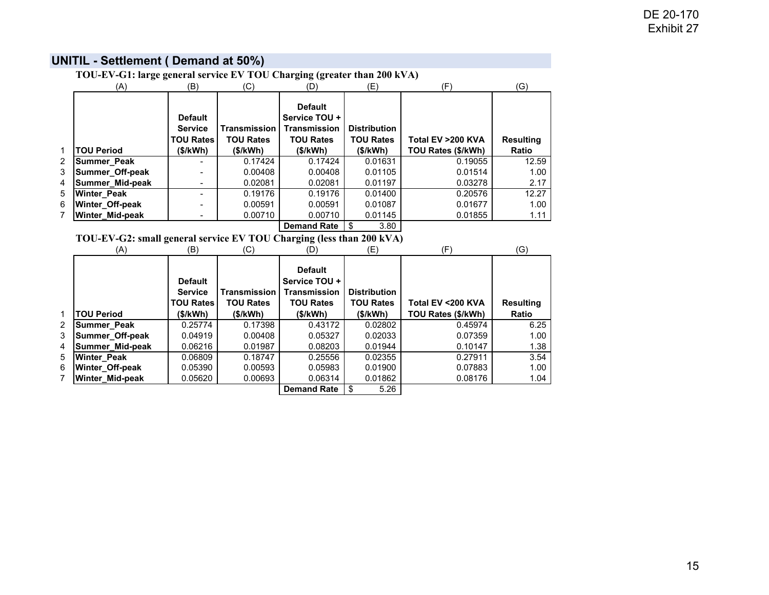# DE 20-170 Exhibit 27

|                | TOU-EV-G1: large general service EV TOU Charging (greater than 200 kVA) |                                                      |                                         |                                                                            |                                         |                               |                       |  |  |  |  |
|----------------|-------------------------------------------------------------------------|------------------------------------------------------|-----------------------------------------|----------------------------------------------------------------------------|-----------------------------------------|-------------------------------|-----------------------|--|--|--|--|
|                | (A)                                                                     | (B)                                                  | (C)                                     | (D)                                                                        | (E)                                     | (F)                           | (G)                   |  |  |  |  |
|                |                                                                         | <b>Default</b><br><b>Service</b><br><b>TOU Rates</b> | <b>Transmission</b><br><b>TOU Rates</b> | <b>Default</b><br>Service TOU +<br><b>Transmission</b><br><b>TOU Rates</b> | <b>Distribution</b><br><b>TOU Rates</b> | Total EV >200 KVA             | <b>Resulting</b>      |  |  |  |  |
| 1              | <b>TOU Period</b>                                                       | (\$/kWh)                                             | (\$/kWh)                                | (\$/kWh)                                                                   | (\$/kWh)                                | TOU Rates (\$/kWh)            | <b>Ratio</b>          |  |  |  |  |
| 2<br>3<br>4    | Summer_Peak<br>Summer_Off-peak<br>Summer_Mid-peak                       |                                                      | 0.17424<br>0.00408<br>0.02081           | 0.17424<br>0.00408<br>0.02081                                              | 0.01631<br>0.01105<br>0.01197           | 0.19055<br>0.01514<br>0.03278 | 12.59<br>1.00<br>2.17 |  |  |  |  |
| 5              | <b>Winter Peak</b>                                                      |                                                      | 0.19176                                 | 0.19176                                                                    | 0.01400                                 | 0.20576                       | 12.27                 |  |  |  |  |
| 6              | Winter_Off-peak                                                         |                                                      | 0.00591                                 | 0.00591                                                                    | 0.01087                                 | 0.01677                       | 1.00                  |  |  |  |  |
|                | Winter_Mid-peak                                                         |                                                      | 0.00710                                 | 0.00710                                                                    | 0.01145                                 | 0.01855                       | 1.11                  |  |  |  |  |
|                |                                                                         |                                                      |                                         | <b>Demand Rate</b>                                                         | \$<br>3.80                              |                               |                       |  |  |  |  |
|                | TOU-EV-G2: small general service EV TOU Charging (less than 200 kVA)    |                                                      |                                         |                                                                            |                                         |                               |                       |  |  |  |  |
|                | (A)                                                                     | (B)                                                  | (C)                                     | (D)                                                                        | (E)                                     | (F)                           | (G)                   |  |  |  |  |
|                |                                                                         | <b>Default</b><br><b>Service</b>                     | <b>Transmission</b>                     | <b>Default</b><br>Service TOU +<br><b>Transmission</b>                     | <b>Distribution</b>                     |                               |                       |  |  |  |  |
|                |                                                                         | <b>TOU Rates</b>                                     | <b>TOU Rates</b>                        | <b>TOU Rates</b>                                                           | <b>TOU Rates</b>                        | Total EV < 200 KVA            | <b>Resulting</b>      |  |  |  |  |
| 1              | <b>TOU Period</b>                                                       | (\$/kWh)                                             | (\$/kWh)                                | (\$/kWh)                                                                   | (\$/kWh)                                | TOU Rates (\$/kWh)            | <b>Ratio</b>          |  |  |  |  |
| $\overline{2}$ | Summer_Peak                                                             | 0.25774                                              | 0.17398                                 | 0.43172                                                                    | 0.02802                                 | 0.45974                       | 6.25                  |  |  |  |  |
| 3              | Summer_Off-peak                                                         | 0.04919                                              | 0.00408                                 | 0.05327                                                                    | 0.02033                                 | 0.07359                       | 1.00                  |  |  |  |  |
| 4              | Summer_Mid-peak                                                         | 0.06216                                              | 0.01987                                 | 0.08203                                                                    | 0.01944                                 | 0.10147                       | 1.38                  |  |  |  |  |
| 5<br>6         | Winter_Peak<br>Winter_Off-peak                                          | 0.06809<br>0.05390                                   | 0.18747<br>0.00593                      | 0.25556<br>0.05983                                                         | 0.02355<br>0.01900                      | 0.27911<br>0.07883            | 3.54<br>1.00          |  |  |  |  |
| 7              | Winter_Mid-peak                                                         | 0.05620                                              | 0.00693                                 | 0.06314                                                                    | 0.01862                                 | 0.08176                       | 1.04                  |  |  |  |  |
|                |                                                                         |                                                      |                                         | <b>Demand Rate</b>                                                         | \$<br>5.26                              |                               |                       |  |  |  |  |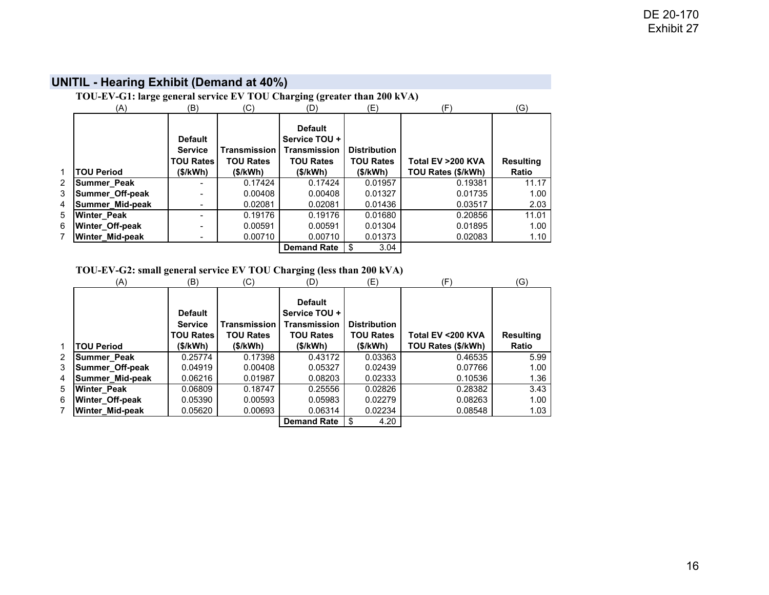|   | TOU-EV-G1: large general service EV TOU Charging (greater than 200 kVA) |                                                      |                                         |                                                                            |                                         |                    |                  |  |  |  |  |  |
|---|-------------------------------------------------------------------------|------------------------------------------------------|-----------------------------------------|----------------------------------------------------------------------------|-----------------------------------------|--------------------|------------------|--|--|--|--|--|
|   | (A)                                                                     | (B)                                                  | (C)                                     | (D)                                                                        | (E)                                     | (F)                | (G)              |  |  |  |  |  |
|   |                                                                         | <b>Default</b><br><b>Service</b><br><b>TOU Rates</b> | <b>Transmission</b><br><b>TOU Rates</b> | <b>Default</b><br>Service TOU +<br><b>Transmission</b><br><b>TOU Rates</b> | <b>Distribution</b><br><b>TOU Rates</b> | Total EV >200 KVA  | <b>Resulting</b> |  |  |  |  |  |
| 1 | <b>TOU Period</b>                                                       | (\$/kWh)                                             | (S/KWh)                                 | (S/KWh)                                                                    | (S/KWh)                                 | TOU Rates (\$/kWh) | <b>Ratio</b>     |  |  |  |  |  |
| 2 | Summer Peak                                                             |                                                      | 0.17424                                 | 0.17424                                                                    | 0.01957                                 | 0.19381            | 11.17            |  |  |  |  |  |
| 3 | Summer_Off-peak                                                         |                                                      | 0.00408                                 | 0.00408                                                                    | 0.01327                                 | 0.01735            | 1.00             |  |  |  |  |  |
| 4 | Summer_Mid-peak                                                         |                                                      | 0.02081                                 | 0.02081                                                                    | 0.01436                                 | 0.03517            | 2.03             |  |  |  |  |  |
| 5 | Winter_Peak                                                             |                                                      | 0.19176                                 | 0.19176                                                                    | 0.01680                                 | 0.20856            | 11.01            |  |  |  |  |  |
| 6 | Winter_Off-peak                                                         |                                                      | 0.00591                                 | 0.00591                                                                    | 0.01304                                 | 0.01895            | 1.00             |  |  |  |  |  |
|   | <b>Winter Mid-peak</b>                                                  |                                                      | 0.00710                                 | 0.00710                                                                    | 0.01373                                 | 0.02083            | 1.10             |  |  |  |  |  |
|   |                                                                         |                                                      |                                         | <b>Demand Rate</b>                                                         | 3.04<br>\$                              |                    |                  |  |  |  |  |  |

# **UNITIL - Hearing Exhibit (Demand at 40%)**

# **TOU-EV-G2: small general service EV TOU Charging (less than 200 kVA)**

|                | (A)                | (B)                                                              | (C)                                                | (D)                                                                                    | (E)                                                 | (F)                                     | (G)                              |
|----------------|--------------------|------------------------------------------------------------------|----------------------------------------------------|----------------------------------------------------------------------------------------|-----------------------------------------------------|-----------------------------------------|----------------------------------|
| 1              | <b>TOU Period</b>  | <b>Default</b><br><b>Service</b><br><b>TOU Rates</b><br>(\$/kWh) | <b>Transmission</b><br><b>TOU Rates</b><br>(S/KWh) | <b>Default</b><br>Service TOU +<br><b>Transmission</b><br><b>TOU Rates</b><br>(\$/kWh) | <b>Distribution</b><br><b>TOU Rates</b><br>(\$/kWh) | Total EV <200 KVA<br>TOU Rates (\$/kWh) | <b>Resulting</b><br><b>Ratio</b> |
| $\overline{2}$ | Summer_Peak        | 0.25774                                                          | 0.17398                                            | 0.43172                                                                                | 0.03363                                             | 0.46535                                 | 5.99                             |
| 3              | Summer_Off-peak    | 0.04919                                                          | 0.00408                                            | 0.05327                                                                                | 0.02439                                             | 0.07766                                 | 1.00                             |
| 4              | Summer_Mid-peak    | 0.06216                                                          | 0.01987                                            | 0.08203                                                                                | 0.02333                                             | 0.10536                                 | 1.36                             |
| 5              | <b>Winter Peak</b> | 0.06809                                                          | 0.18747                                            | 0.25556                                                                                | 0.02826                                             | 0.28382                                 | 3.43                             |
| 6              | Winter_Off-peak    | 0.05390                                                          | 0.00593                                            | 0.05983                                                                                | 0.02279                                             | 0.08263                                 | 1.00                             |
| 7              | Winter_Mid-peak    | 0.05620                                                          | 0.00693                                            | 0.06314                                                                                | 0.02234                                             | 0.08548                                 | 1.03                             |
|                |                    |                                                                  |                                                    | <b>Demand Rate</b>                                                                     | 4.20                                                |                                         |                                  |